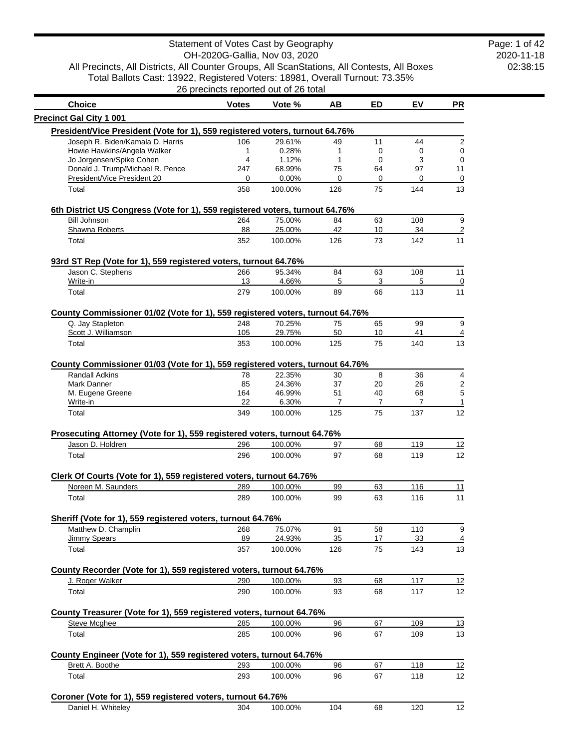2020-11-18 02:38:15 Page: 1 of 42

All Precincts, All Districts, All Counter Groups, All ScanStations, All Contests, All Boxes Total Ballots Cast: 13922, Registered Voters: 18981, Overall Turnout: 73.35%

26 precincts reported out of 26 total

| <b>Choice</b>                                                                                          | <b>Votes</b> | Vote %            | AВ             | ED             | EV             | <b>PR</b> |
|--------------------------------------------------------------------------------------------------------|--------------|-------------------|----------------|----------------|----------------|-----------|
| <b>Precinct Gal City 1 001</b>                                                                         |              |                   |                |                |                |           |
| President/Vice President (Vote for 1), 559 registered voters, turnout 64.76%                           |              |                   |                |                |                |           |
| Joseph R. Biden/Kamala D. Harris                                                                       | 106          | 29.61%            | 49             | 11             | 44             |           |
| Howie Hawkins/Angela Walker                                                                            | 1            | 0.28%             | 1              | 0              | 0              |           |
| Jo Jorgensen/Spike Cohen                                                                               | 4            | 1.12%             | 1              | 0              | 3              |           |
| Donald J. Trump/Michael R. Pence                                                                       | 247          | 68.99%            | 75             | 64             | 97             | 11        |
| President/Vice President 20                                                                            | 0            | $0.00\%$          | $\mathbf 0$    | 0              | 0              |           |
| Total                                                                                                  | 358          | 100.00%           | 126            | 75             | 144            | 13        |
| 6th District US Congress (Vote for 1), 559 registered voters, turnout 64.76%                           |              |                   |                |                |                |           |
| <b>Bill Johnson</b>                                                                                    | 264          | 75.00%            | 84             | 63             | 108            |           |
| Shawna Roberts<br>Total                                                                                | 88<br>352    | 25.00%<br>100.00% | 42<br>126      | 10<br>73       | 34<br>142      | 11        |
|                                                                                                        |              |                   |                |                |                |           |
| 93rd ST Rep (Vote for 1), 559 registered voters, turnout 64.76%<br>Jason C. Stephens                   | 266          | 95.34%            | 84             | 63             | 108            | 11        |
| Write-in                                                                                               | 13           | 4.66%             | 5              | 3              | 5              |           |
| Total                                                                                                  | 279          | 100.00%           | 89             | 66             | 113            | 11        |
|                                                                                                        |              |                   |                |                |                |           |
| County Commissioner 01/02 (Vote for 1), 559 registered voters, turnout 64.76%<br>Q. Jay Stapleton      | 248          | 70.25%            | 75             | 65             | 99             |           |
| Scott J. Williamson                                                                                    | 105          | 29.75%            | 50             | 10             | 41             |           |
| Total                                                                                                  | 353          | 100.00%           | 125            | 75             | 140            | 13        |
|                                                                                                        |              |                   |                |                |                |           |
| County Commissioner 01/03 (Vote for 1), 559 registered voters, turnout 64.76%<br><b>Randall Adkins</b> | 78           | 22.35%            | 30             | 8              | 36             |           |
| Mark Danner                                                                                            | 85           | 24.36%            | 37             | 20             | 26             |           |
| M. Eugene Greene                                                                                       | 164          | 46.99%            | 51             | 40             | 68             |           |
| Write-in                                                                                               | 22           | 6.30%             | $\overline{7}$ | $\overline{7}$ | $\overline{7}$ |           |
| Total                                                                                                  | 349          | 100.00%           | 125            | 75             | 137            | 12        |
|                                                                                                        |              |                   |                |                |                |           |
| Prosecuting Attorney (Vote for 1), 559 registered voters, turnout 64.76%<br>Jason D. Holdren           | 296          | 100.00%           | 97             | 68             | 119            | 12        |
| Total                                                                                                  | 296          | 100.00%           | 97             | 68             | 119            | 12        |
|                                                                                                        |              |                   |                |                |                |           |
| Clerk Of Courts (Vote for 1), 559 registered voters, turnout 64.76%<br>Noreen M. Saunders              |              |                   |                |                |                |           |
|                                                                                                        | 289          | 100.00%           | 99             | 63             | 116            | 11        |
| Total                                                                                                  | 289          | 100.00%           | 99             | 63             | 116            | 11        |
| Sheriff (Vote for 1), 559 registered voters, turnout 64.76%                                            |              |                   |                |                |                |           |
| Matthew D. Champlin<br>Jimmy Spears                                                                    | 268<br>89    | 75.07%<br>24.93%  | 91<br>35       | 58<br>17       | 110<br>33      |           |
| Total                                                                                                  | 357          | 100.00%           | 126            | 75             | 143            | 13        |
|                                                                                                        |              |                   |                |                |                |           |
| County Recorder (Vote for 1), 559 registered voters, turnout 64.76%<br>J. Roger Walker                 | 290          | 100.00%           | 93             | 68             | 117            | 12        |
| Total                                                                                                  | 290          | 100.00%           | 93             | 68             | 117            | 12        |
|                                                                                                        |              |                   |                |                |                |           |
| County Treasurer (Vote for 1), 559 registered voters, turnout 64.76%                                   |              |                   |                |                |                |           |
| Steve Mcghee                                                                                           | 285          | 100.00%           | 96             | 67             | 109            | <u>13</u> |
| Total                                                                                                  | 285          | 100.00%           | 96             | 67             | 109            | 13        |
| County Engineer (Vote for 1), 559 registered voters, turnout 64.76%                                    |              |                   |                |                |                |           |
| Brett A. Boothe                                                                                        | 293          | 100.00%           | 96             | 67             | 118            | 12        |
| Total                                                                                                  | 293          | 100.00%           | 96             | 67             | 118            | 12        |
|                                                                                                        |              |                   |                |                |                |           |
| Coroner (Vote for 1), 559 registered voters, turnout 64.76%<br>Daniel H. Whiteley                      | 304          | 100.00%           | 104            | 68             | 120            | 12        |
|                                                                                                        |              |                   |                |                |                |           |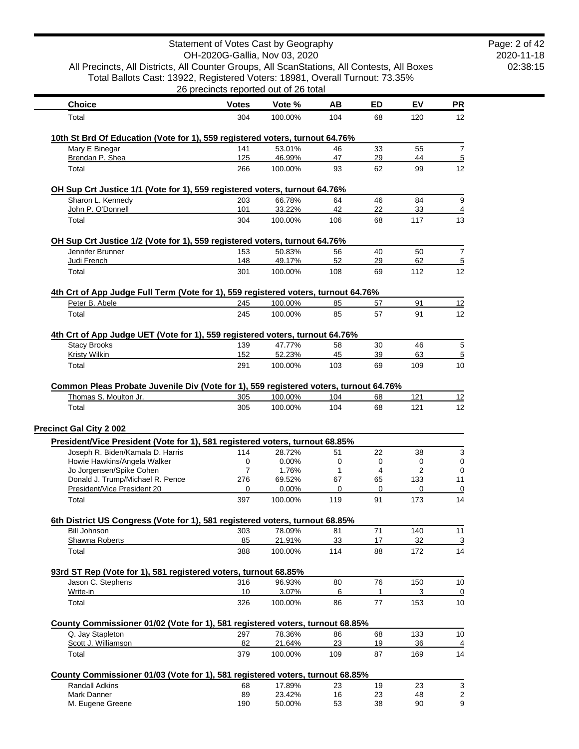|                                                                                                                |              | Statement of Votes Cast by Geography  |           |           |           |                                                                    |
|----------------------------------------------------------------------------------------------------------------|--------------|---------------------------------------|-----------|-----------|-----------|--------------------------------------------------------------------|
| All Precincts, All Districts, All Counter Groups, All ScanStations, All Contests, All Boxes                    |              | OH-2020G-Gallia, Nov 03, 2020         |           |           |           |                                                                    |
| Total Ballots Cast: 13922, Registered Voters: 18981, Overall Turnout: 73.35%                                   |              |                                       |           |           |           |                                                                    |
|                                                                                                                |              | 26 precincts reported out of 26 total |           |           |           |                                                                    |
| <b>Choice</b>                                                                                                  | <b>Votes</b> | Vote %                                | AВ        | <b>ED</b> | EV        | <b>PR</b>                                                          |
| Total                                                                                                          | 304          | 100.00%                               | 104       | 68        | 120       | 12                                                                 |
| 10th St Brd Of Education (Vote for 1), 559 registered voters, turnout 64.76%                                   |              |                                       |           |           |           |                                                                    |
| Mary E Binegar                                                                                                 | 141          | 53.01%                                | 46        | 33        | 55        | $\overline{7}$                                                     |
| Brendan P. Shea                                                                                                | 125          | 46.99%                                | 47        | 29        | 44        | $\overline{5}$                                                     |
| Total                                                                                                          | 266          | 100.00%                               | 93        | 62        | 99        | 12                                                                 |
| OH Sup Crt Justice 1/1 (Vote for 1), 559 registered voters, turnout 64.76%                                     |              |                                       |           |           |           |                                                                    |
| Sharon L. Kennedy<br>John P. O'Donnell                                                                         | 203<br>101   | 66.78%<br>33.22%                      | 64<br>42  | 46<br>22  | 84<br>33  | 9<br>4                                                             |
| Total                                                                                                          | 304          | 100.00%                               | 106       | 68        | 117       | 13                                                                 |
|                                                                                                                |              |                                       |           |           |           |                                                                    |
| OH Sup Crt Justice 1/2 (Vote for 1), 559 registered voters, turnout 64.76%<br>Jennifer Brunner                 | 153          | 50.83%                                | 56        | 40        | 50        | 7                                                                  |
| Judi French                                                                                                    | 148          | 49.17%                                | 52        | 29        | 62        | 5                                                                  |
| Total                                                                                                          | 301          | 100.00%                               | 108       | 69        | 112       | 12                                                                 |
| 4th Crt of App Judge Full Term (Vote for 1), 559 registered voters, turnout 64.76%                             |              |                                       |           |           |           |                                                                    |
| Peter B. Abele                                                                                                 | 245          | 100.00%                               | 85        | 57        | 91        | 12                                                                 |
| Total                                                                                                          | 245          | 100.00%                               | 85        | 57        | 91        | 12                                                                 |
|                                                                                                                |              |                                       |           |           |           |                                                                    |
| 4th Crt of App Judge UET (Vote for 1), 559 registered voters, turnout 64.76%<br><b>Stacy Brooks</b>            | 139          | 47.77%                                | 58        | 30        | 46        | 5                                                                  |
| <b>Kristy Wilkin</b>                                                                                           | 152          | 52.23%                                | 45        | 39        | 63        | $\overline{5}$                                                     |
| Total                                                                                                          | 291          | 100.00%                               | 103       | 69        | 109       | 10                                                                 |
| Common Pleas Probate Juvenile Div (Vote for 1), 559 registered voters, turnout 64.76%                          |              |                                       |           |           |           |                                                                    |
| Thomas S. Moulton Jr.                                                                                          | 305          | 100.00%                               | 104       | 68        | 121       | 12                                                                 |
| Total                                                                                                          | 305          | 100.00%                               | 104       | 68        | 121       | 12                                                                 |
| <b>Precinct Gal City 2 002</b>                                                                                 |              |                                       |           |           |           |                                                                    |
| President/Vice President (Vote for 1), 581 registered voters, turnout 68.85%                                   |              |                                       |           |           |           |                                                                    |
| Joseph R. Biden/Kamala D. Harris                                                                               | 114          | 28.72%                                | 51        | 22        | 38        | 3                                                                  |
| Howie Hawkins/Angela Walker                                                                                    | $\pmb{0}$    | 0.00%                                 | 0         | 0         | $\pmb{0}$ |                                                                    |
| Jo Jorgensen/Spike Cohen<br>Donald J. Trump/Michael R. Pence                                                   | 7<br>276     | 1.76%                                 | 1         | 4         |           |                                                                    |
| President/Vice President 20                                                                                    |              |                                       |           |           | 2         |                                                                    |
| Total                                                                                                          |              | 69.52%                                | 67        | 65        | 133       |                                                                    |
|                                                                                                                | 0<br>397     | 0.00%<br>100.00%                      | 0<br>119  | 0<br>91   | 0<br>173  |                                                                    |
|                                                                                                                |              |                                       |           |           |           |                                                                    |
|                                                                                                                |              |                                       |           |           |           |                                                                    |
| <b>Bill Johnson</b><br>Shawna Roberts                                                                          | 303<br>85    | 78.09%<br>21.91%                      | 81<br>33  | 71<br>17  | 140<br>32 |                                                                    |
| Total                                                                                                          | 388          | 100.00%                               | 114       | 88        | 172       |                                                                    |
| 6th District US Congress (Vote for 1), 581 registered voters, turnout 68.85%                                   |              |                                       |           |           |           |                                                                    |
| 93rd ST Rep (Vote for 1), 581 registered voters, turnout 68.85%<br>Jason C. Stephens                           | 316          | 96.93%                                | 80        | 76        | 150       | 0<br>0<br>11<br>$\overline{0}$<br>14<br>11<br><u>3</u><br>14<br>10 |
| Write-in                                                                                                       | 10           | 3.07%                                 | 6         | 1         | 3         | 0                                                                  |
| Total                                                                                                          | 326          | 100.00%                               | 86        | 77        | 153       | 10                                                                 |
|                                                                                                                |              |                                       |           |           |           |                                                                    |
| Q. Jay Stapleton                                                                                               | 297          | 78.36%                                | 86        | 68        | 133       | 10                                                                 |
| County Commissioner 01/02 (Vote for 1), 581 registered voters, turnout 68.85%<br>Scott J. Williamson<br>Total  | 82<br>379    | 21.64%<br>100.00%                     | 23<br>109 | 19<br>87  | 36<br>169 | 4<br>14                                                            |
|                                                                                                                |              |                                       |           |           |           |                                                                    |
|                                                                                                                |              |                                       |           |           |           |                                                                    |
| County Commissioner 01/03 (Vote for 1), 581 registered voters, turnout 68.85%<br>Randall Adkins<br>Mark Danner | 68<br>89     | 17.89%<br>23.42%                      | 23<br>16  | 19<br>23  | 23<br>48  | 3<br>2                                                             |

Page: 2 of 42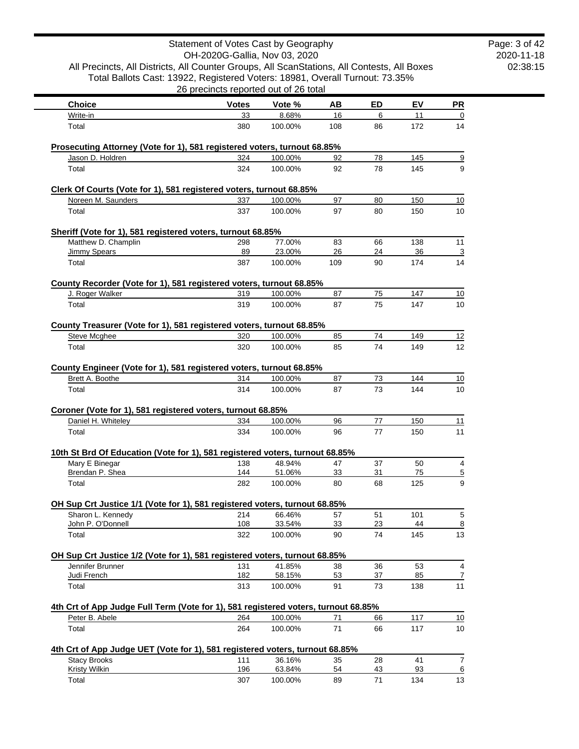|                                                                                                | Statement of Votes Cast by Geography  |                   |          |          |           |           |
|------------------------------------------------------------------------------------------------|---------------------------------------|-------------------|----------|----------|-----------|-----------|
|                                                                                                | OH-2020G-Gallia, Nov 03, 2020         |                   |          |          |           |           |
| All Precincts, All Districts, All Counter Groups, All ScanStations, All Contests, All Boxes    |                                       |                   |          |          |           |           |
| Total Ballots Cast: 13922, Registered Voters: 18981, Overall Turnout: 73.35%                   | 26 precincts reported out of 26 total |                   |          |          |           |           |
| <b>Choice</b>                                                                                  | <b>Votes</b>                          | Vote %            | AВ       | ED       | EV        | <u>PR</u> |
| Write-in                                                                                       | 33                                    | 8.68%             | 16       | 6        | 11        |           |
| Total                                                                                          | 380                                   | 100.00%           | 108      | 86       | 172       | 14        |
| Prosecuting Attorney (Vote for 1), 581 registered voters, turnout 68.85%                       |                                       |                   |          |          |           |           |
| Jason D. Holdren                                                                               | 324                                   | 100.00%           | 92       | 78       | 145       |           |
| Total                                                                                          | 324                                   | 100.00%           | 92       | 78       | 145       |           |
| Clerk Of Courts (Vote for 1), 581 registered voters, turnout 68.85%                            |                                       |                   |          |          |           |           |
| Noreen M. Saunders                                                                             | 337                                   | 100.00%           | 97       | 80       | 150       | 10        |
| Total                                                                                          | 337                                   | 100.00%           | 97       | 80       | 150       | 10        |
| Sheriff (Vote for 1), 581 registered voters, turnout 68.85%                                    |                                       |                   |          |          |           |           |
| Matthew D. Champlin                                                                            | 298                                   | 77.00%            | 83       | 66       | 138       | 11        |
| Jimmy Spears                                                                                   | 89                                    | 23.00%            | 26       | 24       | 36        |           |
| Total                                                                                          | 387                                   | 100.00%           | 109      | 90       | 174       | 14        |
| County Recorder (Vote for 1), 581 registered voters, turnout 68.85%                            |                                       |                   |          |          |           |           |
| J. Roger Walker                                                                                | 319                                   | 100.00%           | 87       | 75       | 147       | 10        |
| Total                                                                                          | 319                                   | 100.00%           | 87       | 75       | 147       | 10        |
| County Treasurer (Vote for 1), 581 registered voters, turnout 68.85%                           |                                       |                   |          |          |           |           |
| <b>Steve Mcghee</b>                                                                            | 320                                   | 100.00%           | 85       | 74       | 149       | 12        |
| Total                                                                                          | 320                                   | 100.00%           | 85       | 74       | 149       | 12        |
| County Engineer (Vote for 1), 581 registered voters, turnout 68.85%                            |                                       |                   |          |          |           |           |
| Brett A. Boothe                                                                                | 314                                   | 100.00%           | 87       | 73       | 144       | 10        |
| Total                                                                                          | 314                                   | 100.00%           | 87       | 73       | 144       | 10        |
| Coroner (Vote for 1), 581 registered voters, turnout 68.85%                                    |                                       |                   |          |          |           |           |
| Daniel H. Whiteley                                                                             | 334                                   | 100.00%           | 96       | 77       | 150       | 11        |
| Total                                                                                          | 334                                   | 100.00%           | 96       | 77       | 150       | 11        |
| 10th St Brd Of Education (Vote for 1), 581 registered voters, turnout 68.85%                   |                                       |                   |          |          |           |           |
| Mary E Binegar                                                                                 | 138                                   | 48.94%            | 47       | 37       | 50        |           |
| Brendan P. Shea                                                                                | 144                                   | 51.06%            | 33       | 31       | 75        |           |
| Total                                                                                          | 282                                   | 100.00%           | 80       | 68       | 125       |           |
| OH Sup Crt Justice 1/1 (Vote for 1), 581 registered voters, turnout 68.85%                     |                                       |                   |          |          |           |           |
| Sharon L. Kennedy                                                                              | 214                                   | 66.46%            | 57       | 51       | 101       |           |
| John P. O'Donnell<br>Total                                                                     | 108<br>322                            | 33.54%<br>100.00% | 33<br>90 | 23<br>74 | 44<br>145 | 13        |
|                                                                                                |                                       |                   |          |          |           |           |
| OH Sup Crt Justice 1/2 (Vote for 1), 581 registered voters, turnout 68.85%<br>Jennifer Brunner | 131                                   | 41.85%            | 38       | 36       | 53        |           |
| Judi French                                                                                    | 182                                   | 58.15%            | 53       | 37       | 85        |           |
| Total                                                                                          | 313                                   | 100.00%           | 91       | 73       | 138       | 11        |
| 4th Crt of App Judge Full Term (Vote for 1), 581 registered voters, turnout 68.85%             |                                       |                   |          |          |           |           |
| Peter B. Abele                                                                                 | 264                                   | 100.00%           | 71       | 66       | 117       | 10        |
| Total                                                                                          | 264                                   | 100.00%           | 71       | 66       | 117       | 10        |
| 4th Crt of App Judge UET (Vote for 1), 581 registered voters, turnout 68.85%                   |                                       |                   |          |          |           |           |
| <b>Stacy Brooks</b>                                                                            | 111                                   | 36.16%            | 35       | 28       | 41        |           |
| <b>Kristy Wilkin</b>                                                                           | 196                                   | 63.84%            | 54       | 43       | 93        |           |
| Total                                                                                          | 307                                   | 100.00%           | 89       | 71       | 134       | 13        |

Page: 3 of 42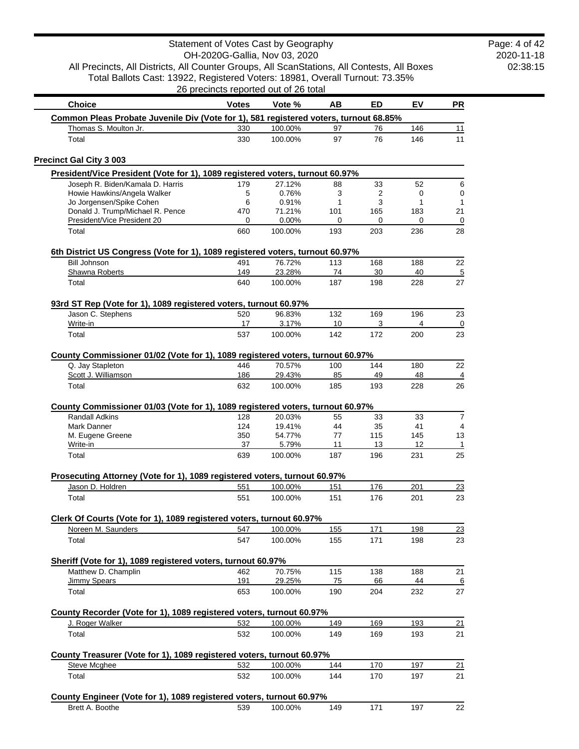Total Ballots Cast: 13922, Registered Voters: 18981, Overall Turnout: 73.35%

2020-11-18 02:38:15 Page: 4 of 42

| <b>Choice</b>                                                                                      | <b>Votes</b> | Vote %           | AВ        | ED         | EV         | <b>PR</b>            |
|----------------------------------------------------------------------------------------------------|--------------|------------------|-----------|------------|------------|----------------------|
| Common Pleas Probate Juvenile Div (Vote for 1), 581 registered voters, turnout 68.85%              |              |                  |           |            |            |                      |
| Thomas S. Moulton Jr.                                                                              | 330          | 100.00%          | 97        | 76         | 146        | 11                   |
| Total                                                                                              | 330          | 100.00%          | 97        | 76         | 146        | 11                   |
| <b>Precinct Gal City 3 003</b>                                                                     |              |                  |           |            |            |                      |
| President/Vice President (Vote for 1), 1089 registered voters, turnout 60.97%                      |              |                  |           |            |            |                      |
| Joseph R. Biden/Kamala D. Harris                                                                   | 179          | 27.12%           | 88        | 33         | 52         | 6                    |
| Howie Hawkins/Angela Walker                                                                        | 5            | 0.76%            | 3         | 2          | 0          | $\pmb{0}$            |
| Jo Jorgensen/Spike Cohen<br>Donald J. Trump/Michael R. Pence                                       | 6<br>470     | 0.91%<br>71.21%  | 1<br>101  | 3<br>165   | 1<br>183   | $\mathbf{1}$<br>21   |
| President/Vice President 20                                                                        | 0            | 0.00%            | 0         | 0          | 0          | $\overline{0}$       |
| Total                                                                                              | 660          | 100.00%          | 193       | 203        | 236        | 28                   |
| 6th District US Congress (Vote for 1), 1089 registered voters, turnout 60.97%                      |              |                  |           |            |            |                      |
| <b>Bill Johnson</b>                                                                                | 491          | 76.72%           | 113       | 168        | 188        | 22                   |
| Shawna Roberts                                                                                     | 149          | 23.28%           | 74        | 30         | 40         | $\overline{5}$       |
| Total                                                                                              | 640          | 100.00%          | 187       | 198        | 228        | 27                   |
| 93rd ST Rep (Vote for 1), 1089 registered voters, turnout 60.97%                                   |              |                  |           |            |            |                      |
| Jason C. Stephens                                                                                  | 520          | 96.83%           | 132       | 169        | 196        | 23                   |
| Write-in<br>Total                                                                                  | 17<br>537    | 3.17%<br>100.00% | 10<br>142 | 3<br>172   | 4<br>200   | 0<br>23              |
|                                                                                                    |              |                  |           |            |            |                      |
| County Commissioner 01/02 (Vote for 1), 1089 registered voters, turnout 60.97%<br>Q. Jay Stapleton | 446          | 70.57%           | 100       | 144        | 180        | 22                   |
| Scott J. Williamson                                                                                | 186          | 29.43%           | 85        | 49         | 48         | $\overline{4}$       |
| Total                                                                                              | 632          | 100.00%          | 185       | 193        | 228        | 26                   |
| County Commissioner 01/03 (Vote for 1), 1089 registered voters, turnout 60.97%                     |              |                  |           |            |            |                      |
| <b>Randall Adkins</b>                                                                              | 128          | 20.03%           | 55        | 33         | 33         | $\overline{7}$       |
| Mark Danner                                                                                        | 124          | 19.41%           | 44        | 35         | 41         | 4                    |
| M. Eugene Greene                                                                                   | 350          | 54.77%           | 77        | 115        | 145        | 13                   |
| Write-in<br>Total                                                                                  | 37<br>639    | 5.79%<br>100.00% | 11<br>187 | 13<br>196  | 12<br>231  | $\mathbf{1}$<br>25   |
|                                                                                                    |              |                  |           |            |            |                      |
| Prosecuting Attorney (Vote for 1), 1089 registered voters, turnout 60.97%<br>Jason D. Holdren      | 551          | 100.00%          | 151       | 176        | 201        | 23                   |
| Total                                                                                              | 551          | 100.00%          | 151       | 176        | 201        | 23                   |
|                                                                                                    |              |                  |           |            |            |                      |
| Clerk Of Courts (Vote for 1), 1089 registered voters, turnout 60.97%<br>Noreen M. Saunders         | 547          | 100.00%          | 155       | 171        | 198        |                      |
| Total                                                                                              | 547          | 100.00%          | 155       | 171        | 198        | $\frac{23}{2}$<br>23 |
|                                                                                                    |              |                  |           |            |            |                      |
| Sheriff (Vote for 1), 1089 registered voters, turnout 60.97%                                       |              |                  |           |            |            |                      |
| Matthew D. Champlin<br><b>Jimmy Spears</b>                                                         | 462<br>191   | 70.75%<br>29.25% | 115<br>75 | 138<br>66  | 188<br>44  | 21<br><u>6</u>       |
| Total                                                                                              | 653          | 100.00%          | 190       | 204        | 232        | 27                   |
|                                                                                                    |              |                  |           |            |            |                      |
| County Recorder (Vote for 1), 1089 registered voters, turnout 60.97%<br>J. Roger Walker            | 532          | 100.00%          | 149       | 169        | 193        | 21                   |
| Total                                                                                              | 532          | 100.00%          | 149       | 169        | 193        | 21                   |
| County Treasurer (Vote for 1), 1089 registered voters, turnout 60.97%                              |              |                  |           |            |            |                      |
| Steve Mcghee                                                                                       | 532          | 100.00%          | 144       | <u>170</u> | <u>197</u> | 21                   |
| Total                                                                                              | 532          | 100.00%          | 144       | 170        | 197        | 21                   |
| County Engineer (Vote for 1), 1089 registered voters, turnout 60.97%                               |              |                  |           |            |            |                      |
| Brett A. Boothe                                                                                    | 539          | 100.00%          | 149       | 171        | 197        | 22                   |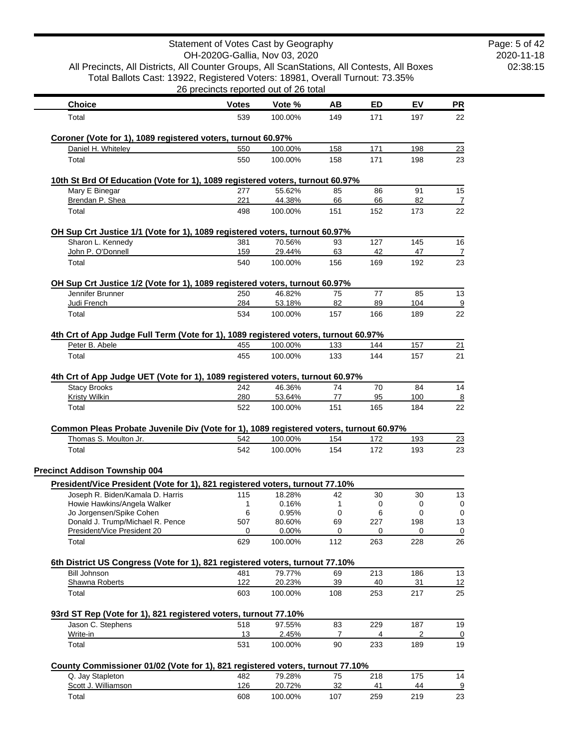|                                                                                             | Statement of Votes Cast by Geography<br>OH-2020G-Gallia, Nov 03, 2020 |                  |          |           |           |                      |
|---------------------------------------------------------------------------------------------|-----------------------------------------------------------------------|------------------|----------|-----------|-----------|----------------------|
| All Precincts, All Districts, All Counter Groups, All ScanStations, All Contests, All Boxes |                                                                       |                  |          |           |           |                      |
| Total Ballots Cast: 13922, Registered Voters: 18981, Overall Turnout: 73.35%                |                                                                       |                  |          |           |           |                      |
|                                                                                             | 26 precincts reported out of 26 total                                 |                  |          |           |           |                      |
| <b>Choice</b>                                                                               | <b>Votes</b>                                                          | Vote %           | AВ       | <b>ED</b> | EV        | <u>PR</u>            |
| Total                                                                                       | 539                                                                   | 100.00%          | 149      | 171       | 197       | 22                   |
|                                                                                             |                                                                       |                  |          |           |           |                      |
| Coroner (Vote for 1), 1089 registered voters, turnout 60.97%                                |                                                                       |                  |          |           |           |                      |
| Daniel H. Whiteley                                                                          | 550<br>550                                                            | 100.00%          | 158      | 171       | 198       | 23                   |
| Total                                                                                       |                                                                       | 100.00%          | 158      | 171       | 198       | 23                   |
| 10th St Brd Of Education (Vote for 1), 1089 registered voters, turnout 60.97%               |                                                                       |                  |          |           |           |                      |
| Mary E Binegar                                                                              | 277                                                                   | 55.62%           | 85       | 86        | 91        | 15                   |
| Brendan P. Shea                                                                             | 221                                                                   | 44.38%           | 66       | 66        | 82        | $\overline{7}$       |
| Total                                                                                       | 498                                                                   | 100.00%          | 151      | 152       | 173       | 22                   |
| OH Sup Crt Justice 1/1 (Vote for 1), 1089 registered voters, turnout 60.97%                 |                                                                       |                  |          |           |           |                      |
| Sharon L. Kennedy                                                                           | 381                                                                   | 70.56%           | 93       | 127       | 145       | 16                   |
| John P. O'Donnell                                                                           | 159                                                                   | 29.44%           | 63       | 42        | 47        | 7                    |
| Total                                                                                       | 540                                                                   | 100.00%          | 156      | 169       | 192       | 23                   |
| OH Sup Crt Justice 1/2 (Vote for 1), 1089 registered voters, turnout 60.97%                 |                                                                       |                  |          |           |           |                      |
| Jennifer Brunner                                                                            | 250                                                                   | 46.82%           | 75       | 77        | 85        | 13                   |
| Judi French                                                                                 | 284                                                                   | 53.18%           | 82       | 89        | 104       | $\overline{9}$       |
| Total                                                                                       | 534                                                                   | 100.00%          | 157      | 166       | 189       | 22                   |
| 4th Crt of App Judge Full Term (Vote for 1), 1089 registered voters, turnout 60.97%         |                                                                       |                  |          |           |           |                      |
| Peter B. Abele                                                                              | 455                                                                   | 100.00%          | 133      | 144       | 157       | 21                   |
| Total                                                                                       | 455                                                                   | 100.00%          | 133      | 144       | 157       | 21                   |
|                                                                                             |                                                                       |                  |          |           |           |                      |
| 4th Crt of App Judge UET (Vote for 1), 1089 registered voters, turnout 60.97%               |                                                                       |                  |          |           |           |                      |
| <b>Stacy Brooks</b><br><b>Kristy Wilkin</b>                                                 | 242<br>280                                                            | 46.36%<br>53.64% | 74<br>77 | 70<br>95  | 84<br>100 | 14<br>$\overline{8}$ |
| Total                                                                                       | 522                                                                   | 100.00%          | 151      | 165       | 184       | 22                   |
|                                                                                             |                                                                       |                  |          |           |           |                      |
| Common Pleas Probate Juvenile Div (Vote for 1), 1089 registered voters, turnout 60.97%      |                                                                       |                  |          |           |           |                      |
| Thomas S. Moulton Jr.                                                                       | 542                                                                   | 100.00%          | 154      | 172       | 193       | 23                   |
| Total                                                                                       | 542                                                                   | 100.00%          | 154      | 172       | 193       | 23                   |
| <b>Precinct Addison Township 004</b>                                                        |                                                                       |                  |          |           |           |                      |
| President/Vice President (Vote for 1), 821 registered voters, turnout 77.10%                |                                                                       |                  |          |           |           |                      |
| Joseph R. Biden/Kamala D. Harris                                                            | 115                                                                   | 18.28%           | 42       | 30        | 30        | 13                   |
| Howie Hawkins/Angela Walker                                                                 | 1                                                                     | 0.16%            | 1        | 0         | 0         | 0                    |
| Jo Jorgensen/Spike Cohen<br>Donald J. Trump/Michael R. Pence                                | 6<br>507                                                              | 0.95%<br>80.60%  | 0<br>69  | 6<br>227  | 0<br>198  | 0<br>13              |
| President/Vice President 20                                                                 | 0                                                                     | $0.00\%$         | 0        | 0         | 0         | 0                    |
| Total                                                                                       | 629                                                                   | 100.00%          | 112      | 263       | 228       | 26                   |
|                                                                                             |                                                                       |                  |          |           |           |                      |
| 6th District US Congress (Vote for 1), 821 registered voters, turnout 77.10%                |                                                                       |                  |          |           |           |                      |
| <b>Bill Johnson</b><br>Shawna Roberts                                                       | 481<br>122                                                            | 79.77%<br>20.23% | 69<br>39 | 213<br>40 | 186<br>31 | 13<br>12             |
| Total                                                                                       | 603                                                                   | 100.00%          | 108      | 253       | 217       | 25                   |
|                                                                                             |                                                                       |                  |          |           |           |                      |
| 93rd ST Rep (Vote for 1), 821 registered voters, turnout 77.10%                             |                                                                       |                  |          |           |           |                      |
| Jason C. Stephens                                                                           | 518                                                                   | 97.55%           | 83       | 229       | 187       | 19                   |
| Write-in<br>Total                                                                           | 13<br>531                                                             | 2.45%<br>100.00% | 7<br>90  | 4<br>233  | 2<br>189  | 0<br>19              |
|                                                                                             |                                                                       |                  |          |           |           |                      |
| County Commissioner 01/02 (Vote for 1), 821 registered voters, turnout 77.10%               |                                                                       |                  |          |           |           |                      |
| Q. Jay Stapleton                                                                            | 482                                                                   | 79.28%           | 75       | 218       | 175       | 14                   |
| Scott J. Williamson                                                                         | 126                                                                   | 20.72%           | 32       | 41        | 44        | $\overline{9}$       |
| Total                                                                                       | 608                                                                   | 100.00%          | 107      | 259       | 219       | 23                   |

Page: 5 of 42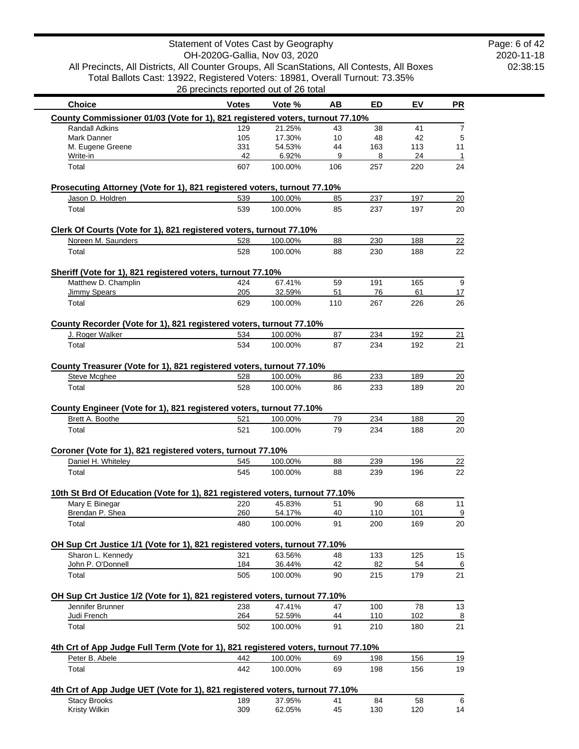2020-11-18 02:38:15 Page: 6 of 42

|                                                                                                      | 26 precincts reported out of 26 total |                   |          |            |            |                      |
|------------------------------------------------------------------------------------------------------|---------------------------------------|-------------------|----------|------------|------------|----------------------|
| <b>Choice</b>                                                                                        | <b>Votes</b>                          | Vote %            | AB       | <b>ED</b>  | EV         | <b>PR</b>            |
| County Commissioner 01/03 (Vote for 1), 821 registered voters, turnout 77.10%                        |                                       |                   |          |            |            |                      |
| Randall Adkins                                                                                       | 129                                   | 21.25%            | 43       | 38         | 41         | $\overline{7}$       |
| Mark Danner                                                                                          | 105                                   | 17.30%            | 10       | 48         | 42         | 5                    |
| M. Eugene Greene<br>Write-in                                                                         | 331<br>42                             | 54.53%<br>6.92%   | 44<br>9  | 163<br>8   | 113<br>24  | 11<br>$\overline{1}$ |
| Total                                                                                                | 607                                   | 100.00%           | 106      | 257        | 220        | 24                   |
| Prosecuting Attorney (Vote for 1), 821 registered voters, turnout 77.10%                             |                                       |                   |          |            |            |                      |
| Jason D. Holdren                                                                                     | 539                                   | 100.00%           | 85       | 237        | 197        | 20                   |
| Total                                                                                                | 539                                   | 100.00%           | 85       | 237        | 197        | 20                   |
| Clerk Of Courts (Vote for 1), 821 registered voters, turnout 77.10%                                  |                                       |                   |          |            |            |                      |
| Noreen M. Saunders                                                                                   | 528                                   | 100.00%           | 88       | 230        | 188        | 22                   |
| Total                                                                                                | 528                                   | 100.00%           | 88       | 230        | 188        | 22                   |
| Sheriff (Vote for 1), 821 registered voters, turnout 77.10%                                          |                                       |                   |          |            |            |                      |
| Matthew D. Champlin                                                                                  | 424                                   | 67.41%            | 59       | 191        | 165        | 9                    |
| <b>Jimmy Spears</b>                                                                                  | 205                                   | 32.59%            | 51       | 76         | 61         | 17                   |
| Total                                                                                                | 629                                   | 100.00%           | 110      | 267        | 226        | 26                   |
| County Recorder (Vote for 1), 821 registered voters, turnout 77.10%                                  |                                       |                   |          |            |            |                      |
| J. Roger Walker                                                                                      | 534                                   | 100.00%           | 87       | 234        | 192        | 21                   |
| Total                                                                                                | 534                                   | 100.00%           | 87       | 234        | 192        | 21                   |
| County Treasurer (Vote for 1), 821 registered voters, turnout 77.10%                                 |                                       |                   |          |            |            |                      |
| Steve Mcghee                                                                                         | 528                                   | 100.00%           | 86       | 233        | 189        | 20                   |
| Total                                                                                                | 528                                   | 100.00%           | 86       | 233        | 189        | 20                   |
| County Engineer (Vote for 1), 821 registered voters, turnout 77.10%                                  |                                       |                   |          |            |            |                      |
| Brett A. Boothe                                                                                      | 521                                   | 100.00%           | 79       | 234        | 188        | 20                   |
| Total                                                                                                | 521                                   | 100.00%           | 79       | 234        | 188        | 20                   |
| Coroner (Vote for 1), 821 registered voters, turnout 77.10%                                          |                                       |                   |          |            |            |                      |
| Daniel H. Whiteley                                                                                   | 545                                   | 100.00%           | 88       | 239        | 196        | 22                   |
| Total                                                                                                | 545                                   | 100.00%           | 88       | 239        | 196        | 22                   |
| 10th St Brd Of Education (Vote for 1), 821 registered voters, turnout 77.10%                         |                                       |                   |          |            |            |                      |
| Mary E Binegar                                                                                       | 220                                   | 45.83%            | 51       | 90         | 68         | 11                   |
| Brendan P. Shea                                                                                      | 260                                   | 54.17%            | 40       | 110        | 101        | $\overline{9}$       |
| Total                                                                                                | 480                                   | 100.00%           | 91       | 200        | 169        | 20                   |
| OH Sup Crt Justice 1/1 (Vote for 1), 821 registered voters, turnout 77.10%                           |                                       |                   |          |            |            |                      |
| Sharon L. Kennedy                                                                                    | 321                                   | 63.56%            | 48       | 133        | 125        | 15                   |
| John P. O'Donnell                                                                                    | 184                                   | 36.44%            | 42       | 82         | 54         | 6                    |
| Total                                                                                                | 505                                   | 100.00%           | 90       | 215        | 179        | 21                   |
| OH Sup Crt Justice 1/2 (Vote for 1), 821 registered voters, turnout 77.10%                           |                                       |                   |          |            |            |                      |
| Jennifer Brunner                                                                                     | 238                                   | 47.41%            | 47       | 100        | 78         | 13                   |
| Judi French<br>Total                                                                                 | 264<br>502                            | 52.59%<br>100.00% | 44<br>91 | 110<br>210 | 102<br>180 | $\overline{8}$<br>21 |
|                                                                                                      |                                       |                   |          |            |            |                      |
| 4th Crt of App Judge Full Term (Vote for 1), 821 registered voters, turnout 77.10%<br>Peter B. Abele | 442                                   | 100.00%           | 69       | 198        | 156        | <u>19</u>            |
| Total                                                                                                | 442                                   | 100.00%           | 69       | 198        | 156        | 19                   |
|                                                                                                      |                                       |                   |          |            |            |                      |
|                                                                                                      |                                       |                   |          |            |            |                      |
| 4th Crt of App Judge UET (Vote for 1), 821 registered voters, turnout 77.10%<br><b>Stacy Brooks</b>  | 189                                   | 37.95%            | 41       | 84         | 58         | 6                    |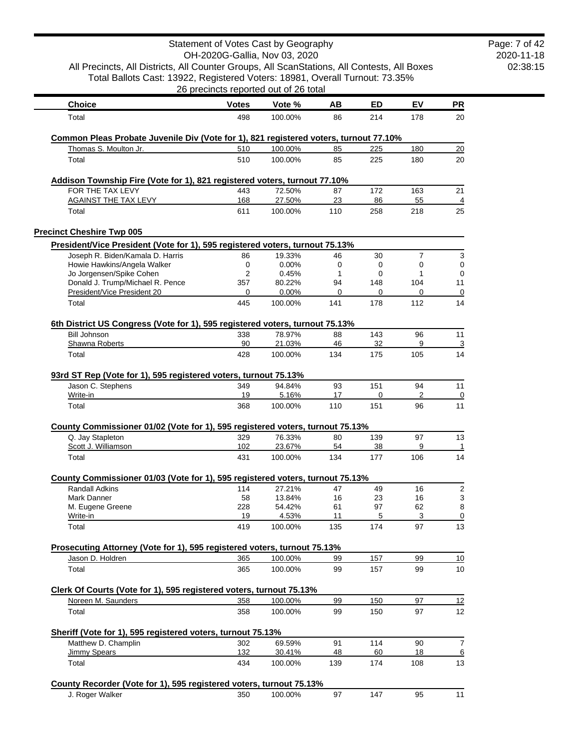| All Precincts, All Districts, All Counter Groups, All ScanStations, All Contests, All Boxes       | Statement of Votes Cast by Geography<br>OH-2020G-Gallia, Nov 03, 2020 |                   |           |             |                |                 | Page: 7 of 42<br>2020-11-18<br>02:38:15 |
|---------------------------------------------------------------------------------------------------|-----------------------------------------------------------------------|-------------------|-----------|-------------|----------------|-----------------|-----------------------------------------|
| Total Ballots Cast: 13922, Registered Voters: 18981, Overall Turnout: 73.35%                      | 26 precincts reported out of 26 total                                 |                   |           |             |                |                 |                                         |
| <b>Choice</b>                                                                                     | <b>Votes</b>                                                          | Vote %            | AВ        | ED          | EV             | <b>PR</b>       |                                         |
| Total                                                                                             | 498                                                                   | 100.00%           | 86        | 214         | 178            | 20              |                                         |
| Common Pleas Probate Juvenile Div (Vote for 1), 821 registered voters, turnout 77.10%             |                                                                       |                   |           |             |                |                 |                                         |
| Thomas S. Moulton Jr.                                                                             | 510                                                                   | 100.00%           | 85        | 225         | 180            | 20              |                                         |
| Total                                                                                             | 510                                                                   | 100.00%           | 85        | 225         | 180            | 20              |                                         |
| Addison Township Fire (Vote for 1), 821 registered voters, turnout 77.10%                         |                                                                       |                   |           |             |                |                 |                                         |
| FOR THE TAX LEVY                                                                                  | 443                                                                   | 72.50%            | 87        | 172         | 163            | 21              |                                         |
| <b>AGAINST THE TAX LEVY</b>                                                                       | 168                                                                   | 27.50%            | 23        | 86          | 55             | 4               |                                         |
| Total                                                                                             | 611                                                                   | 100.00%           | 110       | 258         | 218            | 25              |                                         |
| <b>Precinct Cheshire Twp 005</b>                                                                  |                                                                       |                   |           |             |                |                 |                                         |
| President/Vice President (Vote for 1), 595 registered voters, turnout 75.13%                      |                                                                       |                   |           |             |                |                 |                                         |
| Joseph R. Biden/Kamala D. Harris                                                                  | 86                                                                    | 19.33%            | 46        | 30          | $\overline{7}$ | 3               |                                         |
| Howie Hawkins/Angela Walker                                                                       | 0                                                                     | 0.00%             | 0         | $\mathbf 0$ | $\mathbf 0$    | $\mathbf 0$     |                                         |
| Jo Jorgensen/Spike Cohen                                                                          | 2                                                                     | 0.45%             | 1         | 0           | 1              | 0               |                                         |
| Donald J. Trump/Michael R. Pence                                                                  | 357                                                                   | 80.22%            | 94        | 148         | 104            | 11              |                                         |
| President/Vice President 20                                                                       | 0                                                                     | $0.00\%$          | 0         | 0           | 0              | 0               |                                         |
| Total                                                                                             | 445                                                                   | 100.00%           | 141       | 178         | 112            | 14              |                                         |
| 6th District US Congress (Vote for 1), 595 registered voters, turnout 75.13%                      |                                                                       |                   |           |             |                |                 |                                         |
| <b>Bill Johnson</b>                                                                               | 338                                                                   | 78.97%            | 88        | 143         | 96             | 11              |                                         |
| Shawna Roberts<br>Total                                                                           | 90<br>428                                                             | 21.03%<br>100.00% | 46<br>134 | 32<br>175   | 9<br>105       | 3<br>14         |                                         |
| 93rd ST Rep (Vote for 1), 595 registered voters, turnout 75.13%                                   |                                                                       |                   |           |             |                |                 |                                         |
| Jason C. Stephens                                                                                 | 349                                                                   | 94.84%            | 93        | 151         | 94             | 11              |                                         |
| Write-in<br>Total                                                                                 | 19<br>368                                                             | 5.16%<br>100.00%  | 17<br>110 | 0<br>151    | 2<br>96        | 0<br>11         |                                         |
|                                                                                                   |                                                                       |                   |           |             |                |                 |                                         |
| County Commissioner 01/02 (Vote for 1), 595 registered voters, turnout 75.13%<br>Q. Jay Stapleton | 329                                                                   | 76.33%            | 80        | 139         | 97             | 13              |                                         |
| Scott J. Williamson                                                                               | 102                                                                   | 23.67%            | 54        | 38          | 9              | $\mathbf{1}$    |                                         |
| Total                                                                                             | 431                                                                   | 100.00%           | 134       | 177         | 106            | 14              |                                         |
| County Commissioner 01/03 (Vote for 1), 595 registered voters, turnout 75.13%                     |                                                                       |                   |           |             |                |                 |                                         |
| Randall Adkins                                                                                    | 114                                                                   | 27.21%            | 47        | 49          | 16             | $\overline{c}$  |                                         |
| Mark Danner                                                                                       | 58                                                                    | 13.84%            | 16        | 23          | 16             | 3               |                                         |
| M. Eugene Greene                                                                                  | 228                                                                   | 54.42%            | 61        | 97          | 62             | 8               |                                         |
| Write-in                                                                                          | 19                                                                    | 4.53%             | 11        | 5           | 3              | 0               |                                         |
| Total                                                                                             | 419                                                                   | 100.00%           | 135       | 174         | 97             | 13              |                                         |
| Prosecuting Attorney (Vote for 1), 595 registered voters, turnout 75.13%                          |                                                                       |                   |           |             |                |                 |                                         |
| Jason D. Holdren                                                                                  | 365                                                                   | 100.00%           | 99        | 157         | 99             | 10              |                                         |
| Total                                                                                             | 365                                                                   | 100.00%           | 99        | 157         | 99             | 10              |                                         |
| Clerk Of Courts (Vote for 1), 595 registered voters, turnout 75.13%                               |                                                                       |                   |           |             |                |                 |                                         |
| Noreen M. Saunders                                                                                | 358                                                                   | 100.00%           | 99        | 150         | 97             | 12              |                                         |
| Total                                                                                             | 358                                                                   | 100.00%           | 99        | 150         | 97             | 12              |                                         |
|                                                                                                   |                                                                       |                   |           |             |                |                 |                                         |
| Sheriff (Vote for 1), 595 registered voters, turnout 75.13%<br>Matthew D. Champlin                | 302                                                                   | 69.59%            | 91        | 114         | 90             | $\overline{7}$  |                                         |
| <b>Jimmy Spears</b>                                                                               | 132                                                                   | 30.41%            | 48        | 60          | 18             | $\underline{6}$ |                                         |
| Total                                                                                             | 434                                                                   | 100.00%           | 139       | 174         | 108            | 13              |                                         |
| County Recorder (Vote for 1), 595 registered voters, turnout 75.13%                               |                                                                       |                   |           |             |                |                 |                                         |
| J. Roger Walker                                                                                   | 350                                                                   | 100.00%           | 97        | 147         | 95             | 11              |                                         |
|                                                                                                   |                                                                       |                   |           |             |                |                 |                                         |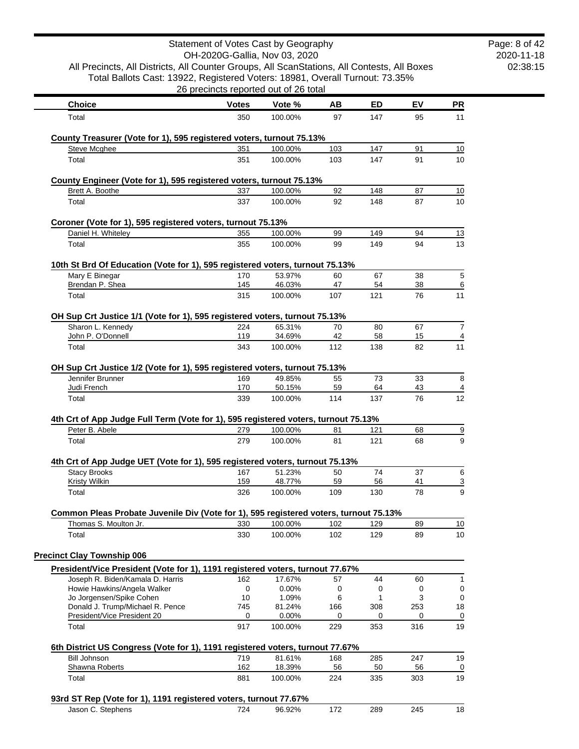|                                                                                                                | Statement of Votes Cast by Geography  |                    |          |          |          |                       |
|----------------------------------------------------------------------------------------------------------------|---------------------------------------|--------------------|----------|----------|----------|-----------------------|
| All Precincts, All Districts, All Counter Groups, All ScanStations, All Contests, All Boxes                    | OH-2020G-Gallia, Nov 03, 2020         |                    |          |          |          |                       |
| Total Ballots Cast: 13922, Registered Voters: 18981, Overall Turnout: 73.35%                                   |                                       |                    |          |          |          |                       |
|                                                                                                                | 26 precincts reported out of 26 total |                    |          |          |          |                       |
| <b>Choice</b>                                                                                                  | <b>Votes</b>                          | Vote %             | AB       | ED       | EV       | <b>PR</b>             |
| Total                                                                                                          | 350                                   | 100.00%            | 97       | 147      | 95       | 11                    |
| County Treasurer (Vote for 1), 595 registered voters, turnout 75.13%                                           |                                       |                    |          |          |          |                       |
| <b>Steve Mcghee</b>                                                                                            | 351                                   | 100.00%            | 103      | 147      | 91       | 10                    |
| Total                                                                                                          | 351                                   | 100.00%            | 103      | 147      | 91       | 10                    |
|                                                                                                                |                                       |                    |          |          |          |                       |
| County Engineer (Vote for 1), 595 registered voters, turnout 75.13%<br>Brett A. Boothe                         | 337                                   | 100.00%            | 92       | 148      | 87       | 10                    |
| Total                                                                                                          | 337                                   | 100.00%            | 92       | 148      | 87       | 10                    |
|                                                                                                                |                                       |                    |          |          |          |                       |
| Coroner (Vote for 1), 595 registered voters, turnout 75.13%                                                    |                                       |                    |          | 149      |          |                       |
| Daniel H. Whiteley<br>Total                                                                                    | 355<br>355                            | 100.00%<br>100.00% | 99<br>99 | 149      | 94<br>94 | <u>13</u><br>13       |
|                                                                                                                |                                       |                    |          |          |          |                       |
| 10th St Brd Of Education (Vote for 1), 595 registered voters, turnout 75.13%                                   |                                       |                    |          |          |          |                       |
| Mary E Binegar<br>Brendan P. Shea                                                                              | 170<br>145                            | 53.97%<br>46.03%   | 60<br>47 | 67<br>54 | 38<br>38 | 5<br>6                |
| Total                                                                                                          | 315                                   | 100.00%            | 107      | 121      | 76       | 11                    |
|                                                                                                                |                                       |                    |          |          |          |                       |
| OH Sup Crt Justice 1/1 (Vote for 1), 595 registered voters, turnout 75.13%                                     |                                       |                    |          |          |          |                       |
| Sharon L. Kennedy<br>John P. O'Donnell                                                                         | 224<br>119                            | 65.31%<br>34.69%   | 70<br>42 | 80<br>58 | 67<br>15 | $\overline{7}$<br>4   |
| Total                                                                                                          | 343                                   | 100.00%            | 112      | 138      | 82       | 11                    |
|                                                                                                                |                                       |                    |          |          |          |                       |
| OH Sup Crt Justice 1/2 (Vote for 1), 595 registered voters, turnout 75.13%<br>Jennifer Brunner                 | 169                                   | 49.85%             | 55       | 73       | 33       | 8                     |
| Judi French                                                                                                    | 170                                   | 50.15%             | 59       | 64       | 43       | 4                     |
| Total                                                                                                          | 339                                   | 100.00%            | 114      | 137      | 76       | 12                    |
|                                                                                                                |                                       |                    |          |          |          |                       |
| 4th Crt of App Judge Full Term (Vote for 1), 595 registered voters, turnout 75.13%<br>Peter B. Abele           | 279                                   | 100.00%            | 81       | 121      | 68       | $\overline{\partial}$ |
| Total                                                                                                          | 279                                   | 100.00%            | 81       | 121      | 68       | 9                     |
|                                                                                                                |                                       |                    |          |          |          |                       |
| 4th Crt of App Judge UET (Vote for 1), 595 registered voters, turnout 75.13%                                   |                                       |                    |          |          |          |                       |
| <b>Stacy Brooks</b><br><b>Kristy Wilkin</b>                                                                    | 167<br>159                            | 51.23%<br>48.77%   | 50<br>59 | 74<br>56 | 37<br>41 | 6<br><u>3</u>         |
| Total                                                                                                          | 326                                   | 100.00%            | 109      | 130      | 78       | 9                     |
|                                                                                                                |                                       |                    |          |          |          |                       |
| Common Pleas Probate Juvenile Div (Vote for 1), 595 registered voters, turnout 75.13%<br>Thomas S. Moulton Jr. | 330                                   | 100.00%            | 102      | 129      | 89       | 10                    |
| Total                                                                                                          | 330                                   | 100.00%            | 102      | 129      | 89       | 10                    |
|                                                                                                                |                                       |                    |          |          |          |                       |
| <b>Precinct Clay Township 006</b>                                                                              |                                       |                    |          |          |          |                       |
| President/Vice President (Vote for 1), 1191 registered voters, turnout 77.67%                                  |                                       |                    |          |          |          |                       |
| Joseph R. Biden/Kamala D. Harris<br>Howie Hawkins/Angela Walker                                                | 162<br>0                              | 17.67%<br>0.00%    | 57<br>0  | 44<br>0  | 60<br>0  | 1<br>0                |
| Jo Jorgensen/Spike Cohen                                                                                       | 10                                    | 1.09%              | 6        | 1        | 3        | 0                     |
| Donald J. Trump/Michael R. Pence                                                                               | 745                                   | 81.24%             | 166      | 308      | 253      | 18                    |
| President/Vice President 20                                                                                    | 0                                     | 0.00%              | 0        | 0        | 0        | 0                     |
| Total                                                                                                          | 917                                   | 100.00%            | 229      | 353      | 316      | 19                    |
| 6th District US Congress (Vote for 1), 1191 registered voters, turnout 77.67%                                  |                                       |                    |          |          |          |                       |
| <b>Bill Johnson</b>                                                                                            | 719                                   | 81.61%             | 168      | 285      | 247      | 19                    |
| Shawna Roberts                                                                                                 | 162                                   | 18.39%             | 56       | 50       | 56       | 0                     |
| Total                                                                                                          | 881                                   | 100.00%            | 224      | 335      | 303      | 19                    |
| 93rd ST Rep (Vote for 1), 1191 registered voters, turnout 77.67%                                               |                                       |                    |          |          |          |                       |
| Jason C. Stephens                                                                                              | 724                                   | 96.92%             | 172      | 289      | 245      | 18                    |
|                                                                                                                |                                       |                    |          |          |          |                       |

2020-11-18 02:38:15 Page: 8 of 42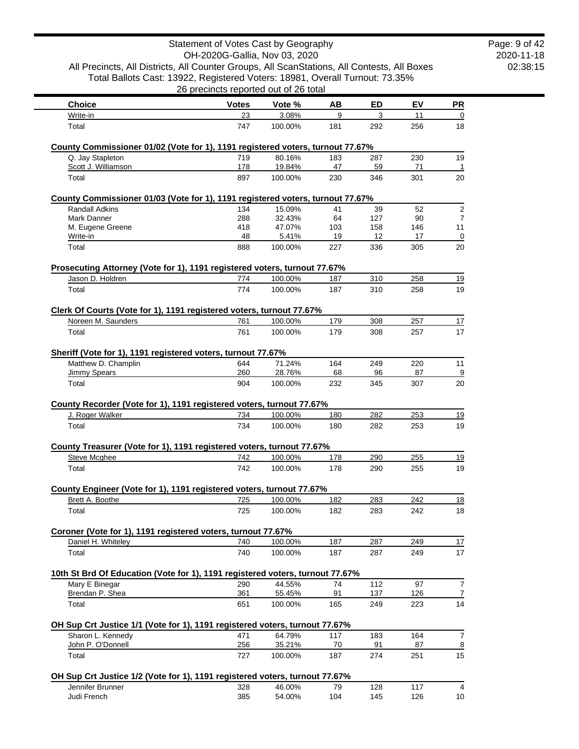|                                                                                               | Statement of Votes Cast by Geography  |                  |           |           |           |           |
|-----------------------------------------------------------------------------------------------|---------------------------------------|------------------|-----------|-----------|-----------|-----------|
|                                                                                               | OH-2020G-Gallia, Nov 03, 2020         |                  |           |           |           |           |
| All Precincts, All Districts, All Counter Groups, All ScanStations, All Contests, All Boxes   |                                       |                  |           |           |           |           |
| Total Ballots Cast: 13922, Registered Voters: 18981, Overall Turnout: 73.35%                  | 26 precincts reported out of 26 total |                  |           |           |           |           |
| <b>Choice</b>                                                                                 | <b>Votes</b>                          | Vote %           | AB        | ED        | EV        | <u>PR</u> |
| Write-in                                                                                      | 23                                    | 3.08%            | 9         | 3         | 11        |           |
| Total                                                                                         | 747                                   | 100.00%          | 181       | 292       | 256       | 18        |
| County Commissioner 01/02 (Vote for 1), 1191 registered voters, turnout 77.67%                |                                       |                  |           |           |           |           |
| Q. Jay Stapleton                                                                              | 719                                   | 80.16%           | 183       | 287       | 230       | 19        |
| Scott J. Williamson                                                                           | 178                                   | 19.84%           | 47        | 59        | 71        |           |
| Total                                                                                         | 897                                   | 100.00%          | 230       | 346       | 301       | 20        |
| County Commissioner 01/03 (Vote for 1), 1191 registered voters, turnout 77.67%                |                                       |                  |           |           |           |           |
| <b>Randall Adkins</b>                                                                         | 134                                   | 15.09%           | 41        | 39        | 52        |           |
| Mark Danner                                                                                   | 288                                   | 32.43%           | 64        | 127       | 90        |           |
| M. Eugene Greene<br>Write-in                                                                  | 418<br>48                             | 47.07%<br>5.41%  | 103<br>19 | 158<br>12 | 146<br>17 | 11        |
| Total                                                                                         | 888                                   | 100.00%          | 227       | 336       | 305       | 20        |
|                                                                                               |                                       |                  |           |           |           |           |
| Prosecuting Attorney (Vote for 1), 1191 registered voters, turnout 77.67%<br>Jason D. Holdren | 774                                   | 100.00%          | 187       | 310       | 258       | <u>19</u> |
| Total                                                                                         | 774                                   | 100.00%          | 187       | 310       | 258       | 19        |
|                                                                                               |                                       |                  |           |           |           |           |
| Clerk Of Courts (Vote for 1), 1191 registered voters, turnout 77.67%                          |                                       |                  |           |           |           |           |
| Noreen M. Saunders                                                                            | 761                                   | 100.00%          | 179       | 308       | 257       | 17        |
| Total                                                                                         | 761                                   | 100.00%          | 179       | 308       | 257       | 17        |
| Sheriff (Vote for 1), 1191 registered voters, turnout 77.67%                                  |                                       |                  |           |           |           |           |
| Matthew D. Champlin<br>Jimmy Spears                                                           | 644<br>260                            | 71.24%<br>28.76% | 164<br>68 | 249<br>96 | 220<br>87 | 11        |
| Total                                                                                         | 904                                   | 100.00%          | 232       | 345       | 307       | 20        |
|                                                                                               |                                       |                  |           |           |           |           |
| County Recorder (Vote for 1), 1191 registered voters, turnout 77.67%<br>J. Roger Walker       | 734                                   | 100.00%          | 180       | 282       | 253       | <u>19</u> |
| Total                                                                                         | 734                                   | 100.00%          | 180       | 282       | 253       | 19        |
|                                                                                               |                                       |                  |           |           |           |           |
| County Treasurer (Vote for 1), 1191 registered voters, turnout 77.67%                         |                                       |                  |           |           |           |           |
| <b>Steve Mcghee</b>                                                                           | 742                                   | 100.00%          | 178       | 290       | 255       | 19        |
| Total                                                                                         | 742                                   | 100.00%          | 178       | 290       | 255       | 19        |
| County Engineer (Vote for 1), 1191 registered voters, turnout 77.67%                          |                                       |                  |           |           |           |           |
| Brett A. Boothe                                                                               | 725                                   | 100.00%          | 182       | 283       | 242       | 18        |
| Total                                                                                         | 725                                   | 100.00%          | 182       | 283       | 242       | 18        |
| Coroner (Vote for 1), 1191 registered voters, turnout 77.67%                                  |                                       |                  |           |           |           |           |
| Daniel H. Whiteley                                                                            | 740                                   | 100.00%          | 187       | 287       | 249       | 17        |
| Total                                                                                         | 740                                   | 100.00%          | 187       | 287       | 249       | 17        |
| 10th St Brd Of Education (Vote for 1), 1191 registered voters, turnout 77.67%                 |                                       |                  |           |           |           |           |
| Mary E Binegar                                                                                | 290                                   | 44.55%           | 74        | 112       | 97        |           |
| Brendan P. Shea                                                                               | 361                                   | 55.45%           | 91        | 137       | 126       |           |
| Total                                                                                         | 651                                   | 100.00%          | 165       | 249       | 223       | 14        |
| OH Sup Crt Justice 1/1 (Vote for 1), 1191 registered voters, turnout 77.67%                   |                                       |                  |           |           |           |           |
| Sharon L. Kennedy                                                                             | 471                                   | 64.79%           | 117       | 183       | 164       |           |
| John P. O'Donnell                                                                             | 256                                   | 35.21%           | 70        | 91        | 87        |           |
| Total                                                                                         | 727                                   | 100.00%          | 187       | 274       | 251       | 15        |
| OH Sup Crt Justice 1/2 (Vote for 1), 1191 registered voters, turnout 77.67%                   |                                       |                  |           |           |           |           |
| Jennifer Brunner                                                                              | 328                                   | 46.00%           | 79        | 128       | 117       |           |
| Judi French                                                                                   | 385                                   | 54.00%           | 104       | 145       | 126       | 10        |

Page: 9 of 42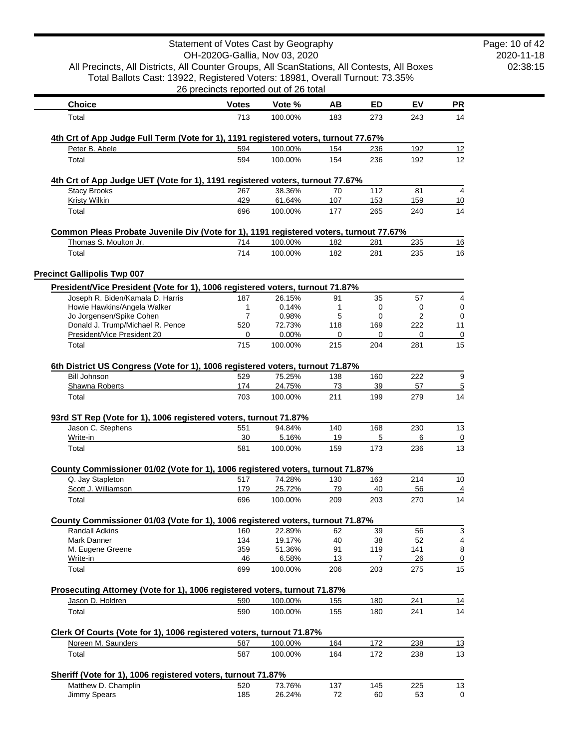|                                                                                               | Statement of Votes Cast by Geography<br>OH-2020G-Gallia, Nov 03, 2020 |                  |           |                |           |                     | Page: 10 of 42<br>2020-11-18 |
|-----------------------------------------------------------------------------------------------|-----------------------------------------------------------------------|------------------|-----------|----------------|-----------|---------------------|------------------------------|
| All Precincts, All Districts, All Counter Groups, All ScanStations, All Contests, All Boxes   |                                                                       |                  |           |                |           |                     | 02:38:15                     |
| Total Ballots Cast: 13922, Registered Voters: 18981, Overall Turnout: 73.35%                  |                                                                       |                  |           |                |           |                     |                              |
|                                                                                               | 26 precincts reported out of 26 total                                 |                  |           |                |           |                     |                              |
| <b>Choice</b>                                                                                 | <b>Votes</b>                                                          | Vote %           | AB        | ED             | EV        | PR                  |                              |
| Total                                                                                         | 713                                                                   | 100.00%          | 183       | 273            | 243       | 14                  |                              |
| 4th Crt of App Judge Full Term (Vote for 1), 1191 registered voters, turnout 77.67%           |                                                                       |                  |           |                |           |                     |                              |
| Peter B. Abele                                                                                | 594                                                                   | 100.00%          | 154       | 236            | 192       | 12                  |                              |
| Total                                                                                         | 594                                                                   | 100.00%          | 154       | 236            | 192       | 12                  |                              |
| 4th Crt of App Judge UET (Vote for 1), 1191 registered voters, turnout 77.67%                 |                                                                       |                  |           |                |           |                     |                              |
| Stacy Brooks                                                                                  | 267                                                                   | 38.36%           | 70        | 112            | 81        | 4                   |                              |
| <b>Kristy Wilkin</b>                                                                          | 429                                                                   | 61.64%           | 107       | 153            | 159       | 10                  |                              |
| Total                                                                                         | 696                                                                   | 100.00%          | 177       | 265            | 240       | 14                  |                              |
| Common Pleas Probate Juvenile Div (Vote for 1), 1191 registered voters, turnout 77.67%        |                                                                       |                  |           |                |           |                     |                              |
| Thomas S. Moulton Jr.                                                                         | 714                                                                   | 100.00%          | 182       | 281            | 235       | 16                  |                              |
| Total                                                                                         | 714                                                                   | 100.00%          | 182       | 281            | 235       | 16                  |                              |
| <b>Precinct Gallipolis Twp 007</b>                                                            |                                                                       |                  |           |                |           |                     |                              |
| President/Vice President (Vote for 1), 1006 registered voters, turnout 71.87%                 |                                                                       |                  |           |                |           |                     |                              |
| Joseph R. Biden/Kamala D. Harris<br>Howie Hawkins/Angela Walker                               | 187<br>1                                                              | 26.15%<br>0.14%  | 91<br>1   | 35<br>0        | 57<br>0   | 4<br>0              |                              |
| Jo Jorgensen/Spike Cohen                                                                      | 7                                                                     | 0.98%            | 5         | 0              | 2         | $\mathbf 0$         |                              |
| Donald J. Trump/Michael R. Pence                                                              | 520                                                                   | 72.73%           | 118       | 169            | 222       | 11                  |                              |
| President/Vice President 20                                                                   | 0                                                                     | 0.00%            | 0         | 0              | 0         | 0                   |                              |
| Total                                                                                         | 715                                                                   | 100.00%          | 215       | 204            | 281       | 15                  |                              |
| 6th District US Congress (Vote for 1), 1006 registered voters, turnout 71.87%                 |                                                                       |                  |           |                |           |                     |                              |
| <b>Bill Johnson</b><br>Shawna Roberts                                                         | 529<br>174                                                            | 75.25%<br>24.75% | 138<br>73 | 160<br>39      | 222<br>57 | 9<br>$\overline{5}$ |                              |
| Total                                                                                         | 703                                                                   | 100.00%          | 211       | 199            | 279       | 14                  |                              |
| 93rd ST Rep (Vote for 1), 1006 registered voters, turnout 71.87%                              |                                                                       |                  |           |                |           |                     |                              |
| Jason C. Stephens                                                                             | 551                                                                   | 94.84%           | 140       | 168            | 230       | 13                  |                              |
| Write-in                                                                                      | 30                                                                    | 5.16%            | 19        | 5              | 6         | $\overline{0}$      |                              |
| Total                                                                                         | 581                                                                   | 100.00%          | 159       | 173            | 236       | 13                  |                              |
| County Commissioner 01/02 (Vote for 1), 1006 registered voters, turnout 71.87%                |                                                                       |                  |           |                |           |                     |                              |
| Q. Jay Stapleton                                                                              | 517                                                                   | 74.28%           | 130       | 163            | 214       | 10                  |                              |
| Scott J. Williamson                                                                           | 179                                                                   | 25.72%           | <u>79</u> | 40             | 56        | $\overline{4}$      |                              |
| Total                                                                                         | 696                                                                   | 100.00%          | 209       | 203            | 270       | 14                  |                              |
| County Commissioner 01/03 (Vote for 1), 1006 registered voters, turnout 71.87%                |                                                                       |                  |           |                |           |                     |                              |
| <b>Randall Adkins</b>                                                                         | 160                                                                   | 22.89%           | 62        | 39             | 56        | 3                   |                              |
| Mark Danner<br>M. Eugene Greene                                                               | 134<br>359                                                            | 19.17%<br>51.36% | 40<br>91  | 38<br>119      | 52<br>141 | 4<br>8              |                              |
| Write-in                                                                                      | 46                                                                    | 6.58%            | 13        | $\overline{7}$ | 26        | 0                   |                              |
| Total                                                                                         | 699                                                                   | 100.00%          | 206       | 203            | 275       | 15                  |                              |
|                                                                                               |                                                                       |                  |           |                |           |                     |                              |
| Prosecuting Attorney (Vote for 1), 1006 registered voters, turnout 71.87%<br>Jason D. Holdren | 590                                                                   | 100.00%          | 155       | 180            | 241       | 14                  |                              |
| Total                                                                                         | 590                                                                   | 100.00%          | 155       | 180            | 241       | 14                  |                              |
| Clerk Of Courts (Vote for 1), 1006 registered voters, turnout 71.87%                          |                                                                       |                  |           |                |           |                     |                              |
| Noreen M. Saunders                                                                            | 587                                                                   | 100.00%          | 164       | 172            | 238       | 13                  |                              |
| Total                                                                                         | 587                                                                   | 100.00%          | 164       | 172            | 238       | 13                  |                              |
| Sheriff (Vote for 1), 1006 registered voters, turnout 71.87%                                  |                                                                       |                  |           |                |           |                     |                              |
| Matthew D. Champlin                                                                           | 520                                                                   | 73.76%           | 137       | 145            | 225       | 13                  |                              |
| Jimmy Spears                                                                                  | 185                                                                   | 26.24%           | 72        | 60             | 53        | 0                   |                              |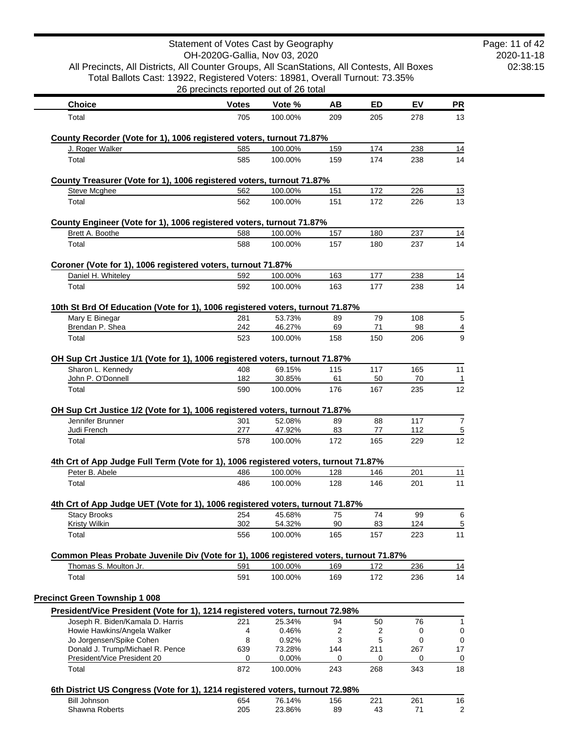|                                                                                                      | Statement of Votes Cast by Geography<br>OH-2020G-Gallia, Nov 03, 2020 |                    |            |            |            |                | Page: 11 of 42<br>2020-11-18 |
|------------------------------------------------------------------------------------------------------|-----------------------------------------------------------------------|--------------------|------------|------------|------------|----------------|------------------------------|
| All Precincts, All Districts, All Counter Groups, All ScanStations, All Contests, All Boxes          |                                                                       |                    |            |            |            |                | 02:38:15                     |
| Total Ballots Cast: 13922, Registered Voters: 18981, Overall Turnout: 73.35%                         |                                                                       |                    |            |            |            |                |                              |
|                                                                                                      | 26 precincts reported out of 26 total                                 |                    |            |            |            |                |                              |
| <b>Choice</b>                                                                                        | <b>Votes</b>                                                          | Vote %             | AB         | ED         | EV         | PR             |                              |
| Total                                                                                                | 705                                                                   | 100.00%            | 209        | 205        | 278        | 13             |                              |
|                                                                                                      |                                                                       |                    |            |            |            |                |                              |
| County Recorder (Vote for 1), 1006 registered voters, turnout 71.87%                                 |                                                                       |                    |            |            |            |                |                              |
| J. Roger Walker<br>Total                                                                             | 585<br>585                                                            | 100.00%<br>100.00% | 159<br>159 | 174<br>174 | 238<br>238 | 14<br>14       |                              |
|                                                                                                      |                                                                       |                    |            |            |            |                |                              |
| County Treasurer (Vote for 1), 1006 registered voters, turnout 71.87%                                |                                                                       |                    |            |            |            |                |                              |
| Steve Mcghee                                                                                         | 562                                                                   | 100.00%            | 151        | 172        | 226        | 13             |                              |
| Total                                                                                                | 562                                                                   | 100.00%            | 151        | 172        | 226        | 13             |                              |
| County Engineer (Vote for 1), 1006 registered voters, turnout 71.87%                                 |                                                                       |                    |            |            |            |                |                              |
| Brett A. Boothe                                                                                      | 588                                                                   | 100.00%            | 157        | 180        | 237        | 14             |                              |
| Total                                                                                                | 588                                                                   | 100.00%            | 157        | 180        | 237        | 14             |                              |
|                                                                                                      |                                                                       |                    |            |            |            |                |                              |
| Coroner (Vote for 1), 1006 registered voters, turnout 71.87%                                         |                                                                       |                    |            |            |            |                |                              |
| Daniel H. Whiteley                                                                                   | 592                                                                   | 100.00%            | 163        | 177        | 238        | <u>14</u>      |                              |
| Total                                                                                                | 592                                                                   | 100.00%            | 163        | 177        | 238        | 14             |                              |
| 10th St Brd Of Education (Vote for 1), 1006 registered voters, turnout 71.87%                        |                                                                       |                    |            |            |            |                |                              |
| Mary E Binegar                                                                                       | 281                                                                   | 53.73%             | 89         | 79         | 108        | 5              |                              |
| Brendan P. Shea                                                                                      | 242                                                                   | 46.27%             | 69         | 71         | 98         | $\overline{4}$ |                              |
| Total                                                                                                | 523                                                                   | 100.00%            | 158        | 150        | 206        | 9              |                              |
| OH Sup Crt Justice 1/1 (Vote for 1), 1006 registered voters, turnout 71.87%                          |                                                                       |                    |            |            |            |                |                              |
| Sharon L. Kennedy                                                                                    | 408                                                                   | 69.15%             | 115        | 117        | 165        | 11             |                              |
| John P. O'Donnell                                                                                    | 182                                                                   | 30.85%             | 61         | 50         | 70         | -1             |                              |
| Total                                                                                                | 590                                                                   | 100.00%            | 176        | 167        | 235        | 12             |                              |
|                                                                                                      |                                                                       |                    |            |            |            |                |                              |
| OH Sup Crt Justice 1/2 (Vote for 1), 1006 registered voters, turnout 71.87%<br>Jennifer Brunner      | 301                                                                   | 52.08%             | 89         | 88         | 117        | 7              |                              |
| Judi French                                                                                          | 277                                                                   | 47.92%             | 83         | 77         | 112        | $\overline{5}$ |                              |
| Total                                                                                                | 578                                                                   | 100.00%            | 172        | 165        | 229        | 12             |                              |
|                                                                                                      |                                                                       |                    |            |            |            |                |                              |
| 4th Crt of App Judge Full Term (Vote for 1), 1006 registered voters, turnout 71.87%                  |                                                                       |                    |            |            |            |                |                              |
| Peter B. Abele                                                                                       | 486                                                                   | 100.00%            | 128        | 146        | 201        | 11             |                              |
| Total                                                                                                | 486                                                                   | 100.00%            | 128        | 146        | 201        | 11             |                              |
| 4th Crt of App Judge UET (Vote for 1), 1006 registered voters, turnout 71.87%                        |                                                                       |                    |            |            |            |                |                              |
| <b>Stacy Brooks</b>                                                                                  | 254                                                                   | 45.68%             | 75         | 74         | 99         | 6              |                              |
| <b>Kristy Wilkin</b>                                                                                 | 302                                                                   | 54.32%             | 90         | 83         | 124        | $\overline{5}$ |                              |
| Total                                                                                                | 556                                                                   | 100.00%            | 165        | 157        | 223        | 11             |                              |
| Common Pleas Probate Juvenile Div (Vote for 1), 1006 registered voters, turnout 71.87%               |                                                                       |                    |            |            |            |                |                              |
| Thomas S. Moulton Jr.                                                                                | 591                                                                   | 100.00%            | 169        | 172        | 236        | 14             |                              |
| Total                                                                                                | 591                                                                   | 100.00%            | 169        | 172        | 236        | 14             |                              |
|                                                                                                      |                                                                       |                    |            |            |            |                |                              |
| <b>Precinct Green Township 1 008</b>                                                                 |                                                                       |                    |            |            |            |                |                              |
| President/Vice President (Vote for 1), 1214 registered voters, turnout 72.98%                        |                                                                       |                    |            |            |            |                |                              |
| Joseph R. Biden/Kamala D. Harris                                                                     | 221                                                                   | 25.34%             | 94         | 50         | 76         | 1              |                              |
| Howie Hawkins/Angela Walker                                                                          | 4                                                                     | 0.46%              | 2          | 2          | 0          | 0              |                              |
| Jo Jorgensen/Spike Cohen<br>Donald J. Trump/Michael R. Pence                                         | 8<br>639                                                              | 0.92%<br>73.28%    | 3<br>144   | 5<br>211   | 0<br>267   | 0<br>17        |                              |
| President/Vice President 20                                                                          | 0                                                                     | 0.00%              | 0          | 0          | 0          | 0              |                              |
| Total                                                                                                | 872                                                                   | 100.00%            | 243        | 268        | 343        | 18             |                              |
|                                                                                                      |                                                                       |                    |            |            |            |                |                              |
| 6th District US Congress (Vote for 1), 1214 registered voters, turnout 72.98%<br><b>Bill Johnson</b> | 654                                                                   | 76.14%             | 156        | 221        | 261        | 16             |                              |
| Shawna Roberts                                                                                       | 205                                                                   | 23.86%             | 89         | 43         | 71         | $\overline{c}$ |                              |
|                                                                                                      |                                                                       |                    |            |            |            |                |                              |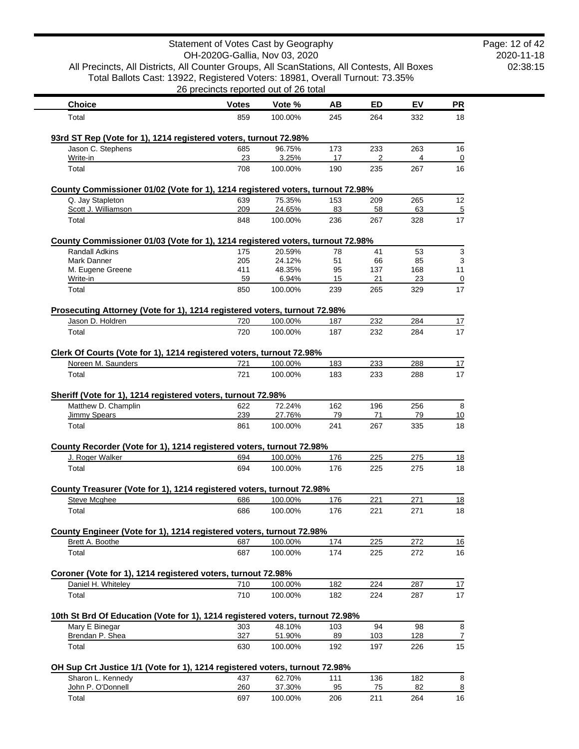|                                                                                             | Statement of Votes Cast by Geography  |                   |           |            |            |                         |
|---------------------------------------------------------------------------------------------|---------------------------------------|-------------------|-----------|------------|------------|-------------------------|
| All Precincts, All Districts, All Counter Groups, All ScanStations, All Contests, All Boxes | OH-2020G-Gallia, Nov 03, 2020         |                   |           |            |            |                         |
| Total Ballots Cast: 13922, Registered Voters: 18981, Overall Turnout: 73.35%                |                                       |                   |           |            |            |                         |
|                                                                                             | 26 precincts reported out of 26 total |                   |           |            |            |                         |
| <b>Choice</b>                                                                               | <b>Votes</b>                          | Vote %            | AB        | ED         | EV         | <b>PR</b>               |
| Total                                                                                       | 859                                   | 100.00%           | 245       | 264        | 332        | 18                      |
|                                                                                             |                                       |                   |           |            |            |                         |
| 93rd ST Rep (Vote for 1), 1214 registered voters, turnout 72.98%<br>Jason C. Stephens       | 685                                   | 96.75%            | 173       | 233        | 263        | 16                      |
| Write-in                                                                                    | 23                                    | 3.25%             | 17        | 2          | 4          | 0                       |
| Total                                                                                       | 708                                   | 100.00%           | 190       | 235        | 267        | 16                      |
| County Commissioner 01/02 (Vote for 1), 1214 registered voters, turnout 72.98%              |                                       |                   |           |            |            |                         |
| Q. Jay Stapleton                                                                            | 639                                   | 75.35%            | 153       | 209        | 265        | 12                      |
| Scott J. Williamson                                                                         | 209                                   | 24.65%            | 83        | 58         | 63         | 5                       |
| Total                                                                                       | 848                                   | 100.00%           | 236       | 267        | 328        | 17                      |
| County Commissioner 01/03 (Vote for 1), 1214 registered voters, turnout 72.98%              |                                       |                   |           |            |            |                         |
| Randall Adkins                                                                              | 175                                   | 20.59%            | 78        | 41         | 53         | 3                       |
| <b>Mark Danner</b>                                                                          | 205                                   | 24.12%            | 51        | 66         | 85         | 3                       |
| M. Eugene Greene                                                                            | 411                                   | 48.35%            | 95        | 137        | 168        | 11                      |
| Write-in<br>Total                                                                           | 59<br>850                             | 6.94%<br>100.00%  | 15<br>239 | 21<br>265  | 23<br>329  | $\overline{0}$<br>17    |
|                                                                                             |                                       |                   |           |            |            |                         |
| Prosecuting Attorney (Vote for 1), 1214 registered voters, turnout 72.98%                   |                                       |                   |           |            |            |                         |
| Jason D. Holdren                                                                            | 720                                   | 100.00%           | 187       | 232        | 284        | 17                      |
| Total                                                                                       | 720                                   | 100.00%           | 187       | 232        | 284        | 17                      |
| Clerk Of Courts (Vote for 1), 1214 registered voters, turnout 72.98%                        |                                       |                   |           |            |            |                         |
| Noreen M. Saunders                                                                          | 721                                   | 100.00%           | 183       | 233        | 288        | 17                      |
| Total                                                                                       | 721                                   | 100.00%           | 183       | 233        | 288        | 17                      |
|                                                                                             |                                       |                   |           |            |            |                         |
| Sheriff (Vote for 1), 1214 registered voters, turnout 72.98%<br>Matthew D. Champlin         | 622                                   | 72.24%            | 162       | 196        | 256        | 8                       |
| Jimmy Spears                                                                                | 239                                   | 27.76%            | 79        | 71         | 79         | 10                      |
| Total                                                                                       | 861                                   | 100.00%           | 241       | 267        | 335        | 18                      |
|                                                                                             |                                       |                   |           |            |            |                         |
| County Recorder (Vote for 1), 1214 registered voters, turnout 72.98%<br>J. Roger Walker     | 694                                   | 100.00%           | 176       | 225        | 275        | 18                      |
| Total                                                                                       | 694                                   | 100.00%           | 176       | 225        | 275        | 18                      |
|                                                                                             |                                       |                   |           |            |            |                         |
| County Treasurer (Vote for 1), 1214 registered voters, turnout 72.98%                       |                                       |                   |           |            |            |                         |
| Steve Mcghee                                                                                | 686                                   | 100.00%           | 176       | 221        | 271        | 18                      |
| Total                                                                                       | 686                                   | 100.00%           | 176       | 221        | 271        | 18                      |
| County Engineer (Vote for 1), 1214 registered voters, turnout 72.98%                        |                                       |                   |           |            |            |                         |
| Brett A. Boothe                                                                             | 687                                   | 100.00%           | 174       | 225        | 272        | 16                      |
| Total                                                                                       | 687                                   | 100.00%           | 174       | 225        | 272        | 16                      |
|                                                                                             |                                       |                   |           |            |            |                         |
| Coroner (Vote for 1), 1214 registered voters, turnout 72.98%<br>Daniel H. Whiteley          | 710                                   | 100.00%           | 182       | 224        | 287        | 17                      |
| Total                                                                                       | 710                                   | 100.00%           | 182       | 224        | 287        | 17                      |
|                                                                                             |                                       |                   |           |            |            |                         |
| 10th St Brd Of Education (Vote for 1), 1214 registered voters, turnout 72.98%               |                                       |                   |           |            |            |                         |
| Mary E Binegar                                                                              | 303                                   | 48.10%            | 103       | 94         | 98         | 8                       |
| Brendan P. Shea<br>Total                                                                    | 327<br>630                            | 51.90%<br>100.00% | 89<br>192 | 103<br>197 | 128<br>226 | 7<br>15                 |
|                                                                                             |                                       |                   |           |            |            |                         |
| OH Sup Crt Justice 1/1 (Vote for 1), 1214 registered voters, turnout 72.98%                 |                                       |                   |           |            |            |                         |
| Sharon L. Kennedy                                                                           | 437                                   | 62.70%            | 111       | 136        | 182        | 8                       |
| John P. O'Donnell                                                                           | 260                                   | 37.30%            | 95        | 75         | 82         | $\overline{\mathbf{8}}$ |
| Total                                                                                       | 697                                   | 100.00%           | 206       | 211        | 264        | 16                      |

Page: 12 of 42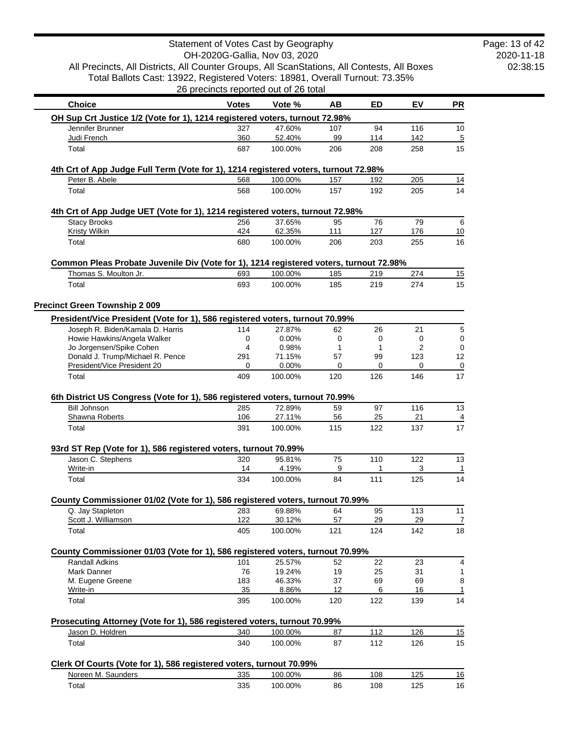|                                                                                                        | Statement of Votes Cast by Geography  |                    |            |            |                |                      |
|--------------------------------------------------------------------------------------------------------|---------------------------------------|--------------------|------------|------------|----------------|----------------------|
| All Precincts, All Districts, All Counter Groups, All ScanStations, All Contests, All Boxes            | OH-2020G-Gallia, Nov 03, 2020         |                    |            |            |                |                      |
| Total Ballots Cast: 13922, Registered Voters: 18981, Overall Turnout: 73.35%                           |                                       |                    |            |            |                |                      |
|                                                                                                        | 26 precincts reported out of 26 total |                    |            |            |                |                      |
| <b>Choice</b>                                                                                          | <b>Votes</b>                          | Vote %             | AB         | ED         | EV             | PR                   |
| OH Sup Crt Justice 1/2 (Vote for 1), 1214 registered voters, turnout 72.98%                            |                                       |                    |            |            |                |                      |
| Jennifer Brunner                                                                                       | 327                                   | 47.60%             | 107        | 94         | 116            | 10                   |
| Judi French<br>Total                                                                                   | 360<br>687                            | 52.40%<br>100.00%  | 99<br>206  | 114<br>208 | 142<br>258     | $\overline{5}$<br>15 |
|                                                                                                        |                                       |                    |            |            |                |                      |
| 4th Crt of App Judge Full Term (Vote for 1), 1214 registered voters, turnout 72.98%                    |                                       |                    |            |            |                |                      |
| Peter B. Abele<br>Total                                                                                | 568<br>568                            | 100.00%<br>100.00% | 157<br>157 | 192<br>192 | 205<br>205     | 14<br>14             |
|                                                                                                        |                                       |                    |            |            |                |                      |
| 4th Crt of App Judge UET (Vote for 1), 1214 registered voters, turnout 72.98%                          |                                       |                    |            |            |                |                      |
| <b>Stacy Brooks</b><br><b>Kristy Wilkin</b>                                                            | 256<br>424                            | 37.65%<br>62.35%   | 95<br>111  | 76<br>127  | 79<br>176      | 6<br>10              |
| Total                                                                                                  | 680                                   | 100.00%            | 206        | 203        | 255            | 16                   |
| Common Pleas Probate Juvenile Div (Vote for 1), 1214 registered voters, turnout 72.98%                 |                                       |                    |            |            |                |                      |
| Thomas S. Moulton Jr.                                                                                  | 693                                   | 100.00%            | 185        | 219        | 274            | 15                   |
| Total                                                                                                  | 693                                   | 100.00%            | 185        | 219        | 274            | 15                   |
| <b>Precinct Green Township 2 009</b>                                                                   |                                       |                    |            |            |                |                      |
| President/Vice President (Vote for 1), 586 registered voters, turnout 70.99%                           |                                       |                    |            |            |                |                      |
| Joseph R. Biden/Kamala D. Harris                                                                       | 114                                   | 27.87%             | 62         | 26         | 21             | 5                    |
| Howie Hawkins/Angela Walker                                                                            | 0                                     | 0.00%              | 0          | 0          | 0              | 0                    |
| Jo Jorgensen/Spike Cohen                                                                               | 4                                     | 0.98%              | 1          | 1          | $\overline{2}$ | 0                    |
| Donald J. Trump/Michael R. Pence<br>President/Vice President 20                                        | 291<br>0                              | 71.15%<br>0.00%    | 57<br>0    | 99<br>0    | 123<br>0       | 12<br>$\mathbf 0$    |
| Total                                                                                                  | 409                                   | 100.00%            | 120        | 126        | 146            | 17                   |
|                                                                                                        |                                       |                    |            |            |                |                      |
| 6th District US Congress (Vote for 1), 586 registered voters, turnout 70.99%<br><b>Bill Johnson</b>    | 285                                   | 72.89%             | 59         | 97         | 116            | 13                   |
| Shawna Roberts                                                                                         | 106                                   | 27.11%             | 56         | 25         | 21             | $\overline{4}$       |
| Total                                                                                                  | 391                                   | 100.00%            | 115        | 122        | 137            | 17                   |
| 93rd ST Rep (Vote for 1), 586 registered voters, turnout 70.99%                                        |                                       |                    |            |            |                |                      |
| Jason C. Stephens                                                                                      | 320                                   | 95.81%             | 75         | 110        | 122            | 13                   |
| Write-in                                                                                               | 14                                    | 4.19%              | 9          | 1          | 3              | 1                    |
| Total                                                                                                  | 334                                   | 100.00%            | 84         | 111        | 125            | 14                   |
| County Commissioner 01/02 (Vote for 1), 586 registered voters, turnout 70.99%                          |                                       |                    |            |            |                |                      |
| Q. Jay Stapleton<br>Scott J. Williamson                                                                | 283<br>122                            | 69.88%<br>30.12%   | 64<br>57   | 95<br>29   | 113<br>29      | 11                   |
| Total                                                                                                  | 405                                   | 100.00%            | 121        | 124        | 142            | 7<br>18              |
|                                                                                                        |                                       |                    |            |            |                |                      |
| County Commissioner 01/03 (Vote for 1), 586 registered voters, turnout 70.99%<br><b>Randall Adkins</b> | 101                                   | 25.57%             | 52         | 22         | 23             | 4                    |
| Mark Danner                                                                                            | 76                                    | 19.24%             | 19         | 25         | 31             | 1                    |
| M. Eugene Greene                                                                                       | 183                                   | 46.33%             | 37         | 69         | 69             | 8                    |
| Write-in<br>Total                                                                                      | 35                                    | 8.86%              | 12         | 6          | 16             | 1<br>14              |
|                                                                                                        | 395                                   | 100.00%            | 120        | 122        | 139            |                      |
| Prosecuting Attorney (Vote for 1), 586 registered voters, turnout 70.99%                               |                                       |                    |            |            |                |                      |
| Jason D. Holdren                                                                                       | 340                                   | 100.00%            | 87         | 112        | 126            | 15                   |
| Total                                                                                                  | 340                                   | 100.00%            | 87         | 112        | 126            | 15                   |
| Clerk Of Courts (Vote for 1), 586 registered voters, turnout 70.99%                                    |                                       |                    |            |            |                |                      |
| Noreen M. Saunders                                                                                     | 335                                   | 100.00%            | 86         | 108        | 125            | $\underline{16}$     |
| Total                                                                                                  | 335                                   | 100.00%            | 86         | 108        | 125            | 16                   |

m,

2020-11-18 02:38:15

Page: 13 of 42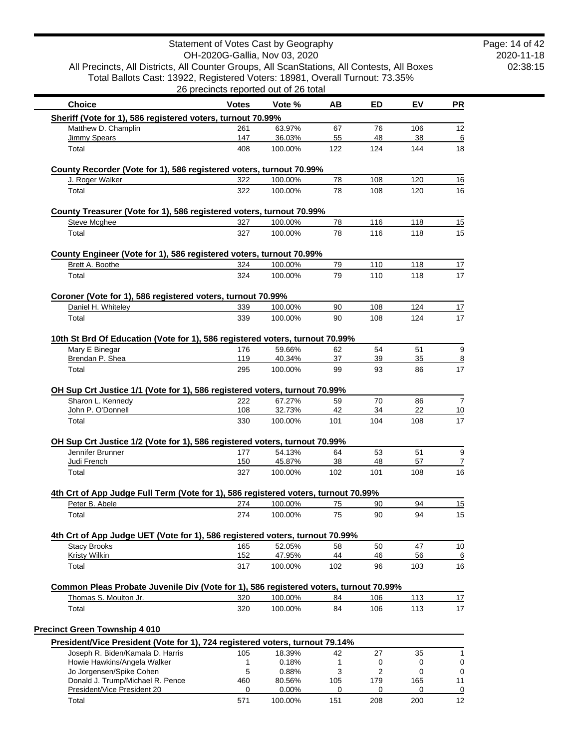|                                                                                                                                                                                                                                                                                                                                                                                                                                                                                                                                                                                |              |                                       | All Precincts, All Districts, All Counter Groups, All ScanStations, All Contests, All Boxes |                       |           |    |
|--------------------------------------------------------------------------------------------------------------------------------------------------------------------------------------------------------------------------------------------------------------------------------------------------------------------------------------------------------------------------------------------------------------------------------------------------------------------------------------------------------------------------------------------------------------------------------|--------------|---------------------------------------|---------------------------------------------------------------------------------------------|-----------------------|-----------|----|
| Total Ballots Cast: 13922, Registered Voters: 18981, Overall Turnout: 73.35%                                                                                                                                                                                                                                                                                                                                                                                                                                                                                                   |              | 26 precincts reported out of 26 total |                                                                                             |                       |           |    |
| <b>Choice</b>                                                                                                                                                                                                                                                                                                                                                                                                                                                                                                                                                                  | <b>Votes</b> | Vote %                                | AB                                                                                          | ED                    | EV        | PR |
| Sheriff (Vote for 1), 586 registered voters, turnout 70.99%                                                                                                                                                                                                                                                                                                                                                                                                                                                                                                                    |              |                                       |                                                                                             |                       |           |    |
| Matthew D. Champlin                                                                                                                                                                                                                                                                                                                                                                                                                                                                                                                                                            | 261          | 63.97%                                | 67                                                                                          | 76                    | 106       | 12 |
| Jimmy Spears                                                                                                                                                                                                                                                                                                                                                                                                                                                                                                                                                                   | 147          | 36.03%                                | 55                                                                                          | 48                    | 38        | 18 |
| Total                                                                                                                                                                                                                                                                                                                                                                                                                                                                                                                                                                          | 408          | 100.00%                               | 122                                                                                         | 124                   | 144       |    |
| County Recorder (Vote for 1), 586 registered voters, turnout 70.99%                                                                                                                                                                                                                                                                                                                                                                                                                                                                                                            |              |                                       |                                                                                             |                       |           |    |
| J. Roger Walker                                                                                                                                                                                                                                                                                                                                                                                                                                                                                                                                                                | 322          | 100.00%                               | 78                                                                                          | 108                   | 120       |    |
| Total                                                                                                                                                                                                                                                                                                                                                                                                                                                                                                                                                                          | 322          | 100.00%                               | 78                                                                                          | 108                   | 120       |    |
| County Treasurer (Vote for 1), 586 registered voters, turnout 70.99%                                                                                                                                                                                                                                                                                                                                                                                                                                                                                                           |              |                                       |                                                                                             |                       |           |    |
| <b>Steve Mcghee</b>                                                                                                                                                                                                                                                                                                                                                                                                                                                                                                                                                            | 327          | 100.00%                               | 78                                                                                          | 116                   | 118       |    |
| Total                                                                                                                                                                                                                                                                                                                                                                                                                                                                                                                                                                          | 327          | 100.00%                               | 78                                                                                          | 116                   | 118       |    |
| County Engineer (Vote for 1), 586 registered voters, turnout 70.99%                                                                                                                                                                                                                                                                                                                                                                                                                                                                                                            |              |                                       |                                                                                             |                       |           |    |
| Brett A. Boothe                                                                                                                                                                                                                                                                                                                                                                                                                                                                                                                                                                | 324          | 100.00%                               | 79                                                                                          | 110                   | 118       |    |
| Total                                                                                                                                                                                                                                                                                                                                                                                                                                                                                                                                                                          | 324          | 100.00%                               | 79                                                                                          | 110                   | 118       |    |
| Coroner (Vote for 1), 586 registered voters, turnout 70.99%                                                                                                                                                                                                                                                                                                                                                                                                                                                                                                                    |              |                                       |                                                                                             |                       |           |    |
| Daniel H. Whiteley                                                                                                                                                                                                                                                                                                                                                                                                                                                                                                                                                             | 339          | 100.00%                               | 90                                                                                          | 108                   | 124       |    |
| Total                                                                                                                                                                                                                                                                                                                                                                                                                                                                                                                                                                          | 339          | 100.00%                               | 90                                                                                          | 108                   | 124       |    |
| 10th St Brd Of Education (Vote for 1), 586 registered voters, turnout 70.99%                                                                                                                                                                                                                                                                                                                                                                                                                                                                                                   |              |                                       |                                                                                             |                       |           |    |
| Mary E Binegar                                                                                                                                                                                                                                                                                                                                                                                                                                                                                                                                                                 | 176          | 59.66%                                | 62                                                                                          | 54                    | 51        |    |
| Brendan P. Shea                                                                                                                                                                                                                                                                                                                                                                                                                                                                                                                                                                | 119          | 40.34%                                | 37                                                                                          | 39                    | 35        |    |
| Total                                                                                                                                                                                                                                                                                                                                                                                                                                                                                                                                                                          | 295          | 100.00%                               | 99                                                                                          | 93                    | 86        |    |
| Sharon L. Kennedy                                                                                                                                                                                                                                                                                                                                                                                                                                                                                                                                                              | 222          | 67.27%                                | 59                                                                                          | 70                    | 86        |    |
| John P. O'Donnell<br>Total                                                                                                                                                                                                                                                                                                                                                                                                                                                                                                                                                     | 108<br>330   | 32.73%<br>100.00%                     | 42<br>101                                                                                   | 34<br>104             | 22<br>108 |    |
|                                                                                                                                                                                                                                                                                                                                                                                                                                                                                                                                                                                |              |                                       |                                                                                             |                       |           |    |
|                                                                                                                                                                                                                                                                                                                                                                                                                                                                                                                                                                                | 177          | 54.13%                                | 64                                                                                          | 53                    | 51        |    |
| Jennifer Brunner<br>Judi French                                                                                                                                                                                                                                                                                                                                                                                                                                                                                                                                                | 150          | 45.87%                                | 38                                                                                          | 48                    | 57        |    |
| Total                                                                                                                                                                                                                                                                                                                                                                                                                                                                                                                                                                          | 327          | 100.00%                               | 102                                                                                         | 101                   | 108       |    |
|                                                                                                                                                                                                                                                                                                                                                                                                                                                                                                                                                                                |              |                                       |                                                                                             |                       |           |    |
| Peter B. Abele                                                                                                                                                                                                                                                                                                                                                                                                                                                                                                                                                                 | 274          | 100.00%                               | 75                                                                                          | 90                    | 94        |    |
| Total                                                                                                                                                                                                                                                                                                                                                                                                                                                                                                                                                                          | 274          | 100.00%                               | 75                                                                                          | 90                    | 94        |    |
|                                                                                                                                                                                                                                                                                                                                                                                                                                                                                                                                                                                |              |                                       |                                                                                             |                       |           |    |
| <b>Stacy Brooks</b>                                                                                                                                                                                                                                                                                                                                                                                                                                                                                                                                                            | 165          | 52.05%                                | 58                                                                                          | 50                    | 47        |    |
| <b>Kristy Wilkin</b><br>Total                                                                                                                                                                                                                                                                                                                                                                                                                                                                                                                                                  | 152<br>317   | 47.95%<br>100.00%                     | 44<br>102                                                                                   | 46<br>96              | 56<br>103 |    |
|                                                                                                                                                                                                                                                                                                                                                                                                                                                                                                                                                                                |              |                                       |                                                                                             |                       |           |    |
| Thomas S. Moulton Jr.                                                                                                                                                                                                                                                                                                                                                                                                                                                                                                                                                          | 320          | 100.00%                               | 84                                                                                          | 106                   | 113       |    |
| Total                                                                                                                                                                                                                                                                                                                                                                                                                                                                                                                                                                          | 320          | 100.00%                               | 84                                                                                          | 106                   | 113       |    |
|                                                                                                                                                                                                                                                                                                                                                                                                                                                                                                                                                                                |              |                                       |                                                                                             |                       |           |    |
|                                                                                                                                                                                                                                                                                                                                                                                                                                                                                                                                                                                |              |                                       |                                                                                             |                       |           |    |
| Joseph R. Biden/Kamala D. Harris                                                                                                                                                                                                                                                                                                                                                                                                                                                                                                                                               | 105          | 18.39%                                | 42                                                                                          | 27                    | 35        |    |
| OH Sup Crt Justice 1/1 (Vote for 1), 586 registered voters, turnout 70.99%<br>OH Sup Crt Justice 1/2 (Vote for 1), 586 registered voters, turnout 70.99%<br>4th Crt of App Judge Full Term (Vote for 1), 586 registered voters, turnout 70.99%<br>4th Crt of App Judge UET (Vote for 1), 586 registered voters, turnout 70.99%<br>Common Pleas Probate Juvenile Div (Vote for 1), 586 registered voters, turnout 70.99%<br><b>Precinct Green Township 4 010</b><br>President/Vice President (Vote for 1), 724 registered voters, turnout 79.14%<br>Howie Hawkins/Angela Walker | 1            | 0.18%                                 | 1                                                                                           | 0                     | 0         |    |
| Jo Jorgensen/Spike Cohen<br>Donald J. Trump/Michael R. Pence                                                                                                                                                                                                                                                                                                                                                                                                                                                                                                                   | 5<br>460     | 0.88%<br>80.56%                       | 3<br>105                                                                                    | $\overline{2}$<br>179 | 0<br>165  |    |

Total 571 100.00% 151 208 200 12

Statement of Votes Cast by Geography

 $\overline{\phantom{a}}$ 

2020-11-18 02:38:15 Page: 14 of 42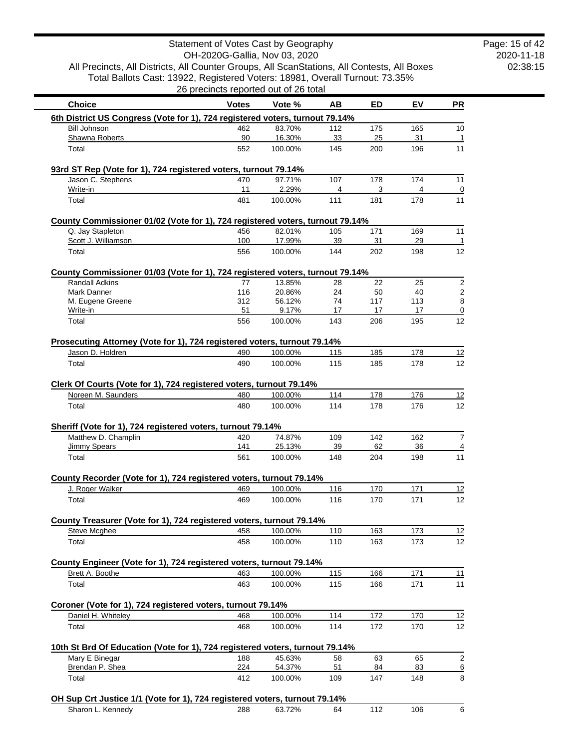2020-11-18 02:38:15 Page: 15 of 42

| <b>Choice</b>                                                                          | <b>Votes</b> | Vote %            | AВ        | ED        | EV        | <b>PR</b>                             |
|----------------------------------------------------------------------------------------|--------------|-------------------|-----------|-----------|-----------|---------------------------------------|
| 6th District US Congress (Vote for 1), 724 registered voters, turnout 79.14%           |              |                   |           |           |           |                                       |
| <b>Bill Johnson</b>                                                                    | 462          | 83.70%            | 112       | 175       | 165       | 10                                    |
| Shawna Roberts                                                                         | 90           | 16.30%            | 33        | 25        | 31        | -1                                    |
| Total                                                                                  | 552          | 100.00%           | 145       | 200       | 196       | 11                                    |
| 93rd ST Rep (Vote for 1), 724 registered voters, turnout 79.14%                        |              |                   |           |           |           |                                       |
| Jason C. Stephens                                                                      | 470          | 97.71%            | 107       | 178       | 174       | 11                                    |
| Write-in                                                                               | 11           | 2.29%             | 4         | 3         | 4         | $\overline{0}$                        |
| Total                                                                                  | 481          | 100.00%           | 111       | 181       | 178       | 11                                    |
| County Commissioner 01/02 (Vote for 1), 724 registered voters, turnout 79.14%          |              |                   |           |           |           |                                       |
| Q. Jay Stapleton                                                                       | 456          | 82.01%            | 105       | 171       | 169       | 11                                    |
| Scott J. Williamson<br>Total                                                           | 100<br>556   | 17.99%<br>100.00% | 39<br>144 | 31<br>202 | 29<br>198 | $\mathbf{1}$<br>12                    |
|                                                                                        |              |                   |           |           |           |                                       |
| County Commissioner 01/03 (Vote for 1), 724 registered voters, turnout 79.14%          |              |                   |           |           |           |                                       |
| <b>Randall Adkins</b><br>Mark Danner                                                   | 77<br>116    | 13.85%<br>20.86%  | 28<br>24  | 22<br>50  | 25<br>40  | $\sqrt{2}$<br>$\overline{\mathbf{c}}$ |
| M. Eugene Greene                                                                       | 312          | 56.12%            | 74        | 117       | 113       | $\bf 8$                               |
| Write-in                                                                               | 51           | 9.17%             | 17        | 17        | 17        | $\overline{0}$                        |
| Total                                                                                  | 556          | 100.00%           | 143       | 206       | 195       | 12                                    |
| Prosecuting Attorney (Vote for 1), 724 registered voters, turnout 79.14%               |              |                   |           |           |           |                                       |
| Jason D. Holdren                                                                       | 490          | 100.00%           | 115       | 185       | 178       | 12                                    |
| Total                                                                                  | 490          | 100.00%           | 115       | 185       | 178       | 12                                    |
| Clerk Of Courts (Vote for 1), 724 registered voters, turnout 79.14%                    |              |                   |           |           |           |                                       |
| Noreen M. Saunders                                                                     | 480          | 100.00%           | 114       | 178       | 176       | 12                                    |
| Total                                                                                  | 480          | 100.00%           | 114       | 178       | 176       | 12                                    |
| Sheriff (Vote for 1), 724 registered voters, turnout 79.14%                            |              |                   |           |           |           |                                       |
| Matthew D. Champlin                                                                    | 420          | 74.87%            | 109       | 142       | 162       | 7                                     |
| Jimmy Spears<br>Total                                                                  | 141<br>561   | 25.13%<br>100.00% | 39<br>148 | 62<br>204 | 36<br>198 | $\overline{4}$<br>11                  |
|                                                                                        |              |                   |           |           |           |                                       |
| County Recorder (Vote for 1), 724 registered voters, turnout 79.14%<br>J. Roger Walker | 469          | 100.00%           | 116       | 170       | 171       | 12                                    |
| Total                                                                                  | 469          | 100.00%           | 116       | 170       | 171       | 12                                    |
|                                                                                        |              |                   |           |           |           |                                       |
| County Treasurer (Vote for 1), 724 registered voters, turnout 79.14%                   |              |                   |           |           |           |                                       |
| Steve Mcghee                                                                           | 458          | 100.00%           | 110       | 163       | 173       | 12                                    |
| Total                                                                                  | 458          | 100.00%           | 110       | 163       | 173       | 12                                    |
| County Engineer (Vote for 1), 724 registered voters, turnout 79.14%                    |              |                   |           |           |           |                                       |
| Brett A. Boothe                                                                        | 463          | 100.00%           | 115       | 166       | 171       | 11                                    |
| Total                                                                                  | 463          | 100.00%           | 115       | 166       | 171       | 11                                    |
| Coroner (Vote for 1), 724 registered voters, turnout 79.14%                            |              |                   |           |           |           |                                       |
| Daniel H. Whiteley                                                                     | 468          | 100.00%           | 114       | 172       | 170       | 12                                    |
| Total                                                                                  | 468          | 100.00%           | 114       | 172       | 170       | 12                                    |
| 10th St Brd Of Education (Vote for 1), 724 registered voters, turnout 79.14%           |              |                   |           |           |           |                                       |
| Mary E Binegar                                                                         | 188          | 45.63%            | 58        | 63        | 65        | $\boldsymbol{2}$                      |
| Brendan P. Shea                                                                        | 224          | 54.37%            | 51        | 84        | 83        | $\underline{6}$                       |
| Total                                                                                  | 412          | 100.00%           | 109       | 147       | 148       | 8                                     |
| OH Sup Crt Justice 1/1 (Vote for 1), 724 registered voters, turnout 79.14%             |              |                   |           |           |           |                                       |
| Sharon L. Kennedy                                                                      | 288          | 63.72%            | 64        | 112       | 106       | 6                                     |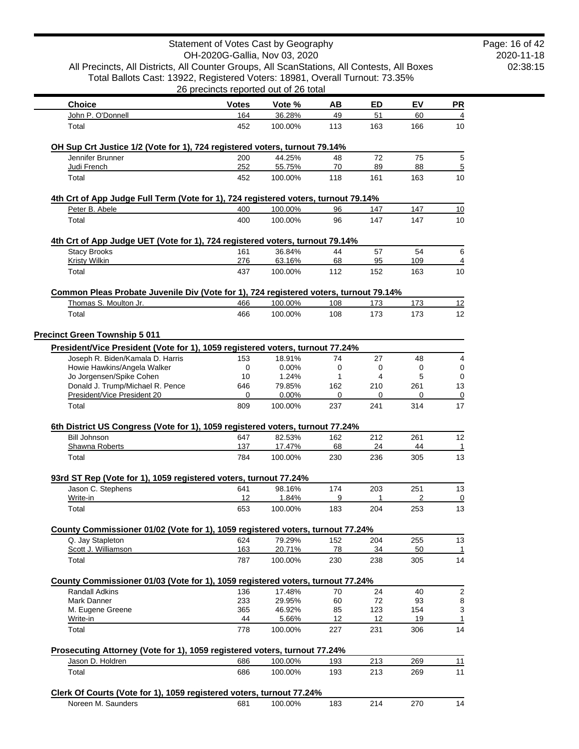|                                                                                                                                                                             | Statement of Votes Cast by Geography  |                   |           |           |           |           |
|-----------------------------------------------------------------------------------------------------------------------------------------------------------------------------|---------------------------------------|-------------------|-----------|-----------|-----------|-----------|
|                                                                                                                                                                             | OH-2020G-Gallia, Nov 03, 2020         |                   |           |           |           |           |
| All Precincts, All Districts, All Counter Groups, All ScanStations, All Contests, All Boxes<br>Total Ballots Cast: 13922, Registered Voters: 18981, Overall Turnout: 73.35% |                                       |                   |           |           |           |           |
|                                                                                                                                                                             | 26 precincts reported out of 26 total |                   |           |           |           |           |
| <b>Choice</b>                                                                                                                                                               | <b>Votes</b>                          | Vote %            | AВ        | ED        | EV        | <b>PR</b> |
| John P. O'Donnell                                                                                                                                                           | 164                                   | 36.28%            | 49        | 51        | 60        |           |
| Total                                                                                                                                                                       | 452                                   | 100.00%           | 113       | 163       | 166       | 10        |
|                                                                                                                                                                             |                                       |                   |           |           |           |           |
| OH Sup Crt Justice 1/2 (Vote for 1), 724 registered voters, turnout 79.14%<br>Jennifer Brunner                                                                              | 200                                   | 44.25%            | 48        | 72        | 75        |           |
| Judi French                                                                                                                                                                 | 252                                   | 55.75%            | 70        | 89        | 88        |           |
| Total                                                                                                                                                                       | 452                                   | 100.00%           | 118       | 161       | 163       | 10        |
| 4th Crt of App Judge Full Term (Vote for 1), 724 registered voters, turnout 79.14%                                                                                          |                                       |                   |           |           |           |           |
| Peter B. Abele                                                                                                                                                              | 400                                   | 100.00%           | 96        | 147       | 147       | 10        |
| Total                                                                                                                                                                       | 400                                   | 100.00%           | 96        | 147       | 147       | 10        |
| 4th Crt of App Judge UET (Vote for 1), 724 registered voters, turnout 79.14%                                                                                                |                                       |                   |           |           |           |           |
| <b>Stacy Brooks</b>                                                                                                                                                         | 161                                   | 36.84%            | 44        | 57        | 54        |           |
| Kristy Wilkin                                                                                                                                                               | 276                                   | 63.16%            | 68        | 95        | 109       |           |
| Total                                                                                                                                                                       | 437                                   | 100.00%           | 112       | 152       | 163       | 10        |
| Common Pleas Probate Juvenile Div (Vote for 1), 724 registered voters, turnout 79.14%                                                                                       |                                       |                   |           |           |           |           |
| Thomas S. Moulton Jr.                                                                                                                                                       | 466                                   | 100.00%           | 108       | 173       | 173       | 12        |
| Total                                                                                                                                                                       | 466                                   | 100.00%           | 108       | 173       | 173       | 12        |
|                                                                                                                                                                             |                                       |                   |           |           |           |           |
| <b>Precinct Green Township 5 011</b>                                                                                                                                        |                                       |                   |           |           |           |           |
| President/Vice President (Vote for 1), 1059 registered voters, turnout 77.24%<br>Joseph R. Biden/Kamala D. Harris                                                           | 153                                   | 18.91%            | 74        | 27        | 48        |           |
| Howie Hawkins/Angela Walker                                                                                                                                                 | 0                                     | 0.00%             | 0         | 0         | 0         |           |
| Jo Jorgensen/Spike Cohen                                                                                                                                                    | 10                                    | 1.24%             | 1         | 4         | 5         |           |
| Donald J. Trump/Michael R. Pence                                                                                                                                            | 646                                   | 79.85%            | 162       | 210       | 261       | 13        |
| President/Vice President 20                                                                                                                                                 | 0                                     | 0.00%             | 0         | 0         | 0         |           |
| Total                                                                                                                                                                       | 809                                   | 100.00%           | 237       | 241       | 314       | 17        |
| 6th District US Congress (Vote for 1), 1059 registered voters, turnout 77.24%                                                                                               |                                       |                   |           |           |           |           |
| <b>Bill Johnson</b>                                                                                                                                                         | 647                                   | 82.53%            | 162       | 212       | 261       | 12        |
| Shawna Roberts<br>Total                                                                                                                                                     | 137<br>784                            | 17.47%<br>100.00% | 68<br>230 | 24<br>236 | 44<br>305 | 13        |
|                                                                                                                                                                             |                                       |                   |           |           |           |           |
| 93rd ST Rep (Vote for 1), 1059 registered voters, turnout 77.24%                                                                                                            |                                       |                   |           |           |           |           |
| Jason C. Stephens<br>Write-in                                                                                                                                               | 641<br>12                             | 98.16%<br>1.84%   | 174<br>9  | 203<br>1  | 251<br>2  | 13        |
| Total                                                                                                                                                                       | 653                                   | 100.00%           | 183       | 204       | 253       | 13        |
|                                                                                                                                                                             |                                       |                   |           |           |           |           |
| County Commissioner 01/02 (Vote for 1), 1059 registered voters, turnout 77.24%<br>Q. Jay Stapleton                                                                          | 624                                   | 79.29%            | 152       | 204       | 255       | 13        |
| Scott J. Williamson                                                                                                                                                         | 163                                   | 20.71%            | 78        | 34        | 50        |           |
| Total                                                                                                                                                                       | 787                                   | 100.00%           | 230       | 238       | 305       | 14        |
| County Commissioner 01/03 (Vote for 1), 1059 registered voters, turnout 77.24%                                                                                              |                                       |                   |           |           |           |           |
| Randall Adkins                                                                                                                                                              | 136                                   | 17.48%            | 70        | 24        | 40        |           |
| Mark Danner                                                                                                                                                                 | 233                                   | 29.95%            | 60        | 72        | 93        |           |
| M. Eugene Greene                                                                                                                                                            | 365                                   | 46.92%            | 85        | 123       | 154       |           |
| Write-in                                                                                                                                                                    | 44                                    | 5.66%             | 12        | 12        | 19        |           |
| Total                                                                                                                                                                       | 778                                   | 100.00%           | 227       | 231       | 306       | 14        |
| Prosecuting Attorney (Vote for 1), 1059 registered voters, turnout 77.24%                                                                                                   |                                       |                   |           |           |           |           |
| Jason D. Holdren                                                                                                                                                            | 686                                   | 100.00%           | 193       | 213       | 269       | 11        |
| Total                                                                                                                                                                       | 686                                   | 100.00%           | 193       | 213       | 269       | 11        |
|                                                                                                                                                                             |                                       |                   |           |           |           |           |
| Clerk Of Courts (Vote for 1), 1059 registered voters, turnout 77.24%<br>Noreen M. Saunders                                                                                  | 681                                   | 100.00%           | 183       | 214       | 270       | 14        |
|                                                                                                                                                                             |                                       |                   |           |           |           |           |

Page: 16 of 42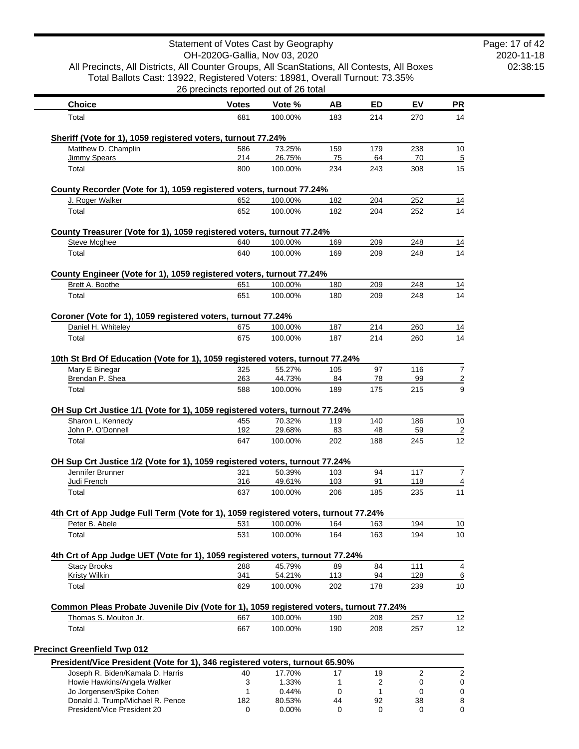|                                                                                                                                                                             | Statement of Votes Cast by Geography  |                  |            |                |            |                |
|-----------------------------------------------------------------------------------------------------------------------------------------------------------------------------|---------------------------------------|------------------|------------|----------------|------------|----------------|
|                                                                                                                                                                             | OH-2020G-Gallia, Nov 03, 2020         |                  |            |                |            |                |
| All Precincts, All Districts, All Counter Groups, All ScanStations, All Contests, All Boxes<br>Total Ballots Cast: 13922, Registered Voters: 18981, Overall Turnout: 73.35% |                                       |                  |            |                |            |                |
|                                                                                                                                                                             | 26 precincts reported out of 26 total |                  |            |                |            |                |
| <b>Choice</b>                                                                                                                                                               | <b>Votes</b>                          | Vote %           | AB         | <b>ED</b>      | EV         | <u>PR</u>      |
| Total                                                                                                                                                                       | 681                                   | 100.00%          | 183        | 214            | 270        | 14             |
| Sheriff (Vote for 1), 1059 registered voters, turnout 77.24%                                                                                                                |                                       |                  |            |                |            |                |
| Matthew D. Champlin                                                                                                                                                         | 586                                   | 73.25%           | 159        | 179            | 238        | 10             |
| <b>Jimmy Spears</b>                                                                                                                                                         | 214                                   | 26.75%           | 75         | 64             | 70         | $\overline{5}$ |
| Total                                                                                                                                                                       | 800                                   | 100.00%          | 234        | 243            | 308        | 15             |
| County Recorder (Vote for 1), 1059 registered voters, turnout 77.24%                                                                                                        |                                       |                  |            |                |            |                |
| J. Roger Walker                                                                                                                                                             | 652                                   | 100.00%          | 182        | 204            | 252        | 14             |
| Total                                                                                                                                                                       | 652                                   | 100.00%          | 182        | 204            | 252        | 14             |
| County Treasurer (Vote for 1), 1059 registered voters, turnout 77.24%                                                                                                       |                                       |                  |            |                |            |                |
| Steve Mcghee                                                                                                                                                                | 640                                   | 100.00%          | 169        | 209            | 248        | 14             |
| Total                                                                                                                                                                       | 640                                   | 100.00%          | 169        | 209            | 248        | 14             |
| County Engineer (Vote for 1), 1059 registered voters, turnout 77.24%                                                                                                        |                                       |                  |            |                |            |                |
| Brett A. Boothe                                                                                                                                                             | 651                                   | 100.00%          | 180        | 209            | 248        | 14             |
| Total                                                                                                                                                                       | 651                                   | 100.00%          | 180        | 209            | 248        | 14             |
| Coroner (Vote for 1), 1059 registered voters, turnout 77.24%                                                                                                                |                                       |                  |            |                |            |                |
| Daniel H. Whiteley                                                                                                                                                          | 675                                   | 100.00%          | 187        | 214            | 260        | 14             |
| Total                                                                                                                                                                       | 675                                   | 100.00%          | 187        | 214            | 260        | 14             |
| 10th St Brd Of Education (Vote for 1), 1059 registered voters, turnout 77.24%                                                                                               |                                       |                  |            |                |            |                |
| Mary E Binegar<br>Brendan P. Shea                                                                                                                                           | 325<br>263                            | 55.27%<br>44.73% | 105<br>84  | 97<br>78       | 116<br>99  |                |
| Total                                                                                                                                                                       | 588                                   | 100.00%          | 189        | 175            | 215        |                |
| OH Sup Crt Justice 1/1 (Vote for 1), 1059 registered voters, turnout 77.24%                                                                                                 |                                       |                  |            |                |            |                |
| Sharon L. Kennedy                                                                                                                                                           | 455                                   | 70.32%           | 119        | 140            | 186        | 10             |
| John P. O'Donnell                                                                                                                                                           | 192                                   | 29.68%           | 83         | 48             | 59         |                |
| Total                                                                                                                                                                       | 647                                   | 100.00%          | 202        | 188            | 245        | 12             |
| OH Sup Crt Justice 1/2 (Vote for 1), 1059 registered voters, turnout 77.24%                                                                                                 |                                       |                  |            |                |            |                |
| Jennifer Brunner                                                                                                                                                            | 321                                   | 50.39%<br>49.61% | 103        | 94             | 117        |                |
| Judi French<br>Total                                                                                                                                                        | 316<br>637                            | 100.00%          | 103<br>206 | 91<br>185      | 118<br>235 | 11             |
|                                                                                                                                                                             |                                       |                  |            |                |            |                |
| 4th Crt of App Judge Full Term (Vote for 1), 1059 registered voters, turnout 77.24%<br>Peter B. Abele                                                                       | 531                                   | 100.00%          | 164        | 163            | 194        | 10             |
| Total                                                                                                                                                                       | 531                                   | 100.00%          | 164        | 163            | 194        | 10             |
| 4th Crt of App Judge UET (Vote for 1), 1059 registered voters, turnout 77.24%                                                                                               |                                       |                  |            |                |            |                |
| <b>Stacy Brooks</b>                                                                                                                                                         | 288                                   | 45.79%           | 89         | 84             | 111        |                |
| <b>Kristy Wilkin</b>                                                                                                                                                        | 341                                   | 54.21%           | 113        | 94             | 128        |                |
| Total                                                                                                                                                                       | 629                                   | 100.00%          | 202        | 178            | 239        | 10             |
| Common Pleas Probate Juvenile Div (Vote for 1), 1059 registered voters, turnout 77.24%                                                                                      |                                       |                  |            |                |            |                |
| Thomas S. Moulton Jr.                                                                                                                                                       | 667                                   | 100.00%          | 190        | 208            | 257        | 12             |
| Total                                                                                                                                                                       | 667                                   | 100.00%          | 190        | 208            | 257        | 12             |
| <b>Precinct Greenfield Twp 012</b>                                                                                                                                          |                                       |                  |            |                |            |                |
| President/Vice President (Vote for 1), 346 registered voters, turnout 65.90%                                                                                                |                                       |                  |            |                |            |                |
| Joseph R. Biden/Kamala D. Harris                                                                                                                                            | 40                                    | 17.70%           | 17         | 19             | 2          |                |
| Howie Hawkins/Angela Walker                                                                                                                                                 | 3<br>1                                | 1.33%            | 1          | $\overline{c}$ | 0          |                |
| Jo Jorgensen/Spike Cohen<br>Donald J. Trump/Michael R. Pence                                                                                                                | 182                                   | 0.44%<br>80.53%  | 0<br>44    | 1<br>92        | 0<br>38    |                |
| President/Vice President 20                                                                                                                                                 | 0                                     | 0.00%            | 0          | $\mathbf 0$    | 0          |                |

2020-11-18 02:38:15 Page: 17 of 42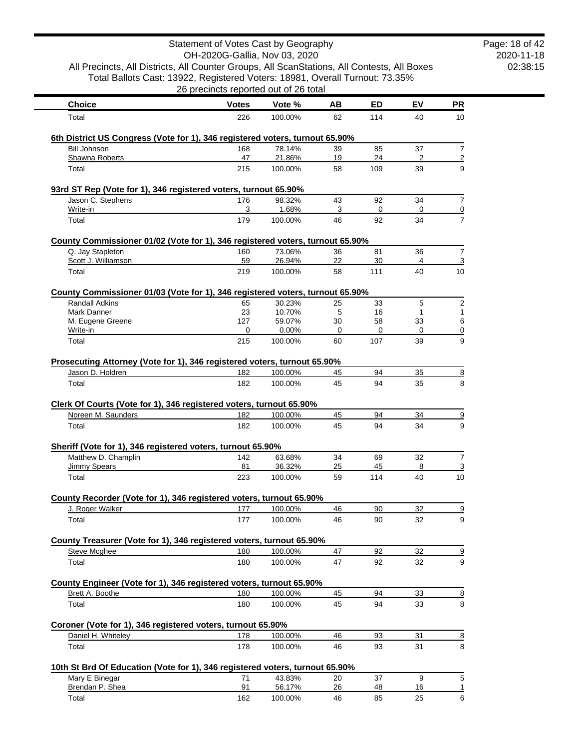|                                                                                                                   | Statement of Votes Cast by Geography  |                    |          |           |          |                                  |
|-------------------------------------------------------------------------------------------------------------------|---------------------------------------|--------------------|----------|-----------|----------|----------------------------------|
| All Precincts, All Districts, All Counter Groups, All ScanStations, All Contests, All Boxes                       | OH-2020G-Gallia, Nov 03, 2020         |                    |          |           |          |                                  |
| Total Ballots Cast: 13922, Registered Voters: 18981, Overall Turnout: 73.35%                                      |                                       |                    |          |           |          |                                  |
|                                                                                                                   | 26 precincts reported out of 26 total |                    |          |           |          |                                  |
| <b>Choice</b>                                                                                                     | <b>Votes</b>                          | Vote %             | AВ       | <b>ED</b> | EV       | <b>PR</b>                        |
| Total                                                                                                             | 226                                   | 100.00%            | 62       | 114       | 40       | 10                               |
| 6th District US Congress (Vote for 1), 346 registered voters, turnout 65.90%                                      |                                       |                    |          |           |          |                                  |
| <b>Bill Johnson</b>                                                                                               | 168                                   | 78.14%             | 39       | 85        | 37       | 7                                |
| Shawna Roberts                                                                                                    | 47                                    | 21.86%             | 19       | 24        | 2        | $\overline{2}$                   |
| Total                                                                                                             | 215                                   | 100.00%            | 58       | 109       | 39       | 9                                |
| 93rd ST Rep (Vote for 1), 346 registered voters, turnout 65.90%                                                   |                                       |                    |          |           |          |                                  |
| Jason C. Stephens                                                                                                 | 176                                   | 98.32%             | 43       | 92        | 34       | $\overline{7}$                   |
| Write-in                                                                                                          | 3                                     | 1.68%              | 3        | 0         | 0        | $\overline{0}$<br>$\overline{7}$ |
| Total                                                                                                             | 179                                   | 100.00%            | 46       | 92        | 34       |                                  |
| County Commissioner 01/02 (Vote for 1), 346 registered voters, turnout 65.90%                                     |                                       |                    |          |           |          |                                  |
| Q. Jay Stapleton<br>Scott J. Williamson                                                                           | 160<br>59                             | 73.06%<br>26.94%   | 36<br>22 | 81<br>30  | 36<br>4  | $\overline{7}$<br>$\overline{3}$ |
| Total                                                                                                             | 219                                   | 100.00%            | 58       | 111       | 40       | 10                               |
|                                                                                                                   |                                       |                    |          |           |          |                                  |
| County Commissioner 01/03 (Vote for 1), 346 registered voters, turnout 65.90%<br><b>Randall Adkins</b>            | 65                                    | 30.23%             | 25       | 33        | 5        | $\overline{2}$                   |
| Mark Danner                                                                                                       | 23                                    | 10.70%             | 5        | 16        | 1        | 1                                |
| M. Eugene Greene                                                                                                  | 127                                   | 59.07%             | 30       | 58        | 33       | 6                                |
| Write-in                                                                                                          | 0                                     | 0.00%              | 0        | 0         | 0        | $\overline{0}$                   |
| Total                                                                                                             | 215                                   | 100.00%            | 60       | 107       | 39       | 9                                |
| Prosecuting Attorney (Vote for 1), 346 registered voters, turnout 65.90%                                          |                                       |                    |          |           |          |                                  |
| Jason D. Holdren                                                                                                  | 182                                   | 100.00%            | 45       | 94        | 35       | $\overline{8}$                   |
| Total                                                                                                             | 182                                   | 100.00%            | 45       | 94        | 35       | 8                                |
| Clerk Of Courts (Vote for 1), 346 registered voters, turnout 65.90%                                               |                                       |                    |          |           |          |                                  |
| Noreen M. Saunders                                                                                                | 182                                   | 100.00%            | 45       | 94        | 34       | $\overline{\partial}$            |
| Total                                                                                                             | 182                                   | 100.00%            | 45       | 94        | 34       | 9                                |
| Sheriff (Vote for 1), 346 registered voters, turnout 65.90%                                                       |                                       |                    |          |           |          |                                  |
| Matthew D. Champlin                                                                                               | 142                                   | 63.68%             | 34       | 69        | 32       | $\overline{7}$                   |
| <b>Jimmy Spears</b>                                                                                               | 81                                    | 36.32%             | 25       | 45        | 8        | $\overline{3}$                   |
| Total                                                                                                             | 223                                   | 100.00%            | 59       | 114       | 40       | 10                               |
| County Recorder (Vote for 1), 346 registered voters, turnout 65.90%                                               |                                       |                    |          |           |          |                                  |
| J. Roger Walker                                                                                                   | 177                                   | 100.00%            | 46       | 90        | 32       | $\overline{9}$                   |
| Total                                                                                                             | 177                                   | 100.00%            | 46       | 90        | 32       | 9                                |
| County Treasurer (Vote for 1), 346 registered voters, turnout 65.90%                                              |                                       |                    |          |           |          |                                  |
| Steve Mcghee                                                                                                      | 180                                   | 100.00%            | 47       | 92        | 32       | $\overline{9}$                   |
| Total                                                                                                             | 180                                   | 100.00%            | 47       | 92        | 32       | 9                                |
| County Engineer (Vote for 1), 346 registered voters, turnout 65.90%                                               |                                       |                    |          |           |          |                                  |
| Brett A. Boothe                                                                                                   | 180                                   | 100.00%            | 45       | 94        | 33       | $\overline{8}$                   |
| Total                                                                                                             | 180                                   | 100.00%            | 45       | 94        | 33       | 8                                |
| Coroner (Vote for 1), 346 registered voters, turnout 65.90%                                                       |                                       |                    |          |           |          |                                  |
|                                                                                                                   |                                       |                    |          |           |          |                                  |
|                                                                                                                   |                                       |                    | 46       | 93        |          |                                  |
| Daniel H. Whiteley<br>Total                                                                                       | 178<br>178                            | 100.00%<br>100.00% | 46       | 93        | 31<br>31 |                                  |
|                                                                                                                   |                                       |                    |          |           |          |                                  |
|                                                                                                                   |                                       |                    |          |           |          |                                  |
| 10th St Brd Of Education (Vote for 1), 346 registered voters, turnout 65.90%<br>Mary E Binegar<br>Brendan P. Shea | 71<br>91                              | 43.83%<br>56.17%   | 20<br>26 | 37<br>48  | 9<br>16  | $\overline{8}$<br>8<br>5<br>1    |

۰

2020-11-18 02:38:15 Page: 18 of 42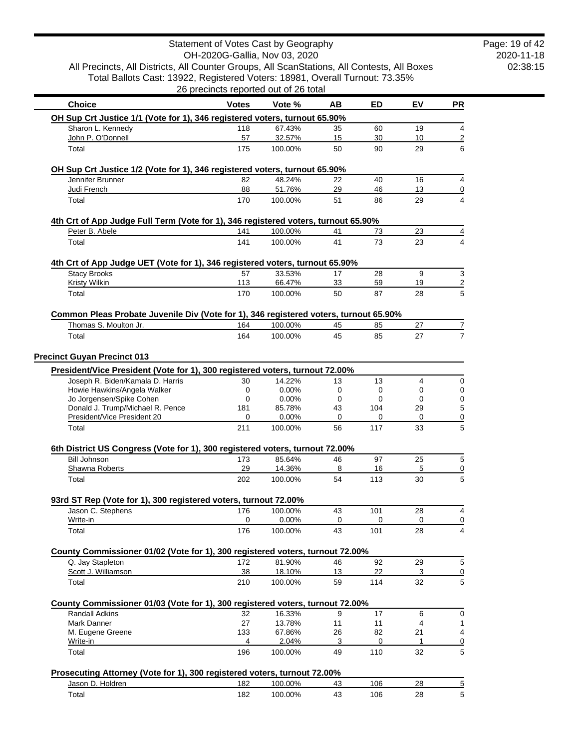| All Precincts, All Districts, All Counter Groups, All ScanStations, All Contests, All Boxes     |                                       |                   |          |           |                |    |
|-------------------------------------------------------------------------------------------------|---------------------------------------|-------------------|----------|-----------|----------------|----|
| Total Ballots Cast: 13922, Registered Voters: 18981, Overall Turnout: 73.35%                    | 26 precincts reported out of 26 total |                   |          |           |                |    |
| <b>Choice</b>                                                                                   | <b>Votes</b>                          | Vote %            | AВ       | ED        | EV             | PR |
| OH Sup Crt Justice 1/1 (Vote for 1), 346 registered voters, turnout 65.90%                      |                                       |                   |          |           |                |    |
| Sharon L. Kennedy<br>John P. O'Donnell                                                          | 118<br>57                             | 67.43%<br>32.57%  | 35       | 60        | 19<br>10       |    |
| Total                                                                                           | 175                                   | 100.00%           | 15<br>50 | 30<br>90  | 29             |    |
| OH Sup Crt Justice 1/2 (Vote for 1), 346 registered voters, turnout 65.90%                      |                                       |                   |          |           |                |    |
| Jennifer Brunner                                                                                | 82                                    | 48.24%            | 22       | 40        | 16             |    |
| Judi French                                                                                     | 88                                    | 51.76%            | 29       | 46        | 13             |    |
| Total                                                                                           | 170                                   | 100.00%           | 51       | 86        | 29             |    |
| 4th Crt of App Judge Full Term (Vote for 1), 346 registered voters, turnout 65.90%              |                                       |                   |          |           |                |    |
| Peter B. Abele                                                                                  | 141                                   | 100.00%           | 41       | 73        | 23             |    |
| Total                                                                                           | 141                                   | 100.00%           | 41       | 73        | 23             |    |
| 4th Crt of App Judge UET (Vote for 1), 346 registered voters, turnout 65.90%                    |                                       |                   |          |           |                |    |
| <b>Stacy Brooks</b><br><b>Kristy Wilkin</b>                                                     | 57<br>113                             | 33.53%<br>66.47%  | 17<br>33 | 28<br>59  | 9<br><u>19</u> |    |
| Total                                                                                           | 170                                   | 100.00%           | 50       | 87        | 28             |    |
| Common Pleas Probate Juvenile Div (Vote for 1), 346 registered voters, turnout 65.90%           |                                       |                   |          |           |                |    |
| Thomas S. Moulton Jr.                                                                           | 164                                   | 100.00%           | 45       | 85        | 27             |    |
| Total                                                                                           | 164                                   | 100.00%           | 45       | 85        | 27             |    |
| <b>Precinct Guyan Precinct 013</b>                                                              |                                       |                   |          |           |                |    |
| President/Vice President (Vote for 1), 300 registered voters, turnout 72.00%                    |                                       |                   |          |           |                |    |
| Joseph R. Biden/Kamala D. Harris                                                                | 30                                    | 14.22%            | 13       | 13        | 4              |    |
| Howie Hawkins/Angela Walker                                                                     | 0                                     | 0.00%             | 0        | 0<br>0    | 0<br>0         |    |
| Jo Jorgensen/Spike Cohen<br>Donald J. Trump/Michael R. Pence                                    | 0<br>181                              | 0.00%<br>85.78%   | 0<br>43  | 104       | 29             |    |
| President/Vice President 20                                                                     | 0                                     | 0.00%             | 0        | 0         | 0              |    |
| Total                                                                                           | 211                                   | 100.00%           | 56       | 117       | 33             |    |
| 6th District US Congress (Vote for 1), 300 registered voters, turnout 72.00%                    |                                       |                   |          |           |                |    |
| <b>Bill Johnson</b>                                                                             | 173                                   | 85.64%            | 46       | 97        | 25             |    |
| Shawna Roberts<br>Total                                                                         | 29<br>202                             | 14.36%<br>100.00% | 8<br>54  | 16<br>113 | 5<br>30        |    |
|                                                                                                 |                                       |                   |          |           |                |    |
| 93rd ST Rep (Vote for 1), 300 registered voters, turnout 72.00%<br>Jason C. Stephens            | 176                                   | 100.00%           | 43       | 101       | 28             |    |
| Write-in                                                                                        | $\mathbf 0$                           | 0.00%             | 0        | 0         | 0              |    |
| Total                                                                                           | 176                                   | 100.00%           | 43       | 101       | 28             |    |
| County Commissioner 01/02 (Vote for 1), 300 registered voters, turnout 72.00%                   |                                       |                   |          |           |                |    |
| Q. Jay Stapleton<br>Scott J. Williamson                                                         | 172<br>38                             | 81.90%<br>18.10%  | 46<br>13 | 92<br>22  | 29<br>3        |    |
| Total                                                                                           | 210                                   | 100.00%           | 59       | 114       | 32             |    |
|                                                                                                 |                                       |                   |          |           |                |    |
| County Commissioner 01/03 (Vote for 1), 300 registered voters, turnout 72.00%<br>Randall Adkins | 32                                    | 16.33%            | 9        | 17        | 6              |    |
| Mark Danner                                                                                     | 27                                    | 13.78%            | 11       | 11        | 4              |    |
| M. Eugene Greene                                                                                | 133                                   | 67.86%            | 26       | 82        | 21             |    |
| Write-in<br>Total                                                                               | 4<br>196                              | 2.04%<br>100.00%  | 3<br>49  | 0<br>110  | 1<br>32        |    |
|                                                                                                 |                                       |                   |          |           |                |    |
| Prosecuting Attorney (Vote for 1), 300 registered voters, turnout 72.00%<br>Jason D. Holdren    | 182                                   | 100.00%           | 43       | 106       | 28             |    |
|                                                                                                 |                                       |                   |          |           |                |    |
| Total                                                                                           | 182                                   | 100.00%           | 43       |           | 106            | 28 |

Statement of Votes Cast by Geography

2020-11-18 02:38:15 Page: 19 of 42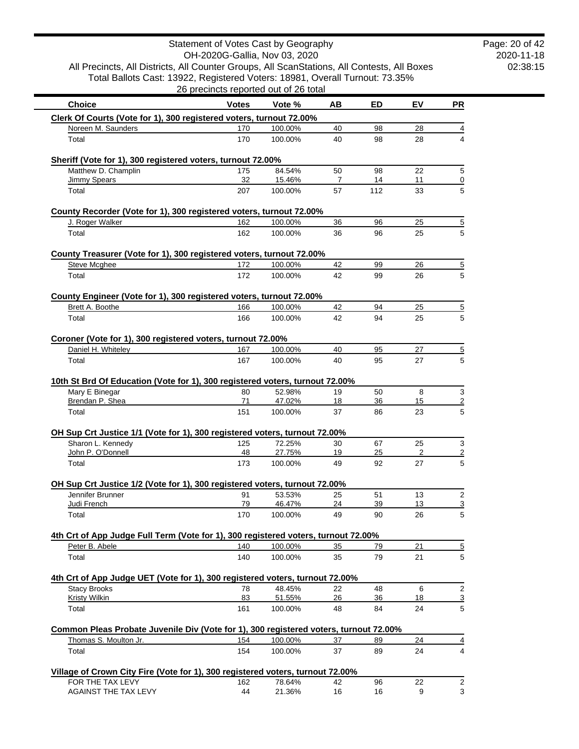| Total Ballots Cast: 13922, Registered Voters: 18981, Overall Turnout: 73.35%                       | 26 precincts reported out of 26 total |                    |          |           |          |                     |
|----------------------------------------------------------------------------------------------------|---------------------------------------|--------------------|----------|-----------|----------|---------------------|
|                                                                                                    |                                       | Vote %             |          |           |          |                     |
| <b>Choice</b>                                                                                      | <b>Votes</b>                          |                    | AВ       | ED        | EV       | PR                  |
| Clerk Of Courts (Vote for 1), 300 registered voters, turnout 72.00%<br>Noreen M. Saunders          | 170                                   | 100.00%            | 40       | 98        | 28       | 4                   |
| Total                                                                                              | 170                                   | 100.00%            | 40       | 98        | 28       | 4                   |
|                                                                                                    |                                       |                    |          |           |          |                     |
| Sheriff (Vote for 1), 300 registered voters, turnout 72.00%                                        |                                       |                    |          |           |          |                     |
| Matthew D. Champlin                                                                                | 175                                   | 84.54%             | 50       | 98        | 22       | $\,$ 5 $\,$         |
| Jimmy Spears<br>Total                                                                              | 32<br>207                             | 15.46%<br>100.00%  | 7<br>57  | 14<br>112 | 11<br>33 | $\overline{0}$<br>5 |
|                                                                                                    |                                       |                    |          |           |          |                     |
| County Recorder (Vote for 1), 300 registered voters, turnout 72.00%                                |                                       |                    |          |           |          |                     |
| J. Roger Walker                                                                                    | 162                                   | 100.00%            | 36       | 96        | 25       | $\overline{5}$      |
| Total                                                                                              | 162                                   | 100.00%            | 36       | 96        | 25       | 5                   |
| County Treasurer (Vote for 1), 300 registered voters, turnout 72.00%                               |                                       |                    |          |           |          |                     |
| <b>Steve Mcghee</b>                                                                                | 172                                   | 100.00%            | 42       | 99        | 26       | $\overline{5}$      |
| Total                                                                                              | 172                                   | 100.00%            | 42       | 99        | 26       | 5                   |
|                                                                                                    |                                       |                    |          |           |          |                     |
| County Engineer (Vote for 1), 300 registered voters, turnout 72.00%                                |                                       |                    |          |           |          |                     |
| Brett A. Boothe<br>Total                                                                           | 166<br>166                            | 100.00%<br>100.00% | 42<br>42 | 94<br>94  | 25<br>25 | $\overline{5}$<br>5 |
|                                                                                                    |                                       |                    |          |           |          |                     |
| Coroner (Vote for 1), 300 registered voters, turnout 72.00%                                        |                                       |                    |          |           |          |                     |
| Daniel H. Whiteley                                                                                 | 167                                   | 100.00%            | 40       | 95        | 27       | $\overline{5}$      |
| Total                                                                                              | 167                                   | 100.00%            | 40       | 95        | 27       | 5                   |
| 10th St Brd Of Education (Vote for 1), 300 registered voters, turnout 72.00%                       |                                       |                    |          |           |          |                     |
| Mary E Binegar                                                                                     | 80                                    | 52.98%             | 19       | 50        | 8        | $\mathsf 3$         |
| Brendan P. Shea                                                                                    | 71                                    | 47.02%             | 18       | 36        | 15       | $\overline{2}$      |
| Total                                                                                              | 151                                   | 100.00%            | 37       | 86        | 23       | 5                   |
|                                                                                                    |                                       |                    |          |           |          |                     |
| OH Sup Crt Justice 1/1 (Vote for 1), 300 registered voters, turnout 72.00%<br>Sharon L. Kennedy    | 125                                   | 72.25%             | 30       | 67        | 25       | 3                   |
| John P. O'Donnell                                                                                  | 48                                    | 27.75%             | 19       | 25        | 2        | $\overline{2}$      |
| Total                                                                                              | 173                                   | 100.00%            | 49       | 92        | 27       | 5                   |
|                                                                                                    |                                       |                    |          |           |          |                     |
| OH Sup Crt Justice 1/2 (Vote for 1), 300 registered voters, turnout 72.00%<br>Jennifer Brunner     | 91                                    | 53.53%             | 25       | 51        | 13       | $\overline{2}$      |
| Judi French                                                                                        | 79                                    | 46.47%             | 24       | 39        | 13       | $\overline{3}$      |
| Total                                                                                              | 170                                   | 100.00%            | 49       | 90        | 26       | $5\phantom{.0}$     |
|                                                                                                    |                                       |                    |          |           |          |                     |
| 4th Crt of App Judge Full Term (Vote for 1), 300 registered voters, turnout 72.00%                 |                                       |                    |          |           |          |                     |
| Peter B. Abele<br>Total                                                                            | 140<br>140                            | 100.00%<br>100.00% | 35<br>35 | 79<br>79  | 21<br>21 | $\overline{5}$<br>5 |
|                                                                                                    |                                       |                    |          |           |          |                     |
| 4th Crt of App Judge UET (Vote for 1), 300 registered voters, turnout 72.00%                       |                                       |                    |          |           |          |                     |
| <b>Stacy Brooks</b>                                                                                | 78                                    | 48.45%             | 22       | 48        | 6        | $\overline{2}$      |
| <b>Kristy Wilkin</b>                                                                               | 83                                    | 51.55%             | 26       | 36        | 18       | $\overline{3}$      |
| Total                                                                                              | 161                                   | 100.00%            | 48       | 84        | 24       | 5                   |
| Common Pleas Probate Juvenile Div (Vote for 1), 300 registered voters, turnout 72.00%              |                                       |                    |          |           |          |                     |
| Thomas S. Moulton Jr.                                                                              | 154                                   | 100.00%            | 37       | 89        | 24       | $\overline{4}$      |
| Total                                                                                              | 154                                   | 100.00%            | 37       | 89        | 24       | 4                   |
|                                                                                                    |                                       |                    |          |           |          |                     |
| Village of Crown City Fire (Vote for 1), 300 registered voters, turnout 72.00%<br>FOR THE TAX LEVY | 162                                   | 78.64%             | 42       | 96        | 22       | $\overline{2}$      |
|                                                                                                    |                                       |                    |          |           |          |                     |

AGAINST THE TAX LEVY 44 21.36% 16 16 9 3

Statement of Votes Cast by Geography

2020-11-18 02:38:15 Page: 20 of 42

 $\mathcal{L}^{\text{max}}_{\text{max}}$  , where  $\mathcal{L}^{\text{max}}_{\text{max}}$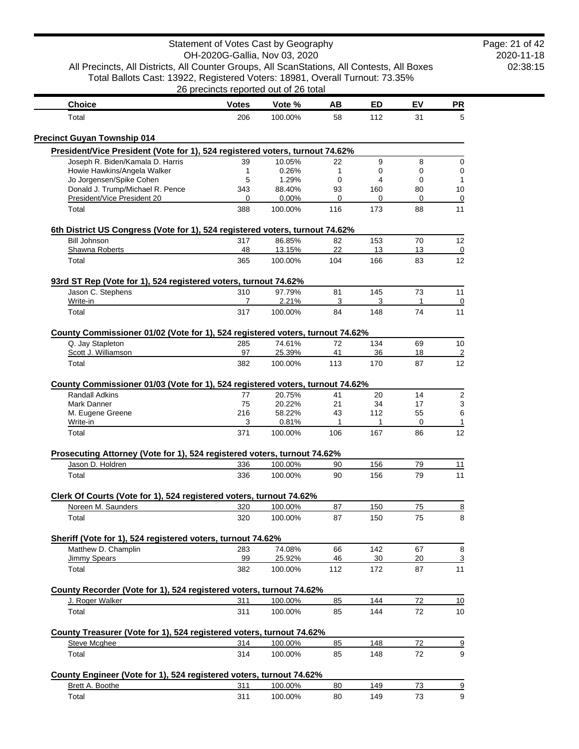| Statement of Votes Cast by Geography<br>Page: 21 of 42<br>OH-2020G-Gallia, Nov 03, 2020<br>All Precincts, All Districts, All Counter Groups, All ScanStations, All Contests, All Boxes<br>Total Ballots Cast: 13922, Registered Voters: 18981, Overall Turnout: 73.35%<br>26 precincts reported out of 26 total |                     |                            |                     |                 |                |                       |  |
|-----------------------------------------------------------------------------------------------------------------------------------------------------------------------------------------------------------------------------------------------------------------------------------------------------------------|---------------------|----------------------------|---------------------|-----------------|----------------|-----------------------|--|
|                                                                                                                                                                                                                                                                                                                 |                     |                            |                     |                 |                |                       |  |
| <b>Choice</b><br>Total                                                                                                                                                                                                                                                                                          | <b>Votes</b><br>206 | Vote %<br>100.00%          | AB<br>58            | ED<br>112       | EV<br>31       | <b>PR</b><br>5        |  |
|                                                                                                                                                                                                                                                                                                                 |                     |                            |                     |                 |                |                       |  |
| <b>Precinct Guyan Township 014</b>                                                                                                                                                                                                                                                                              |                     |                            |                     |                 |                |                       |  |
| President/Vice President (Vote for 1), 524 registered voters, turnout 74.62%<br>Joseph R. Biden/Kamala D. Harris                                                                                                                                                                                                |                     |                            |                     |                 |                |                       |  |
| Howie Hawkins/Angela Walker                                                                                                                                                                                                                                                                                     | 39<br>1             | 10.05%<br>0.26%            | 22<br>1             | 9<br>0          | 8<br>0         | 0<br>$\mathbf 0$      |  |
| Jo Jorgensen/Spike Cohen                                                                                                                                                                                                                                                                                        | 5                   | 1.29%                      | $\mathbf 0$         | 4               | 0              |                       |  |
| Donald J. Trump/Michael R. Pence                                                                                                                                                                                                                                                                                | 343                 | 88.40%                     | 93                  | 160             | 80             | 10                    |  |
| President/Vice President 20                                                                                                                                                                                                                                                                                     | 0                   | 0.00%                      | 0                   | 0               | 0              | 0                     |  |
| Total                                                                                                                                                                                                                                                                                                           | 388                 | 100.00%                    | 116                 | 173             | 88             | 11                    |  |
| 6th District US Congress (Vote for 1), 524 registered voters, turnout 74.62%                                                                                                                                                                                                                                    |                     |                            |                     |                 |                |                       |  |
| <b>Bill Johnson</b>                                                                                                                                                                                                                                                                                             | 317                 | 86.85%                     | 82                  | 153             | 70             | 12                    |  |
| Shawna Roberts                                                                                                                                                                                                                                                                                                  | 48                  | 13.15%                     | 22                  | 13              | 13             | 0                     |  |
| Total                                                                                                                                                                                                                                                                                                           | 365                 | 100.00%                    | 104                 | 166             | 83             | 12                    |  |
| 93rd ST Rep (Vote for 1), 524 registered voters, turnout 74.62%                                                                                                                                                                                                                                                 |                     |                            |                     |                 |                |                       |  |
| Jason C. Stephens                                                                                                                                                                                                                                                                                               | 310                 | 97.79%                     | 81                  | 145             | 73             | 11                    |  |
| Write-in<br>Total                                                                                                                                                                                                                                                                                               | 7<br>317            | 2.21%<br>100.00%           | 3<br>84             | 3<br>148        | 1<br>74        | $\overline{0}$<br>11  |  |
|                                                                                                                                                                                                                                                                                                                 |                     |                            |                     |                 |                |                       |  |
| County Commissioner 01/02 (Vote for 1), 524 registered voters, turnout 74.62%                                                                                                                                                                                                                                   |                     |                            |                     |                 |                |                       |  |
| Q. Jay Stapleton                                                                                                                                                                                                                                                                                                | 285                 | 74.61%                     | 72                  | 134             | 69             | 10                    |  |
| Scott J. Williamson<br>Total                                                                                                                                                                                                                                                                                    | 97<br>382           | 25.39%<br>100.00%          | 41<br>113           | 36<br>170       | 18<br>87       | $\overline{2}$<br>12  |  |
| <b>Randall Adkins</b><br>Mark Danner<br>M. Eugene Greene                                                                                                                                                                                                                                                        | 77<br>75<br>216     | 20.75%<br>20.22%<br>58.22% | 41<br>21<br>43      | 20<br>34<br>112 | 14<br>17<br>55 | $\mathbf 2$<br>3<br>6 |  |
| Write-in<br>Total                                                                                                                                                                                                                                                                                               | 3<br>371            | 0.81%<br>100.00%           | $\mathbf{1}$<br>106 | 1<br>167        | 0<br>86        | 1<br>12               |  |
|                                                                                                                                                                                                                                                                                                                 |                     |                            |                     |                 |                |                       |  |
| Prosecuting Attorney (Vote for 1), 524 registered voters, turnout 74.62%                                                                                                                                                                                                                                        |                     |                            |                     |                 |                |                       |  |
| Jason D. Holdren                                                                                                                                                                                                                                                                                                | 336                 | 100.00%                    | 90<br>90            | 156             | 79<br>79       | 11<br>11              |  |
| Total                                                                                                                                                                                                                                                                                                           | 336                 | 100.00%                    |                     | 156             |                |                       |  |
| Clerk Of Courts (Vote for 1), 524 registered voters, turnout 74.62%                                                                                                                                                                                                                                             |                     |                            |                     |                 |                |                       |  |
| Noreen M. Saunders                                                                                                                                                                                                                                                                                              | 320                 | 100.00%                    | 87                  | 150             | 75             | $\overline{8}$        |  |
| Total                                                                                                                                                                                                                                                                                                           | 320                 | 100.00%                    | 87                  | 150             | 75             | 8                     |  |
| Sheriff (Vote for 1), 524 registered voters, turnout 74.62%                                                                                                                                                                                                                                                     |                     |                            |                     |                 |                |                       |  |
| Matthew D. Champlin                                                                                                                                                                                                                                                                                             | 283                 | 74.08%                     | 66                  | 142             | 67             | 8                     |  |
| <b>Jimmy Spears</b>                                                                                                                                                                                                                                                                                             | 99                  | 25.92%                     | 46                  | 30              | 20             | 3                     |  |
| Total                                                                                                                                                                                                                                                                                                           | 382                 | 100.00%                    | 112                 | 172             | 87             | 11                    |  |
| County Recorder (Vote for 1), 524 registered voters, turnout 74.62%                                                                                                                                                                                                                                             |                     |                            |                     |                 |                |                       |  |
| J. Roger Walker                                                                                                                                                                                                                                                                                                 | 311                 | 100.00%                    | 85                  | 144             | 72             | 10                    |  |
| Total                                                                                                                                                                                                                                                                                                           | 311                 | 100.00%                    | 85                  | 144             | 72             | 10                    |  |
| County Treasurer (Vote for 1), 524 registered voters, turnout 74.62%                                                                                                                                                                                                                                            |                     |                            |                     |                 |                |                       |  |
| <b>Steve Mcghee</b>                                                                                                                                                                                                                                                                                             | 314                 | 100.00%                    | 85                  | 148             | 72             | $\overline{9}$        |  |
| Total                                                                                                                                                                                                                                                                                                           | 314                 | 100.00%                    | 85                  | 148             | 72             | 9                     |  |
| County Engineer (Vote for 1), 524 registered voters, turnout 74.62%                                                                                                                                                                                                                                             |                     |                            |                     |                 |                |                       |  |
| Brett A. Boothe                                                                                                                                                                                                                                                                                                 | 311                 | 100.00%                    | 80                  | 149             | 73             | $\overline{\partial}$ |  |
| Total                                                                                                                                                                                                                                                                                                           | 311                 | 100.00%                    | 80                  | 149             | 73             | 9                     |  |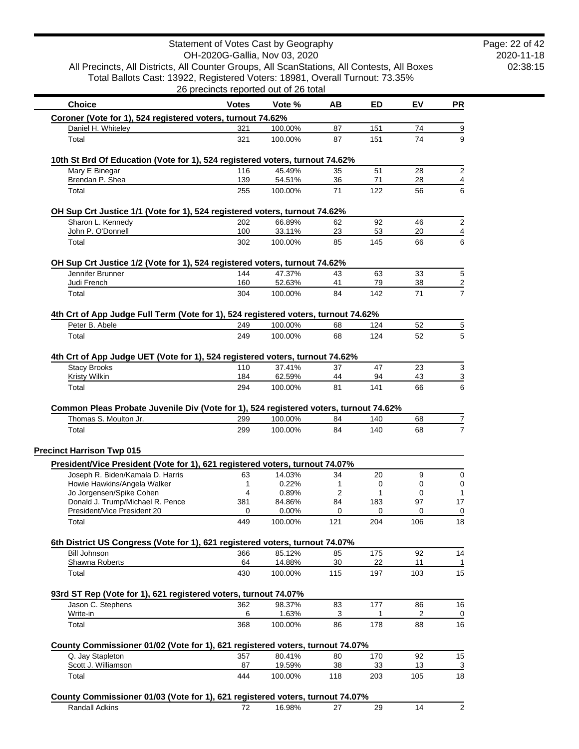|                                                                                                                  |              | Statement of Votes Cast by Geography<br>OH-2020G-Gallia, Nov 03, 2020 |           |            |           |           |
|------------------------------------------------------------------------------------------------------------------|--------------|-----------------------------------------------------------------------|-----------|------------|-----------|-----------|
| All Precincts, All Districts, All Counter Groups, All ScanStations, All Contests, All Boxes                      |              |                                                                       |           |            |           |           |
| Total Ballots Cast: 13922, Registered Voters: 18981, Overall Turnout: 73.35%                                     |              |                                                                       |           |            |           |           |
|                                                                                                                  |              | 26 precincts reported out of 26 total                                 |           |            |           |           |
| <b>Choice</b>                                                                                                    | <b>Votes</b> | Vote %                                                                | AB        | ED         | EV        | <b>PR</b> |
| Coroner (Vote for 1), 524 registered voters, turnout 74.62%                                                      |              |                                                                       |           |            |           |           |
| Daniel H. Whiteley                                                                                               | 321          | 100.00%                                                               | 87        | 151        | 74        |           |
| Total                                                                                                            | 321          | 100.00%                                                               | 87        | 151        | 74        |           |
| 10th St Brd Of Education (Vote for 1), 524 registered voters, turnout 74.62%                                     |              |                                                                       |           |            |           |           |
| Mary E Binegar                                                                                                   | 116          | 45.49%                                                                | 35        | 51         | 28        |           |
| Brendan P. Shea<br>Total                                                                                         | 139<br>255   | 54.51%<br>100.00%                                                     | 36<br>71  | 71<br>122  | 28<br>56  |           |
|                                                                                                                  |              |                                                                       |           |            |           |           |
| OH Sup Crt Justice 1/1 (Vote for 1), 524 registered voters, turnout 74.62%<br>Sharon L. Kennedy                  | 202          | 66.89%                                                                | 62        | 92         | 46        |           |
| John P. O'Donnell                                                                                                | 100          | 33.11%                                                                | 23        | 53         | 20        |           |
| Total                                                                                                            | 302          | 100.00%                                                               | 85        | 145        | 66        |           |
| OH Sup Crt Justice 1/2 (Vote for 1), 524 registered voters, turnout 74.62%                                       |              |                                                                       |           |            |           |           |
| Jennifer Brunner                                                                                                 | 144          | 47.37%                                                                | 43        | 63         | 33        |           |
| Judi French                                                                                                      | 160          | 52.63%<br>100.00%                                                     | 41        | 79<br>142  | 38<br>71  |           |
| Total                                                                                                            | 304          |                                                                       | 84        |            |           |           |
| 4th Crt of App Judge Full Term (Vote for 1), 524 registered voters, turnout 74.62%                               |              |                                                                       |           |            |           |           |
| Peter B. Abele<br>Total                                                                                          | 249<br>249   | 100.00%<br>100.00%                                                    | 68<br>68  | 124<br>124 | 52        |           |
|                                                                                                                  |              |                                                                       |           |            | 52        |           |
| 4th Crt of App Judge UET (Vote for 1), 524 registered voters, turnout 74.62%                                     |              |                                                                       |           |            |           |           |
| <b>Stacy Brooks</b>                                                                                              | 110          | 37.41%                                                                | 37        | 47         | 23        |           |
| <b>Kristy Wilkin</b><br>Total                                                                                    | 184<br>294   | 62.59%<br>100.00%                                                     | 44<br>81  | 94<br>141  | 43<br>66  |           |
|                                                                                                                  |              |                                                                       |           |            |           |           |
| Common Pleas Probate Juvenile Div (Vote for 1), 524 registered voters, turnout 74.62%                            |              |                                                                       |           |            |           |           |
| Thomas S. Moulton Jr.<br>Total                                                                                   | 299<br>299   | 100.00%<br>100.00%                                                    | 84<br>84  | 140<br>140 | 68<br>68  |           |
|                                                                                                                  |              |                                                                       |           |            |           |           |
| <b>Precinct Harrison Twp 015</b>                                                                                 |              |                                                                       |           |            |           |           |
| President/Vice President (Vote for 1), 621 registered voters, turnout 74.07%<br>Joseph R. Biden/Kamala D. Harris | 63           | 14.03%                                                                | 34        | 20         | 9         |           |
| Howie Hawkins/Angela Walker                                                                                      | 1            | 0.22%                                                                 | 1         | 0          | 0         |           |
| Jo Jorgensen/Spike Cohen                                                                                         | 4            | 0.89%                                                                 | 2         | 1          | 0         |           |
| Donald J. Trump/Michael R. Pence                                                                                 | 381          | 84.86%                                                                | 84        | 183        | 97        |           |
| President/Vice President 20<br>Total                                                                             | 0<br>449     | 0.00%<br>100.00%                                                      | 0<br>121  | 0<br>204   | 0<br>106  |           |
|                                                                                                                  |              |                                                                       |           |            |           |           |
| 6th District US Congress (Vote for 1), 621 registered voters, turnout 74.07%<br><b>Bill Johnson</b>              | 366          | 85.12%                                                                | 85        | 175        | 92        |           |
| Shawna Roberts                                                                                                   | 64           | 14.88%                                                                | 30        | 22         | 11        | 14        |
| Total                                                                                                            | 430          | 100.00%                                                               | 115       | 197        | 103       |           |
| 93rd ST Rep (Vote for 1), 621 registered voters, turnout 74.07%                                                  |              |                                                                       |           |            |           |           |
| Jason C. Stephens                                                                                                | 362          | 98.37%                                                                | 83        | 177        | 86        | 16        |
| Write-in                                                                                                         | 6            | 1.63%                                                                 | 3         | 1          | 2         |           |
| Total                                                                                                            | 368          | 100.00%                                                               | 86        | 178        | 88        | 16        |
| County Commissioner 01/02 (Vote for 1), 621 registered voters, turnout 74.07%                                    |              |                                                                       |           |            |           |           |
| Q. Jay Stapleton                                                                                                 | 357          | 80.41%                                                                | 80        | 170        | 92        | 15        |
| Scott J. Williamson<br>Total                                                                                     | 87<br>444    | 19.59%<br>100.00%                                                     | 38<br>118 | 33<br>203  | 13<br>105 | 18        |
|                                                                                                                  |              |                                                                       |           |            |           |           |
| County Commissioner 01/03 (Vote for 1), 621 registered voters, turnout 74.07%                                    |              |                                                                       |           |            |           |           |
| <b>Randall Adkins</b>                                                                                            | 72           | 16.98%                                                                | 27        | 29         | 14        |           |

2020-11-18 02:38:15 Page: 22 of 42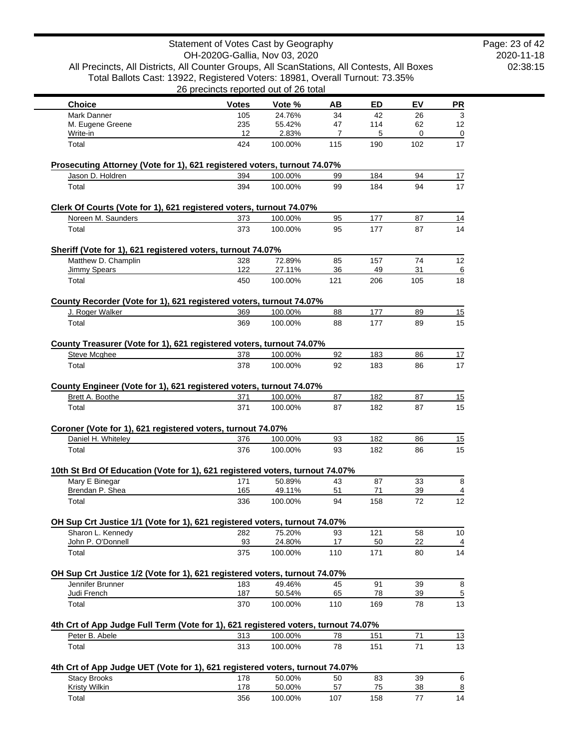|                                                                                                                                                                                                                                                                                                                                                                 | Statement of Votes Cast by Geography  |                   |                |           |           |                                      |
|-----------------------------------------------------------------------------------------------------------------------------------------------------------------------------------------------------------------------------------------------------------------------------------------------------------------------------------------------------------------|---------------------------------------|-------------------|----------------|-----------|-----------|--------------------------------------|
|                                                                                                                                                                                                                                                                                                                                                                 | OH-2020G-Gallia, Nov 03, 2020         |                   |                |           |           |                                      |
| All Precincts, All Districts, All Counter Groups, All ScanStations, All Contests, All Boxes                                                                                                                                                                                                                                                                     |                                       |                   |                |           |           |                                      |
| Total Ballots Cast: 13922, Registered Voters: 18981, Overall Turnout: 73.35%                                                                                                                                                                                                                                                                                    | 26 precincts reported out of 26 total |                   |                |           |           |                                      |
|                                                                                                                                                                                                                                                                                                                                                                 |                                       |                   |                |           |           |                                      |
| <b>Choice</b><br><b>Mark Danner</b>                                                                                                                                                                                                                                                                                                                             | <b>Votes</b><br>105                   | Vote %<br>24.76%  | ΑВ<br>34       | ED<br>42  | EV<br>26  | <b>PR</b>                            |
| M. Eugene Greene                                                                                                                                                                                                                                                                                                                                                | 235                                   | 55.42%            | 47             | 114       | 62        | 3<br>12                              |
| Write-in                                                                                                                                                                                                                                                                                                                                                        | 12                                    | 2.83%             | $\overline{7}$ | 5         | 0         | 0                                    |
| Total                                                                                                                                                                                                                                                                                                                                                           | 424                                   | 100.00%           | 115            | 190       | 102       | 17                                   |
| Prosecuting Attorney (Vote for 1), 621 registered voters, turnout 74.07%                                                                                                                                                                                                                                                                                        |                                       |                   |                |           |           |                                      |
| Jason D. Holdren                                                                                                                                                                                                                                                                                                                                                | 394                                   | 100.00%           | 99             | 184       | 94        | 17                                   |
| Total                                                                                                                                                                                                                                                                                                                                                           | 394                                   | 100.00%           | 99             | 184       | 94        | 17                                   |
| Clerk Of Courts (Vote for 1), 621 registered voters, turnout 74.07%                                                                                                                                                                                                                                                                                             |                                       |                   |                |           |           |                                      |
| Noreen M. Saunders                                                                                                                                                                                                                                                                                                                                              | 373                                   | 100.00%           | 95             | 177       | 87        | 14                                   |
| Total                                                                                                                                                                                                                                                                                                                                                           | 373                                   | 100.00%           | 95             | 177       | 87        | 14                                   |
| Sheriff (Vote for 1), 621 registered voters, turnout 74.07%                                                                                                                                                                                                                                                                                                     |                                       |                   |                |           |           |                                      |
| Matthew D. Champlin                                                                                                                                                                                                                                                                                                                                             | 328                                   | 72.89%            | 85             | 157       | 74        | 12                                   |
| <b>Jimmy Spears</b><br>Total                                                                                                                                                                                                                                                                                                                                    | 122<br>450                            | 27.11%<br>100.00% | 36<br>121      | 49<br>206 | 31<br>105 | 18                                   |
|                                                                                                                                                                                                                                                                                                                                                                 |                                       |                   |                |           |           |                                      |
| County Recorder (Vote for 1), 621 registered voters, turnout 74.07%                                                                                                                                                                                                                                                                                             |                                       |                   |                |           |           |                                      |
| J. Roger Walker                                                                                                                                                                                                                                                                                                                                                 | 369                                   | 100.00%           | 88             | 177       | 89        | 15                                   |
| Total                                                                                                                                                                                                                                                                                                                                                           | 369                                   | 100.00%           | 88             | 177       | 89        | 15                                   |
| County Treasurer (Vote for 1), 621 registered voters, turnout 74.07%                                                                                                                                                                                                                                                                                            |                                       |                   |                |           |           |                                      |
| Steve Mcghee                                                                                                                                                                                                                                                                                                                                                    | 378                                   | 100.00%           | 92             | 183       | 86        | 17                                   |
| Total                                                                                                                                                                                                                                                                                                                                                           | 378                                   | 100.00%           | 92             | 183       | 86        | 17                                   |
|                                                                                                                                                                                                                                                                                                                                                                 |                                       |                   |                |           |           |                                      |
| County Engineer (Vote for 1), 621 registered voters, turnout 74.07%                                                                                                                                                                                                                                                                                             |                                       |                   |                |           |           |                                      |
| Brett A. Boothe                                                                                                                                                                                                                                                                                                                                                 | 371                                   | 100.00%           | 87             | 182       | 87        | 15                                   |
| Total                                                                                                                                                                                                                                                                                                                                                           | 371                                   | 100.00%           | 87             | 182       | 87        | 15                                   |
| Coroner (Vote for 1), 621 registered voters, turnout 74.07%                                                                                                                                                                                                                                                                                                     |                                       |                   |                |           |           |                                      |
| Daniel H. Whiteley                                                                                                                                                                                                                                                                                                                                              | 376                                   | 100.00%           |                |           |           |                                      |
| Total                                                                                                                                                                                                                                                                                                                                                           | 376                                   |                   | 93             | 182       | 86        |                                      |
| 10th St Brd Of Education (Vote for 1), 621 registered voters, turnout 74.07%                                                                                                                                                                                                                                                                                    |                                       | 100.00%           | 93             | 182       | 86        |                                      |
| Mary E Binegar                                                                                                                                                                                                                                                                                                                                                  |                                       |                   |                |           |           |                                      |
|                                                                                                                                                                                                                                                                                                                                                                 | 171                                   | 50.89%            | 43             | 87        | 33        |                                      |
| Brendan P. Shea                                                                                                                                                                                                                                                                                                                                                 | 165                                   | 49.11%            | 51             | 71        | 39        |                                      |
| Total                                                                                                                                                                                                                                                                                                                                                           | 336                                   | 100.00%           | 94             | 158       | 72        |                                      |
|                                                                                                                                                                                                                                                                                                                                                                 |                                       |                   |                |           |           |                                      |
| Sharon L. Kennedy                                                                                                                                                                                                                                                                                                                                               | 282                                   | 75.20%            | 93             | 121       | 58        |                                      |
| John P. O'Donnell                                                                                                                                                                                                                                                                                                                                               | 93                                    | 24.80%            | 17             | 50        | 22        |                                      |
| Total                                                                                                                                                                                                                                                                                                                                                           | 375                                   | 100.00%           | 110            | 171       | 80        |                                      |
|                                                                                                                                                                                                                                                                                                                                                                 |                                       |                   |                |           |           |                                      |
| Jennifer Brunner                                                                                                                                                                                                                                                                                                                                                | 183                                   | 49.46%            | 45             | 91        | 39        |                                      |
| Judi French                                                                                                                                                                                                                                                                                                                                                     | 187                                   | 50.54%            | 65             | 78        | 39        | 15<br>15<br>8<br>12<br>10<br>14<br>8 |
| Total                                                                                                                                                                                                                                                                                                                                                           | 370                                   | 100.00%           | 110            | 169       | 78        |                                      |
|                                                                                                                                                                                                                                                                                                                                                                 |                                       |                   |                |           |           |                                      |
| Peter B. Abele                                                                                                                                                                                                                                                                                                                                                  | 313                                   | 100.00%           | 78             | 151       | 71        |                                      |
| Total                                                                                                                                                                                                                                                                                                                                                           | 313                                   | 100.00%           | 78             | 151       | 71        |                                      |
|                                                                                                                                                                                                                                                                                                                                                                 |                                       |                   |                |           |           | 13<br>13<br>13                       |
| <b>Stacy Brooks</b>                                                                                                                                                                                                                                                                                                                                             | 178                                   | 50.00%            | 50             | 83        | 39        |                                      |
| OH Sup Crt Justice 1/1 (Vote for 1), 621 registered voters, turnout 74.07%<br>OH Sup Crt Justice 1/2 (Vote for 1), 621 registered voters, turnout 74.07%<br>4th Crt of App Judge Full Term (Vote for 1), 621 registered voters, turnout 74.07%<br>4th Crt of App Judge UET (Vote for 1), 621 registered voters, turnout 74.07%<br><b>Kristy Wilkin</b><br>Total | 178                                   | 50.00%<br>100.00% | 57             | 75<br>158 | 38        | 6<br>$\overline{8}$                  |

2020-11-18 02:38:15 Page: 23 of 42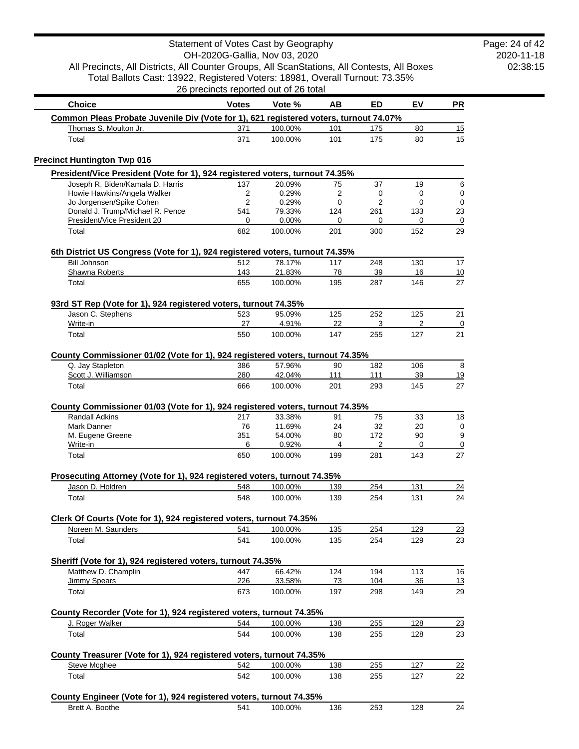Total Ballots Cast: 13922, Registered Voters: 18981, Overall Turnout: 73.35% 26 precincts reported out of 26 total

| <b>Choice</b>                                                                                                                             | <b>Votes</b>     | Vote %                     | ΑВ             | ED              | EV             | <b>PR</b>            |
|-------------------------------------------------------------------------------------------------------------------------------------------|------------------|----------------------------|----------------|-----------------|----------------|----------------------|
| Common Pleas Probate Juvenile Div (Vote for 1), 621 registered voters, turnout 74.07%                                                     |                  |                            |                |                 |                |                      |
| Thomas S. Moulton Jr.                                                                                                                     | 371              | 100.00%                    | 101            | 175             | 80             | 15                   |
| Total                                                                                                                                     | 371              | 100.00%                    | 101            | 175             | 80             | 15                   |
| <b>Precinct Huntington Twp 016</b>                                                                                                        |                  |                            |                |                 |                |                      |
| President/Vice President (Vote for 1), 924 registered voters, turnout 74.35%                                                              |                  |                            |                |                 |                |                      |
| Joseph R. Biden/Kamala D. Harris                                                                                                          | 137              | 20.09%                     | 75             | 37              | 19             | 6                    |
| Howie Hawkins/Angela Walker                                                                                                               | 2                | 0.29%                      | 2              | 0               | 0              | $\pmb{0}$            |
| Jo Jorgensen/Spike Cohen                                                                                                                  | 2                | 0.29%                      | 0              | 2               | 0              | $\pmb{0}$            |
| Donald J. Trump/Michael R. Pence<br>President/Vice President 20                                                                           | 541<br>0         | 79.33%<br>0.00%            | 124<br>0       | 261<br>0        | 133<br>0       | 23<br>$\mathbf 0$    |
| Total                                                                                                                                     | 682              | 100.00%                    | 201            | 300             | 152            | 29                   |
| 6th District US Congress (Vote for 1), 924 registered voters, turnout 74.35%                                                              |                  |                            |                |                 |                |                      |
| <b>Bill Johnson</b>                                                                                                                       | 512              | 78.17%                     | 117            | 248             | 130            | 17                   |
| Shawna Roberts                                                                                                                            | 143              | 21.83%                     | 78             | 39              | 16             | 10                   |
| Total                                                                                                                                     | 655              | 100.00%                    | 195            | 287             | 146            | 27                   |
| 93rd ST Rep (Vote for 1), 924 registered voters, turnout 74.35%                                                                           |                  |                            |                |                 |                |                      |
| Jason C. Stephens<br>Write-in                                                                                                             | 523<br>27        | 95.09%<br>4.91%            | 125<br>22      | 252<br>3        | 125<br>2       | 21                   |
| Total                                                                                                                                     | 550              | 100.00%                    | 147            | 255             | 127            | $\overline{0}$<br>21 |
|                                                                                                                                           |                  |                            |                |                 |                |                      |
| County Commissioner 01/02 (Vote for 1), 924 registered voters, turnout 74.35%                                                             |                  |                            |                |                 |                |                      |
| Q. Jay Stapleton<br>Scott J. Williamson                                                                                                   | 386<br>280       | 57.96%<br>42.04%           | 90<br>111      | 182<br>111      | 106<br>39      | 8<br><u>19</u>       |
| Total                                                                                                                                     | 666              | 100.00%                    | 201            | 293             | 145            | 27                   |
| County Commissioner 01/03 (Vote for 1), 924 registered voters, turnout 74.35%<br><b>Randall Adkins</b><br>Mark Danner<br>M. Eugene Greene | 217<br>76<br>351 | 33.38%<br>11.69%<br>54.00% | 91<br>24<br>80 | 75<br>32<br>172 | 33<br>20<br>90 | 18<br>0<br>9         |
| Write-in<br>Total                                                                                                                         | 6<br>650         | 0.92%<br>100.00%           | 4<br>199       | 2<br>281        | 0<br>143       | $\overline{0}$<br>27 |
|                                                                                                                                           |                  |                            |                |                 |                |                      |
| Prosecuting Attorney (Vote for 1), 924 registered voters, turnout 74.35%                                                                  |                  |                            |                |                 |                |                      |
| Jason D. Holdren                                                                                                                          | 548              | 100.00%                    | 139            | 254             | 131            | 24                   |
| Total                                                                                                                                     | 548              | 100.00%                    | 139            | 254             | 131            | 24                   |
| Clerk Of Courts (Vote for 1), 924 registered voters, turnout 74.35%                                                                       |                  |                            |                |                 |                |                      |
| Noreen M. Saunders                                                                                                                        | 541              | 100.00%                    | 135            | 254             | 129            | $\overline{23}$      |
| Total                                                                                                                                     | 541              | 100.00%                    | 135            | 254             | 129            | 23                   |
| Sheriff (Vote for 1), 924 registered voters, turnout 74.35%                                                                               |                  |                            |                |                 |                |                      |
| Matthew D. Champlin                                                                                                                       | 447              | 66.42%                     | 124            | 194             | 113            | 16                   |
| Jimmy Spears                                                                                                                              | 226              | 33.58%                     | 73             | 104             | 36             | 13                   |
| Total                                                                                                                                     | 673              | 100.00%                    | 197            | 298             | 149            | 29                   |
| County Recorder (Vote for 1), 924 registered voters, turnout 74.35%                                                                       |                  |                            |                |                 |                |                      |
| J. Roger Walker                                                                                                                           | 544              | 100.00%                    | 138            | 255             | 128            | 23                   |
| Total                                                                                                                                     | 544              | 100.00%                    | 138            | 255             | 128            | 23                   |
| County Treasurer (Vote for 1), 924 registered voters, turnout 74.35%                                                                      |                  |                            |                |                 |                |                      |
| <b>Steve Mcghee</b>                                                                                                                       | 542              | 100.00%                    | 138            | 255             | 127            | 22                   |
| Total                                                                                                                                     | 542              | 100.00%                    | 138            | 255             | 127            | 22                   |
| County Engineer (Vote for 1), 924 registered voters, turnout 74.35%                                                                       |                  |                            |                |                 |                |                      |
| Brett A. Boothe                                                                                                                           | 541              | 100.00%                    | 136            | 253             | 128            | 24                   |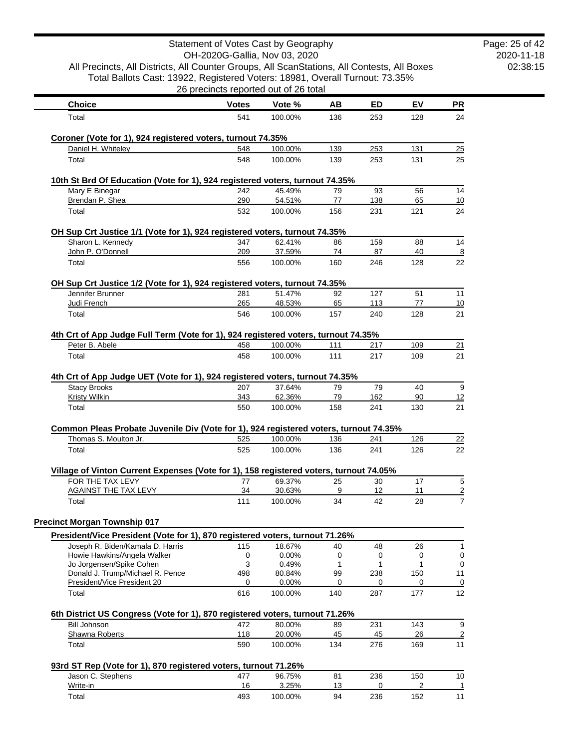|                                                                                                      | Statement of Votes Cast by Geography  |                  |          |            |          |                |
|------------------------------------------------------------------------------------------------------|---------------------------------------|------------------|----------|------------|----------|----------------|
|                                                                                                      | OH-2020G-Gallia, Nov 03, 2020         |                  |          |            |          |                |
| All Precincts, All Districts, All Counter Groups, All ScanStations, All Contests, All Boxes          |                                       |                  |          |            |          |                |
| Total Ballots Cast: 13922, Registered Voters: 18981, Overall Turnout: 73.35%                         |                                       |                  |          |            |          |                |
|                                                                                                      | 26 precincts reported out of 26 total |                  |          |            |          |                |
| <b>Choice</b>                                                                                        | <b>Votes</b>                          | Vote %           | AВ       | <b>ED</b>  | EV       | <b>PR</b>      |
| Total                                                                                                | 541                                   | 100.00%          | 136      | 253        | 128      | 24             |
| Coroner (Vote for 1), 924 registered voters, turnout 74.35%                                          |                                       |                  |          |            |          |                |
| Daniel H. Whiteley                                                                                   | 548                                   | 100.00%          | 139      | 253        | 131      | 25             |
| Total                                                                                                | 548                                   | 100.00%          | 139      | 253        | 131      | 25             |
| 10th St Brd Of Education (Vote for 1), 924 registered voters, turnout 74.35%                         |                                       |                  |          |            |          |                |
| Mary E Binegar                                                                                       | 242                                   | 45.49%           | 79       | 93         | 56       | 14             |
| Brendan P. Shea                                                                                      | 290                                   | 54.51%           | 77       | 138        | 65       | 10             |
| Total                                                                                                | 532                                   | 100.00%          | 156      | 231        | 121      | 24             |
| OH Sup Crt Justice 1/1 (Vote for 1), 924 registered voters, turnout 74.35%                           |                                       |                  |          |            |          |                |
| Sharon L. Kennedy                                                                                    | 347                                   | 62.41%           | 86       | 159        | 88       | 14             |
| John P. O'Donnell                                                                                    | 209                                   | 37.59%           | 74       | 87         | 40       | $\frac{8}{1}$  |
| Total                                                                                                | 556                                   | 100.00%          | 160      | 246        | 128      | 22             |
| OH Sup Crt Justice 1/2 (Vote for 1), 924 registered voters, turnout 74.35%                           |                                       |                  |          |            |          |                |
| Jennifer Brunner<br>Judi French                                                                      | 281<br>265                            | 51.47%<br>48.53% | 92<br>65 | 127<br>113 | 51<br>77 | 11<br>10       |
| Total                                                                                                | 546                                   | 100.00%          | 157      | 240        | 128      | 21             |
|                                                                                                      |                                       |                  |          |            |          |                |
| 4th Crt of App Judge Full Term (Vote for 1), 924 registered voters, turnout 74.35%<br>Peter B. Abele | 458                                   | 100.00%          | 111      | 217        | 109      | 21             |
| Total                                                                                                | 458                                   | 100.00%          | 111      | 217        | 109      | 21             |
| 4th Crt of App Judge UET (Vote for 1), 924 registered voters, turnout 74.35%<br><b>Stacy Brooks</b>  | 207                                   | 37.64%           | 79       | 79         | 40       | 9              |
| <b>Kristy Wilkin</b>                                                                                 | 343                                   | 62.36%           | 79       | 162        | 90       | 12             |
| Total                                                                                                | 550                                   | 100.00%          | 158      | 241        | 130      | 21             |
| Common Pleas Probate Juvenile Div (Vote for 1), 924 registered voters, turnout 74.35%                |                                       |                  |          |            |          |                |
| Thomas S. Moulton Jr.                                                                                | 525                                   | 100.00%          | 136      | 241        | 126      | 22             |
| Total                                                                                                | 525                                   | 100.00%          | 136      | 241        | 126      | 22             |
| Village of Vinton Current Expenses (Vote for 1), 158 registered voters, turnout 74.05%               |                                       |                  |          |            |          |                |
| FOR THE TAX LEVY                                                                                     | 77                                    | 69.37%           | 25       | 30         | 17       | 5              |
| <b>AGAINST THE TAX LEVY</b>                                                                          | 34                                    | 30.63%           | 9        | 12         | 11       | $\overline{2}$ |
| Total                                                                                                | 111                                   | 100.00%          | 34       | 42         | 28       | 7              |
| <b>Precinct Morgan Township 017</b>                                                                  |                                       |                  |          |            |          |                |
| President/Vice President (Vote for 1), 870 registered voters, turnout 71.26%                         |                                       |                  |          |            |          |                |
| Joseph R. Biden/Kamala D. Harris<br>Howie Hawkins/Angela Walker                                      | 115<br>0                              | 18.67%<br>0.00%  | 40       | 48<br>0    | 26<br>0  | 1              |
| Jo Jorgensen/Spike Cohen                                                                             | 3                                     | 0.49%            | 0<br>1   | 1          | 1        | 0<br>0         |
| Donald J. Trump/Michael R. Pence                                                                     | 498                                   | 80.84%           | 99       | 238        | 150      | 11             |
| President/Vice President 20                                                                          | 0                                     | 0.00%            | 0        | 0          | 0        | 0              |
| Total                                                                                                | 616                                   | 100.00%          | 140      | 287        | 177      | 12             |
| 6th District US Congress (Vote for 1), 870 registered voters, turnout 71.26%                         |                                       |                  |          |            |          |                |
| <b>Bill Johnson</b>                                                                                  | 472                                   | 80.00%           | 89       | 231        | 143      | 9              |
| Shawna Roberts                                                                                       | 118                                   | 20.00%           | 45       | 45         | 26       | $\overline{2}$ |
| Total                                                                                                | 590                                   | 100.00%          | 134      | 276        | 169      | 11             |
| 93rd ST Rep (Vote for 1), 870 registered voters, turnout 71.26%                                      |                                       |                  |          |            |          |                |
| Jason C. Stephens<br>Write-in                                                                        | 477<br>16                             | 96.75%           | 81<br>13 | 236<br>0   | 150<br>2 | 10             |
|                                                                                                      |                                       | 3.25%            |          |            |          | 1              |

Total 493 100.00% 94 236 152 11

2020-11-18 02:38:15

Page: 25 of 42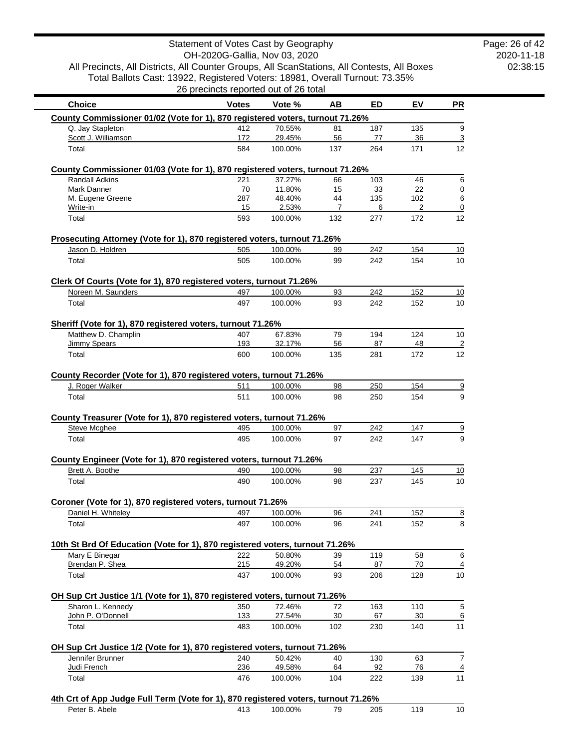2020-11-18 02:38:15 Page: 26 of 42

All Precincts, All Districts, All Counter Groups, All ScanStations, All Contests, All Boxes Total Ballots Cast: 13922, Registered Voters: 18981, Overall Turnout: 73.35% 26 precincts reported out of 26 total

| <b>Choice</b>                                                                                  | <b>Votes</b> | Vote %            | AB        | ED        | EV        | <b>PR</b>            |
|------------------------------------------------------------------------------------------------|--------------|-------------------|-----------|-----------|-----------|----------------------|
| County Commissioner 01/02 (Vote for 1), 870 registered voters, turnout 71.26%                  |              |                   |           |           |           |                      |
| Q. Jay Stapleton                                                                               | 412          | 70.55%            | 81        | 187       | 135       | 9                    |
| Scott J. Williamson                                                                            | 172          | 29.45%            | 56        | 77        | 36        | $\overline{3}$       |
| Total                                                                                          | 584          | 100.00%           | 137       | 264       | 171       | 12                   |
| County Commissioner 01/03 (Vote for 1), 870 registered voters, turnout 71.26%                  |              |                   |           |           |           |                      |
| <b>Randall Adkins</b>                                                                          | 221          | 37.27%            | 66        | 103       | 46        | 6                    |
| Mark Danner                                                                                    | 70           | 11.80%            | 15        | 33        | 22        | 0                    |
| M. Eugene Greene                                                                               | 287          | 48.40%            | 44        | 135       | 102       | 6                    |
| Write-in<br>Total                                                                              | 15<br>593    | 2.53%<br>100.00%  | 7<br>132  | 6<br>277  | 2<br>172  | $\mathbf 0$<br>12    |
|                                                                                                |              |                   |           |           |           |                      |
| Prosecuting Attorney (Vote for 1), 870 registered voters, turnout 71.26%<br>Jason D. Holdren   | 505          | 100.00%           | 99        | 242       | 154       | 10                   |
| Total                                                                                          | 505          | 100.00%           | 99        | 242       | 154       | 10                   |
| Clerk Of Courts (Vote for 1), 870 registered voters, turnout 71.26%                            |              |                   |           |           |           |                      |
| Noreen M. Saunders                                                                             | 497          | 100.00%           | 93        | 242       | 152       | 10                   |
| Total                                                                                          | 497          | 100.00%           | 93        | 242       | 152       | 10                   |
| Sheriff (Vote for 1), 870 registered voters, turnout 71.26%                                    |              |                   |           |           |           |                      |
| Matthew D. Champlin                                                                            | 407          | 67.83%            | 79        | 194       | 124       | 10                   |
| <b>Jimmy Spears</b><br>Total                                                                   | 193<br>600   | 32.17%<br>100.00% | 56<br>135 | 87<br>281 | 48<br>172 | $\overline{2}$<br>12 |
|                                                                                                |              |                   |           |           |           |                      |
| County Recorder (Vote for 1), 870 registered voters, turnout 71.26%<br>J. Roger Walker         | 511          | 100.00%           | 98        | 250       | 154       |                      |
| Total                                                                                          | 511          | 100.00%           | 98        | 250       | 154       | $\overline{9}$       |
| County Treasurer (Vote for 1), 870 registered voters, turnout 71.26%<br>Steve Mcghee           | 495          | 100.00%           | 97        | 242       | 147       | $\overline{9}$       |
| Total                                                                                          | 495          | 100.00%           | 97        | 242       | 147       | 9                    |
| County Engineer (Vote for 1), 870 registered voters, turnout 71.26%                            |              |                   |           |           |           |                      |
| Brett A. Boothe                                                                                | 490          | 100.00%           | 98        | 237       | 145       | 10                   |
| Total                                                                                          | 490          | 100.00%           | 98        | 237       | 145       | 10                   |
|                                                                                                |              |                   |           |           |           |                      |
| Coroner (Vote for 1), 870 registered voters, turnout 71.26%<br>Daniel H. Whiteley              | 497          | 100.00%           | 96        | 241       | 152       | $\overline{8}$       |
| Total                                                                                          | 497          | 100.00%           | 96        | 241       |           | 8                    |
|                                                                                                |              |                   |           |           | 152       |                      |
| 10th St Brd Of Education (Vote for 1), 870 registered voters, turnout 71.26%<br>Mary E Binegar | 222          | 50.80%            | 39        | 119       | 58        | 6                    |
| Brendan P. Shea                                                                                | 215          | 49.20%            | 54        | 87        | 70        | $\overline{4}$       |
| Total                                                                                          | 437          | 100.00%           | 93        | 206       | 128       | 10                   |
| OH Sup Crt Justice 1/1 (Vote for 1), 870 registered voters, turnout 71.26%                     |              |                   |           |           |           |                      |
| Sharon L. Kennedy                                                                              | 350          | 72.46%            | 72        | 163       | 110       | $\sqrt{5}$           |
| John P. O'Donnell                                                                              | 133          | 27.54%            | 30        | 67        | 30        | 6                    |
| Total                                                                                          | 483          | 100.00%           | 102       | 230       | 140       | 11                   |
| OH Sup Crt Justice 1/2 (Vote for 1), 870 registered voters, turnout 71.26%                     |              |                   |           |           |           |                      |
| Jennifer Brunner                                                                               | 240          | 50.42%            | 40        | 130       | 63        | $\boldsymbol{7}$     |
| Judi French                                                                                    | 236          | 49.58%            | 64        | 92        | 76        | $\overline{4}$       |
| Total                                                                                          | 476          | 100.00%           | 104       | 222       | 139       | 11                   |
| 4th Crt of App Judge Full Term (Vote for 1), 870 registered voters, turnout 71.26%             |              |                   |           |           |           |                      |
| Peter B. Abele                                                                                 | 413          | 100.00%           | 79        | 205       | 119       | 10                   |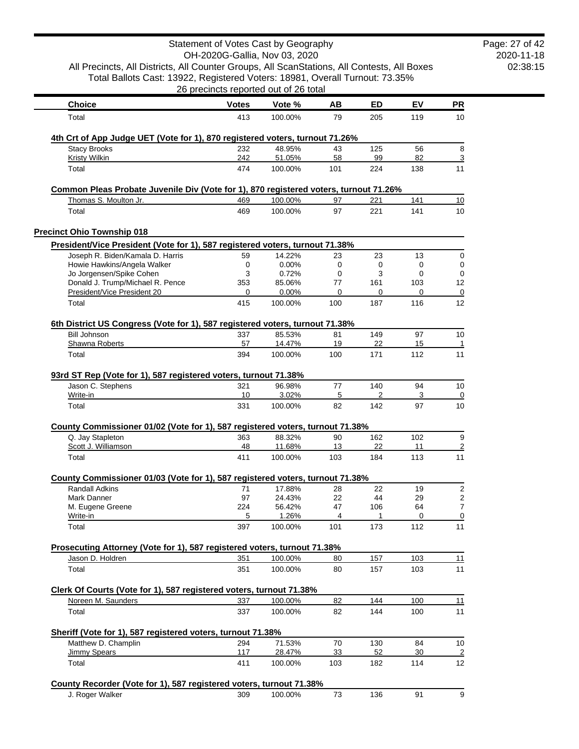|                                                                                                     | Statement of Votes Cast by Geography<br>OH-2020G-Gallia, Nov 03, 2020 |                   |           |              |           |                      |
|-----------------------------------------------------------------------------------------------------|-----------------------------------------------------------------------|-------------------|-----------|--------------|-----------|----------------------|
| All Precincts, All Districts, All Counter Groups, All ScanStations, All Contests, All Boxes         |                                                                       |                   |           |              |           |                      |
| Total Ballots Cast: 13922, Registered Voters: 18981, Overall Turnout: 73.35%                        |                                                                       |                   |           |              |           |                      |
|                                                                                                     | 26 precincts reported out of 26 total                                 |                   |           |              |           |                      |
| <b>Choice</b>                                                                                       | <b>Votes</b>                                                          | Vote %            | AB        | <b>ED</b>    | EV        | <u>PR</u>            |
| Total                                                                                               | 413                                                                   | 100.00%           | 79        | 205          | 119       | 10                   |
|                                                                                                     |                                                                       |                   |           |              |           |                      |
| 4th Crt of App Judge UET (Vote for 1), 870 registered voters, turnout 71.26%<br><b>Stacy Brooks</b> | 232                                                                   | 48.95%            | 43        | 125          | 56        | 8                    |
| <b>Kristy Wilkin</b>                                                                                | 242                                                                   | 51.05%            | 58        | 99           | 82        | 3                    |
| Total                                                                                               | 474                                                                   | 100.00%           | 101       | 224          | 138       | 11                   |
| Common Pleas Probate Juvenile Div (Vote for 1), 870 registered voters, turnout 71.26%               |                                                                       |                   |           |              |           |                      |
| Thomas S. Moulton Jr.                                                                               | 469                                                                   | 100.00%           | 97        | 221          | 141       | 10                   |
| Total                                                                                               | 469                                                                   | 100.00%           | 97        | 221          | 141       | 10                   |
| <b>Precinct Ohio Township 018</b>                                                                   |                                                                       |                   |           |              |           |                      |
| President/Vice President (Vote for 1), 587 registered voters, turnout 71.38%                        |                                                                       |                   |           |              |           |                      |
| Joseph R. Biden/Kamala D. Harris                                                                    | 59                                                                    | 14.22%            | 23        | 23           | 13        | 0                    |
| Howie Hawkins/Angela Walker                                                                         | 0                                                                     | 0.00%             | 0         | 0            | 0         | 0                    |
| Jo Jorgensen/Spike Cohen<br>Donald J. Trump/Michael R. Pence                                        | 3<br>353                                                              | 0.72%<br>85.06%   | 0<br>77   | 3<br>161     | 0<br>103  | 0<br>12              |
| President/Vice President 20                                                                         | 0                                                                     | 0.00%             | 0         | $\Omega$     | $\Omega$  | 0                    |
| Total                                                                                               | 415                                                                   | 100.00%           | 100       | 187          | 116       | 12                   |
|                                                                                                     |                                                                       |                   |           |              |           |                      |
| 6th District US Congress (Vote for 1), 587 registered voters, turnout 71.38%<br><b>Bill Johnson</b> | 337                                                                   | 85.53%            | 81        | 149          | 97        | 10                   |
| Shawna Roberts                                                                                      | 57                                                                    | 14.47%            | 19        | 22           | 15        | 1                    |
| Total                                                                                               | 394                                                                   | 100.00%           | 100       | 171          | 112       | 11                   |
| 93rd ST Rep (Vote for 1), 587 registered voters, turnout 71.38%                                     |                                                                       |                   |           |              |           |                      |
| Jason C. Stephens                                                                                   | 321                                                                   | 96.98%            | 77        | 140          | 94        | 10                   |
| Write-in                                                                                            | 10                                                                    | 3.02%             | 5         | 2            | 3         | 0                    |
| Total                                                                                               | 331                                                                   | 100.00%           | 82        | 142          | 97        | 10                   |
| County Commissioner 01/02 (Vote for 1), 587 registered voters, turnout 71.38%                       |                                                                       |                   |           |              |           |                      |
| Q. Jay Stapleton                                                                                    | 363                                                                   | 88.32%            | 90        | 162          | 102       | 9                    |
| Scott J. Williamson<br>Total                                                                        | 48<br>411                                                             | 11.68%<br>100.00% | 13<br>103 | 22<br>184    | 11<br>113 | $\overline{2}$<br>11 |
|                                                                                                     |                                                                       |                   |           |              |           |                      |
| County Commissioner 01/03 (Vote for 1), 587 registered voters, turnout 71.38%                       |                                                                       |                   |           |              |           |                      |
| <b>Randall Adkins</b>                                                                               | 71                                                                    | 17.88%            | 28        | 22           | 19        | $\sqrt{2}$           |
| Mark Danner<br>M. Eugene Greene                                                                     | 97<br>224                                                             | 24.43%<br>56.42%  | 22<br>47  | 44<br>106    | 29<br>64  | 2<br>$\overline{7}$  |
| Write-in                                                                                            | 5                                                                     | 1.26%             | 4         | $\mathbf{1}$ | 0         | 0                    |
| Total                                                                                               | 397                                                                   | 100.00%           | 101       | 173          | 112       | 11                   |
|                                                                                                     |                                                                       |                   |           |              |           |                      |
| Prosecuting Attorney (Vote for 1), 587 registered voters, turnout 71.38%<br>Jason D. Holdren        | 351                                                                   | 100.00%           | 80        | 157          | 103       | 11                   |
| Total                                                                                               | 351                                                                   | 100.00%           | 80        | 157          | 103       | 11                   |
|                                                                                                     |                                                                       |                   |           |              |           |                      |
| Clerk Of Courts (Vote for 1), 587 registered voters, turnout 71.38%                                 |                                                                       |                   |           |              |           |                      |
| Noreen M. Saunders                                                                                  | 337                                                                   | 100.00%           | 82        | 144          | 100       | 11                   |
| Total                                                                                               | 337                                                                   | 100.00%           | 82        | 144          | 100       | 11                   |
| Sheriff (Vote for 1), 587 registered voters, turnout 71.38%                                         |                                                                       |                   |           |              |           |                      |
| Matthew D. Champlin<br><b>Jimmy Spears</b>                                                          | 294<br>117                                                            | 71.53%<br>28.47%  | 70<br>33  | 130<br>52    | 84<br>30  | 10                   |
| Total                                                                                               | 411                                                                   | 100.00%           | 103       | 182          | 114       | $\overline{2}$<br>12 |
|                                                                                                     |                                                                       |                   |           |              |           |                      |
| County Recorder (Vote for 1), 587 registered voters, turnout 71.38%                                 |                                                                       |                   |           |              |           |                      |
| J. Roger Walker                                                                                     | 309                                                                   | 100.00%           | 73        | 136          | 91        | 9                    |

2020-11-18 02:38:15 Page: 27 of 42

 $\sim$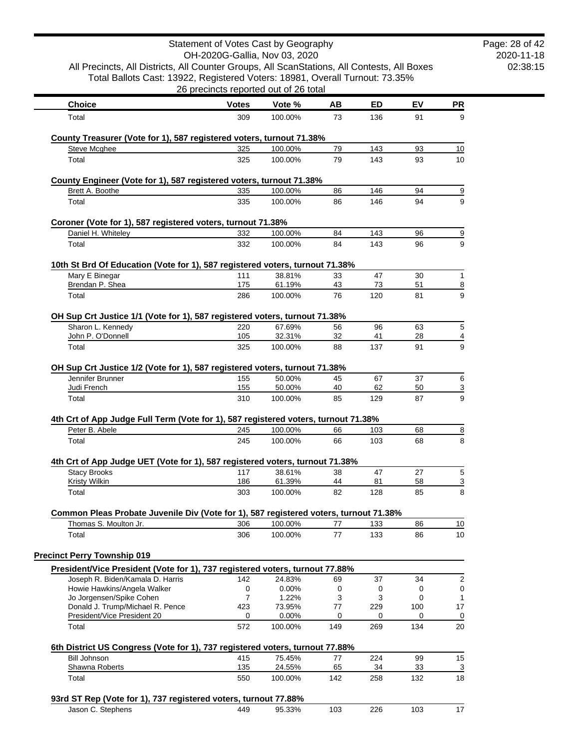|                                                                                                                                                                             |              | Statement of Votes Cast by Geography<br>OH-2020G-Gallia, Nov 03, 2020 |          |            |          |                     | Page: 28 of 42<br>2020-11-18 |
|-----------------------------------------------------------------------------------------------------------------------------------------------------------------------------|--------------|-----------------------------------------------------------------------|----------|------------|----------|---------------------|------------------------------|
| All Precincts, All Districts, All Counter Groups, All ScanStations, All Contests, All Boxes<br>Total Ballots Cast: 13922, Registered Voters: 18981, Overall Turnout: 73.35% |              | 26 precincts reported out of 26 total                                 |          |            |          |                     | 02:38:15                     |
| <b>Choice</b>                                                                                                                                                               | <b>Votes</b> | Vote %                                                                | AB       | ED         | EV       | PR                  |                              |
| Total                                                                                                                                                                       | 309          | 100.00%                                                               | 73       | 136        | 91       | 9                   |                              |
| County Treasurer (Vote for 1), 587 registered voters, turnout 71.38%                                                                                                        |              |                                                                       |          |            |          |                     |                              |
| <b>Steve Mcghee</b>                                                                                                                                                         | 325          | 100.00%                                                               | 79       | 143        | 93       | 10                  |                              |
| Total                                                                                                                                                                       | 325          | 100.00%                                                               | 79       | 143        | 93       | 10                  |                              |
| County Engineer (Vote for 1), 587 registered voters, turnout 71.38%                                                                                                         |              |                                                                       |          |            |          |                     |                              |
| Brett A. Boothe<br>Total                                                                                                                                                    | 335<br>335   | 100.00%<br>100.00%                                                    | 86<br>86 | 146<br>146 | 94<br>94 | $\overline{9}$<br>9 |                              |
|                                                                                                                                                                             |              |                                                                       |          |            |          |                     |                              |
| Coroner (Vote for 1), 587 registered voters, turnout 71.38%<br>Daniel H. Whiteley                                                                                           | 332          | 100.00%                                                               | 84       | 143        | 96       | $\overline{9}$      |                              |
| Total                                                                                                                                                                       | 332          | 100.00%                                                               | 84       | 143        | 96       | 9                   |                              |
| 10th St Brd Of Education (Vote for 1), 587 registered voters, turnout 71.38%                                                                                                |              |                                                                       |          |            |          |                     |                              |
| Mary E Binegar                                                                                                                                                              | 111          | 38.81%                                                                | 33       | 47         | 30       | 1                   |                              |
| Brendan P. Shea                                                                                                                                                             | 175          | 61.19%                                                                | 43       | 73         | 51       | $\overline{8}$      |                              |
| Total                                                                                                                                                                       | 286          | 100.00%                                                               | 76       | 120        | 81       | 9                   |                              |
| OH Sup Crt Justice 1/1 (Vote for 1), 587 registered voters, turnout 71.38%                                                                                                  |              |                                                                       |          |            |          |                     |                              |
| Sharon L. Kennedy<br>John P. O'Donnell                                                                                                                                      | 220<br>105   | 67.69%<br>32.31%                                                      | 56<br>32 | 96<br>41   | 63<br>28 | 5<br>$\overline{4}$ |                              |
| Total                                                                                                                                                                       | 325          | 100.00%                                                               | 88       | 137        | 91       | 9                   |                              |
| OH Sup Crt Justice 1/2 (Vote for 1), 587 registered voters, turnout 71.38%                                                                                                  |              |                                                                       |          |            |          |                     |                              |
| Jennifer Brunner                                                                                                                                                            | 155          | 50.00%                                                                | 45       | 67         | 37       | 6                   |                              |
| Judi French                                                                                                                                                                 | 155          | 50.00%                                                                | 40       | 62         | 50       | $\overline{3}$      |                              |
| Total                                                                                                                                                                       | 310          | 100.00%                                                               | 85       | 129        | 87       | 9                   |                              |
| 4th Crt of App Judge Full Term (Vote for 1), 587 registered voters, turnout 71.38%                                                                                          |              |                                                                       |          |            |          |                     |                              |
| Peter B. Abele<br>Total                                                                                                                                                     | 245<br>245   | 100.00%<br>100.00%                                                    | 66<br>66 | 103<br>103 | 68<br>68 | $\overline{8}$<br>8 |                              |
|                                                                                                                                                                             |              |                                                                       |          |            |          |                     |                              |
| 4th Crt of App Judge UET (Vote for 1), 587 registered voters, turnout 71.38%                                                                                                |              |                                                                       |          |            |          |                     |                              |
| <b>Stacy Brooks</b><br><b>Kristy Wilkin</b>                                                                                                                                 | 117<br>186   | 38.61%<br>61.39%                                                      | 38<br>44 | 47<br>81   | 27<br>58 | 5<br><u>3</u>       |                              |
| Total                                                                                                                                                                       | 303          | 100.00%                                                               | 82       | 128        | 85       | 8                   |                              |
| Common Pleas Probate Juvenile Div (Vote for 1), 587 registered voters, turnout 71.38%                                                                                       |              |                                                                       |          |            |          |                     |                              |
| Thomas S. Moulton Jr.                                                                                                                                                       | 306          | 100.00%                                                               | 77       | 133        | 86       | 10                  |                              |
| Total                                                                                                                                                                       | 306          | 100.00%                                                               | 77       | 133        | 86       | 10                  |                              |
| <b>Precinct Perry Township 019</b>                                                                                                                                          |              |                                                                       |          |            |          |                     |                              |
| President/Vice President (Vote for 1), 737 registered voters, turnout 77.88%                                                                                                |              |                                                                       |          |            |          |                     |                              |
| Joseph R. Biden/Kamala D. Harris<br>Howie Hawkins/Angela Walker                                                                                                             | 142<br>0     | 24.83%<br>0.00%                                                       | 69<br>0  | 37<br>0    | 34<br>0  | $\overline{2}$<br>0 |                              |
| Jo Jorgensen/Spike Cohen                                                                                                                                                    | 7            | 1.22%                                                                 | 3        | 3          | 0        | 1                   |                              |
| Donald J. Trump/Michael R. Pence                                                                                                                                            | 423          | 73.95%                                                                | 77       | 229        | 100      | 17                  |                              |
| President/Vice President 20<br>Total                                                                                                                                        | 0<br>572     | 0.00%<br>100.00%                                                      | 0<br>149 | 0<br>269   | 0<br>134 | 0<br>20             |                              |
| 6th District US Congress (Vote for 1), 737 registered voters, turnout 77.88%                                                                                                |              |                                                                       |          |            |          |                     |                              |
| <b>Bill Johnson</b>                                                                                                                                                         | 415          | 75.45%                                                                | 77       | 224        | 99       | 15                  |                              |
| Shawna Roberts                                                                                                                                                              | 135          | 24.55%                                                                | 65       | 34         | 33       | 3                   |                              |
| Total                                                                                                                                                                       | 550          | 100.00%                                                               | 142      | 258        | 132      | 18                  |                              |
| 93rd ST Rep (Vote for 1), 737 registered voters, turnout 77.88%                                                                                                             |              |                                                                       |          |            |          |                     |                              |
| Jason C. Stephens                                                                                                                                                           | 449          | 95.33%                                                                | 103      | 226        | 103      | 17                  |                              |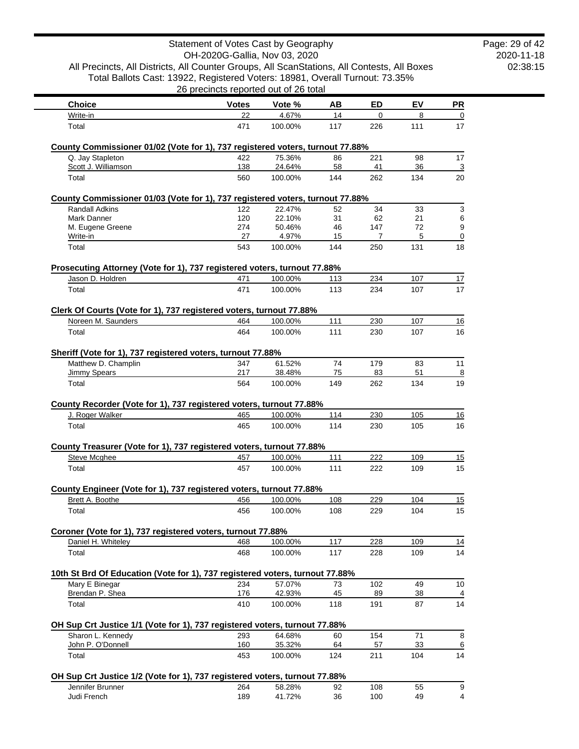|                                                                                                        | Statement of Votes Cast by Geography  |                   |           |             |           |                     |
|--------------------------------------------------------------------------------------------------------|---------------------------------------|-------------------|-----------|-------------|-----------|---------------------|
| All Precincts, All Districts, All Counter Groups, All ScanStations, All Contests, All Boxes            | OH-2020G-Gallia, Nov 03, 2020         |                   |           |             |           |                     |
| Total Ballots Cast: 13922, Registered Voters: 18981, Overall Turnout: 73.35%                           |                                       |                   |           |             |           |                     |
|                                                                                                        | 26 precincts reported out of 26 total |                   |           |             |           |                     |
| <b>Choice</b>                                                                                          | <b>Votes</b>                          | Vote %            | AВ        | <b>ED</b>   | EV        | PR                  |
| Write-in                                                                                               | 22                                    | 4.67%             | 14        | $\mathbf 0$ | 8         | 0                   |
| Total                                                                                                  | 471                                   | 100.00%           | 117       | 226         | 111       | 17                  |
| County Commissioner 01/02 (Vote for 1), 737 registered voters, turnout 77.88%                          |                                       |                   |           |             |           |                     |
| Q. Jay Stapleton                                                                                       | 422                                   | 75.36%            | 86        | 221         | 98        | 17                  |
| Scott J. Williamson<br>Total                                                                           | 138<br>560                            | 24.64%<br>100.00% | 58<br>144 | 41<br>262   | 36<br>134 | 3<br>20             |
|                                                                                                        |                                       |                   |           |             |           |                     |
| County Commissioner 01/03 (Vote for 1), 737 registered voters, turnout 77.88%<br><b>Randall Adkins</b> | 122                                   | 22.47%            | 52        | 34          | 33        | 3                   |
| Mark Danner                                                                                            | 120                                   | 22.10%            | 31        | 62          | 21        | 6                   |
| M. Eugene Greene                                                                                       | 274                                   | 50.46%            | 46        | 147         | 72        | 9                   |
| Write-in                                                                                               | 27                                    | 4.97%             | 15        | 7           | 5         | 0                   |
| Total                                                                                                  | 543                                   | 100.00%           | 144       | 250         | 131       | 18                  |
| Prosecuting Attorney (Vote for 1), 737 registered voters, turnout 77.88%                               |                                       |                   |           |             |           |                     |
| Jason D. Holdren                                                                                       | 471                                   | 100.00%           | 113       | 234         | 107       | 17                  |
| Total                                                                                                  | 471                                   | 100.00%           | 113       | 234         | 107       | 17                  |
| Clerk Of Courts (Vote for 1), 737 registered voters, turnout 77.88%                                    |                                       |                   |           |             |           |                     |
| Noreen M. Saunders                                                                                     | 464                                   | 100.00%           | 111       | 230         | 107       | 16                  |
| Total                                                                                                  | 464                                   | 100.00%           | 111       | 230         | 107       | 16                  |
| Sheriff (Vote for 1), 737 registered voters, turnout 77.88%                                            |                                       |                   |           |             |           |                     |
| Matthew D. Champlin                                                                                    | 347                                   | 61.52%            | 74        | 179         | 83        | 11                  |
| <b>Jimmy Spears</b>                                                                                    | 217                                   | 38.48%            | 75        | 83          | 51        | 8                   |
| Total                                                                                                  | 564                                   | 100.00%           | 149       | 262         | 134       | 19                  |
| County Recorder (Vote for 1), 737 registered voters, turnout 77.88%                                    |                                       |                   |           |             |           |                     |
| J. Roger Walker                                                                                        | 465                                   | 100.00%           | 114       | 230         | 105       | 16                  |
| Total                                                                                                  | 465                                   | 100.00%           | 114       | 230         | 105       | 16                  |
| County Treasurer (Vote for 1), 737 registered voters, turnout 77.88%                                   |                                       |                   |           |             |           |                     |
| Steve Mcghee                                                                                           | 457                                   | 100.00%           | 111       | 222         | 109       | 15                  |
| Total                                                                                                  | 457                                   | 100.00%           | 111       | 222         | 109       | 15                  |
| County Engineer (Vote for 1), 737 registered voters, turnout 77.88%                                    |                                       |                   |           |             |           |                     |
| Brett A. Boothe                                                                                        | 456                                   | 100.00%           | 108       | 229         | 104       | 15                  |
| Total                                                                                                  | 456                                   | 100.00%           | 108       | 229         | 104       | 15                  |
| Coroner (Vote for 1), 737 registered voters, turnout 77.88%                                            |                                       |                   |           |             |           |                     |
| Daniel H. Whiteley                                                                                     | 468                                   | 100.00%           | 117       | 228         | 109       | 14                  |
| Total                                                                                                  | 468                                   | 100.00%           | 117       | 228         | 109       | 14                  |
| 10th St Brd Of Education (Vote for 1), 737 registered voters, turnout 77.88%                           |                                       |                   |           |             |           |                     |
| Mary E Binegar                                                                                         | 234                                   | 57.07%            | 73        | 102         | 49        | 10                  |
| Brendan P. Shea                                                                                        | 176                                   | 42.93%            | 45        | 89          | 38        | 4                   |
| Total                                                                                                  | 410                                   | 100.00%           | 118       | 191         | 87        | 14                  |
| OH Sup Crt Justice 1/1 (Vote for 1), 737 registered voters, turnout 77.88%                             |                                       |                   |           |             |           |                     |
| Sharon L. Kennedy                                                                                      | 293                                   | 64.68%            | 60        | 154         | 71        | 8                   |
| John P. O'Donnell<br>Total                                                                             | 160<br>453                            | 35.32%<br>100.00% | 64<br>124 | 57<br>211   | 33<br>104 | 6<br>14             |
|                                                                                                        |                                       |                   |           |             |           |                     |
| OH Sup Crt Justice 1/2 (Vote for 1), 737 registered voters, turnout 77.88%                             |                                       |                   |           |             |           |                     |
| Jennifer Brunner<br>Judi French                                                                        | 264<br>189                            | 58.28%<br>41.72%  | 92<br>36  | 108<br>100  | 55<br>49  | 9<br>$\overline{4}$ |
|                                                                                                        |                                       |                   |           |             |           |                     |

2020-11-18 02:38:15 Page: 29 of 42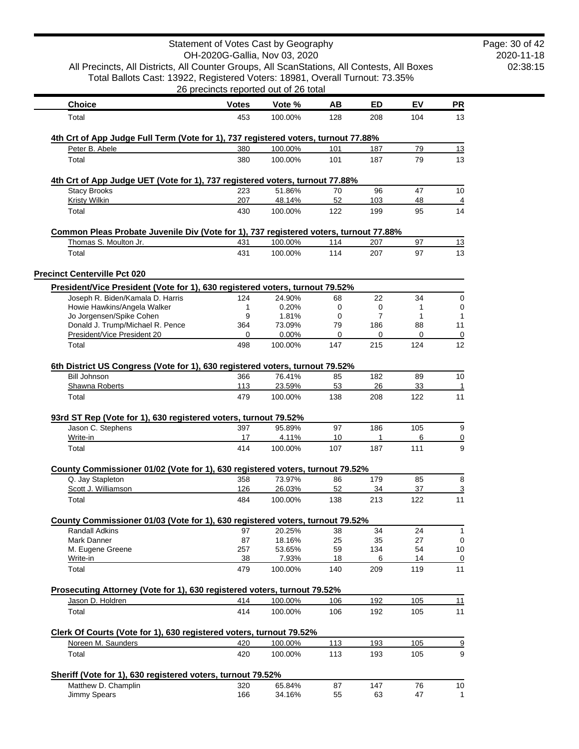|                                                                                                                  | Statement of Votes Cast by Geography<br>OH-2020G-Gallia, Nov 03, 2020 |                 |             |                |              |                |
|------------------------------------------------------------------------------------------------------------------|-----------------------------------------------------------------------|-----------------|-------------|----------------|--------------|----------------|
| All Precincts, All Districts, All Counter Groups, All ScanStations, All Contests, All Boxes                      |                                                                       |                 |             |                |              |                |
| Total Ballots Cast: 13922, Registered Voters: 18981, Overall Turnout: 73.35%                                     |                                                                       |                 |             |                |              |                |
|                                                                                                                  | 26 precincts reported out of 26 total                                 |                 |             |                |              |                |
| <b>Choice</b>                                                                                                    | <b>Votes</b>                                                          | Vote %          | AВ          | ED             | EV           | <b>PR</b>      |
| Total                                                                                                            | 453                                                                   | 100.00%         | 128         | 208            | 104          | 13             |
|                                                                                                                  |                                                                       |                 |             |                |              |                |
| 4th Crt of App Judge Full Term (Vote for 1), 737 registered voters, turnout 77.88%                               |                                                                       |                 |             |                |              |                |
| Peter B. Abele                                                                                                   | 380                                                                   | 100.00%         | 101         | 187            | 79           | 13             |
| Total                                                                                                            | 380                                                                   | 100.00%         | 101         | 187            | 79           | 13             |
| 4th Crt of App Judge UET (Vote for 1), 737 registered voters, turnout 77.88%                                     |                                                                       |                 |             |                |              |                |
| <b>Stacy Brooks</b>                                                                                              | 223                                                                   | 51.86%          | 70          | 96             | 47           | 10             |
| <b>Kristy Wilkin</b>                                                                                             | 207                                                                   | 48.14%          | 52          | 103            | 48           | 4              |
| Total                                                                                                            | 430                                                                   | 100.00%         | 122         | 199            | 95           | 14             |
| Common Pleas Probate Juvenile Div (Vote for 1), 737 registered voters, turnout 77.88%                            |                                                                       |                 |             |                |              |                |
| Thomas S. Moulton Jr.                                                                                            | 431                                                                   | 100.00%         | 114         | 207            | 97           | 13             |
| Total                                                                                                            | 431                                                                   | 100.00%         | 114         | 207            | 97           | 13             |
|                                                                                                                  |                                                                       |                 |             |                |              |                |
| <b>Precinct Centerville Pct 020</b>                                                                              |                                                                       |                 |             |                |              |                |
| President/Vice President (Vote for 1), 630 registered voters, turnout 79.52%<br>Joseph R. Biden/Kamala D. Harris |                                                                       | 24.90%          |             |                |              |                |
| Howie Hawkins/Angela Walker                                                                                      | 124<br>1                                                              | 0.20%           | 68<br>0     | 22<br>0        | 34<br>1      | 0<br>0         |
| Jo Jorgensen/Spike Cohen                                                                                         | 9                                                                     | 1.81%           | $\mathbf 0$ | $\overline{7}$ | $\mathbf{1}$ | 1              |
| Donald J. Trump/Michael R. Pence                                                                                 | 364                                                                   | 73.09%          | 79          | 186            | 88           | 11             |
| President/Vice President 20                                                                                      | 0                                                                     | 0.00%           | 0           | 0              | 0            | 0              |
| Total                                                                                                            | 498                                                                   | 100.00%         | 147         | 215            | 124          | 12             |
|                                                                                                                  |                                                                       |                 |             |                |              |                |
| 6th District US Congress (Vote for 1), 630 registered voters, turnout 79.52%<br><b>Bill Johnson</b>              | 366                                                                   | 76.41%          | 85          | 182            | 89           | 10             |
| Shawna Roberts                                                                                                   | 113                                                                   | 23.59%          | 53          | 26             | 33           | 1              |
| Total                                                                                                            | 479                                                                   | 100.00%         | 138         | 208            | 122          | 11             |
| 93rd ST Rep (Vote for 1), 630 registered voters, turnout 79.52%                                                  |                                                                       |                 |             |                |              |                |
| Jason C. Stephens                                                                                                | 397                                                                   | 95.89%          | 97          | 186            | 105          | 9              |
| Write-in                                                                                                         | 17                                                                    | 4.11%           | 10          | 1              | 6            | $\overline{0}$ |
| Total                                                                                                            | 414                                                                   | 100.00%         | 107         | 187            | 111          | 9              |
|                                                                                                                  |                                                                       |                 |             |                |              |                |
| County Commissioner 01/02 (Vote for 1), 630 registered voters, turnout 79.52%<br>Q. Jay Stapleton                | 358                                                                   | 73.97%          | 86          | 179            | 85           | 8              |
| Scott J. Williamson                                                                                              | $126$                                                                 | 26.03%          | 52          | 34             | 37           | 3              |
| Total                                                                                                            | 484                                                                   | 100.00%         | 138         | 213            | 122          | 11             |
|                                                                                                                  |                                                                       |                 |             |                |              |                |
| County Commissioner 01/03 (Vote for 1), 630 registered voters, turnout 79.52%                                    |                                                                       |                 |             |                |              |                |
| <b>Randall Adkins</b>                                                                                            | 97                                                                    | 20.25%          | 38          | 34             | 24           | 1              |
| Mark Danner                                                                                                      | 87                                                                    | 18.16%          | 25          | 35             | 27           | 0              |
| M. Eugene Greene<br>Write-in                                                                                     | 257<br>38                                                             | 53.65%<br>7.93% | 59<br>18    | 134<br>6       | 54<br>14     | 10<br>0        |
| Total                                                                                                            | 479                                                                   | 100.00%         | 140         | 209            | 119          | 11             |
|                                                                                                                  |                                                                       |                 |             |                |              |                |
| Prosecuting Attorney (Vote for 1), 630 registered voters, turnout 79.52%                                         |                                                                       |                 |             |                |              |                |
| Jason D. Holdren                                                                                                 | 414                                                                   | 100.00%         | 106         | 192            | 105          | 11             |
| Total                                                                                                            | 414                                                                   | 100.00%         | 106         | 192            | 105          | 11             |
| Clerk Of Courts (Vote for 1), 630 registered voters, turnout 79.52%                                              |                                                                       |                 |             |                |              |                |
| Noreen M. Saunders                                                                                               | 420                                                                   | 100.00%         | 113         | 193            | 105          | $\overline{9}$ |
| Total                                                                                                            | 420                                                                   | 100.00%         | 113         | 193            | 105          | 9              |
|                                                                                                                  |                                                                       |                 |             |                |              |                |
| Sheriff (Vote for 1), 630 registered voters, turnout 79.52%<br>Matthew D. Champlin                               | 320                                                                   | 65.84%          | 87          | 147            | 76           | 10             |
| Jimmy Spears                                                                                                     | 166                                                                   | 34.16%          | 55          | 63             | 47           | 1              |
|                                                                                                                  |                                                                       |                 |             |                |              |                |

2020-11-18 02:38:15 Page: 30 of 42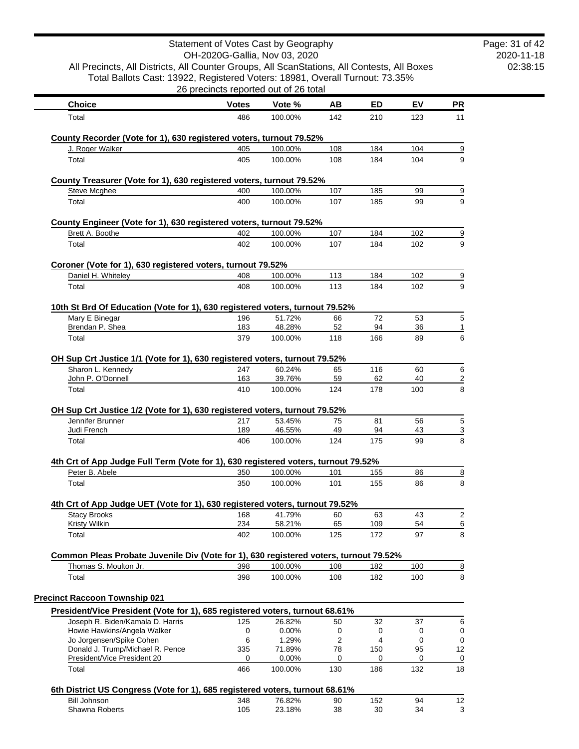| All Precincts, All Districts, All Counter Groups, All ScanStations, All Contests, All Boxes<br>Total Ballots Cast: 13922, Registered Voters: 18981, Overall Turnout: 73.35% |              | Statement of Votes Cast by Geography<br>OH-2020G-Gallia, Nov 03, 2020 |           |           |          |                       | Page: 31 of 42<br>2020-11-18<br>02:38:15 |
|-----------------------------------------------------------------------------------------------------------------------------------------------------------------------------|--------------|-----------------------------------------------------------------------|-----------|-----------|----------|-----------------------|------------------------------------------|
|                                                                                                                                                                             |              | 26 precincts reported out of 26 total                                 |           |           |          |                       |                                          |
| <b>Choice</b>                                                                                                                                                               | <b>Votes</b> | Vote %                                                                | AB        | ED        | EV       | <b>PR</b>             |                                          |
| Total                                                                                                                                                                       | 486          | 100.00%                                                               | 142       | 210       | 123      | 11                    |                                          |
| County Recorder (Vote for 1), 630 registered voters, turnout 79.52%<br>J. Roger Walker                                                                                      | 405          | 100.00%                                                               | 108       | 184       | 104      | <u>9</u>              |                                          |
| Total                                                                                                                                                                       | 405          | 100.00%                                                               | 108       | 184       | 104      | 9                     |                                          |
| County Treasurer (Vote for 1), 630 registered voters, turnout 79.52%                                                                                                        |              |                                                                       |           |           |          |                       |                                          |
| <b>Steve Mcghee</b>                                                                                                                                                         | 400          | 100.00%                                                               | 107       | 185       | 99       | 9                     |                                          |
| Total                                                                                                                                                                       | 400          | 100.00%                                                               | 107       | 185       | 99       | 9                     |                                          |
| County Engineer (Vote for 1), 630 registered voters, turnout 79.52%                                                                                                         |              |                                                                       |           |           |          |                       |                                          |
| Brett A. Boothe                                                                                                                                                             | 402          | 100.00%                                                               | 107       | 184       | 102      | $\overline{\partial}$ |                                          |
| Total                                                                                                                                                                       | 402          | 100.00%                                                               | 107       | 184       | 102      | 9                     |                                          |
| Coroner (Vote for 1), 630 registered voters, turnout 79.52%                                                                                                                 |              |                                                                       |           |           |          |                       |                                          |
| Daniel H. Whiteley                                                                                                                                                          | 408          | 100.00%                                                               | 113       | 184       | 102      | 9                     |                                          |
| Total                                                                                                                                                                       | 408          | 100.00%                                                               | 113       | 184       | 102      | 9                     |                                          |
| 10th St Brd Of Education (Vote for 1), 630 registered voters, turnout 79.52%                                                                                                |              |                                                                       |           |           |          |                       |                                          |
| Mary E Binegar<br>Brendan P. Shea                                                                                                                                           | 196<br>183   | 51.72%<br>48.28%                                                      | 66<br>52  | 72<br>94  | 53<br>36 | 5<br>1                |                                          |
| Total                                                                                                                                                                       | 379          | 100.00%                                                               | 118       | 166       | 89       | 6                     |                                          |
| OH Sup Crt Justice 1/1 (Vote for 1), 630 registered voters, turnout 79.52%                                                                                                  |              |                                                                       |           |           |          |                       |                                          |
| Sharon L. Kennedy                                                                                                                                                           | 247          | 60.24%                                                                | 65        | 116       | 60       | 6                     |                                          |
| John P. O'Donnell                                                                                                                                                           | 163          | 39.76%                                                                | 59        | 62        | 40       | $\overline{2}$        |                                          |
| Total                                                                                                                                                                       | 410          | 100.00%                                                               | 124       | 178       | 100      | 8                     |                                          |
| OH Sup Crt Justice 1/2 (Vote for 1), 630 registered voters, turnout 79.52%                                                                                                  |              |                                                                       |           |           |          |                       |                                          |
| Jennifer Brunner                                                                                                                                                            | 217          | 53.45%                                                                | 75        | 81        | 56       | 5                     |                                          |
| Judi French<br>Total                                                                                                                                                        | 189<br>406   | 46.55%<br>100.00%                                                     | 49<br>124 | 94<br>175 | 43<br>99 | $\overline{3}$<br>8   |                                          |
|                                                                                                                                                                             |              |                                                                       |           |           |          |                       |                                          |
| 4th Crt of App Judge Full Term (Vote for 1), 630 registered voters, turnout 79.52%<br>Peter B. Abele                                                                        | 350          | 100.00%                                                               | 101       | 155       | 86       | $\overline{8}$        |                                          |
| Total                                                                                                                                                                       | 350          | 100.00%                                                               | 101       | 155       | 86       | 8                     |                                          |
|                                                                                                                                                                             |              |                                                                       |           |           |          |                       |                                          |
| 4th Crt of App Judge UET (Vote for 1), 630 registered voters, turnout 79.52%<br><b>Stacy Brooks</b>                                                                         | 168          | 41.79%                                                                | 60        | 63        | 43       | $\overline{2}$        |                                          |
| <b>Kristy Wilkin</b>                                                                                                                                                        | 234          | 58.21%                                                                | 65        | 109       | 54       | $\underline{6}$       |                                          |
| Total                                                                                                                                                                       | 402          | 100.00%                                                               | 125       | 172       | 97       | 8                     |                                          |
| Common Pleas Probate Juvenile Div (Vote for 1), 630 registered voters, turnout 79.52%                                                                                       |              |                                                                       |           |           |          |                       |                                          |
| Thomas S. Moulton Jr.                                                                                                                                                       | 398          | 100.00%                                                               | 108       | 182       | 100      | $\overline{8}$        |                                          |
| Total                                                                                                                                                                       | 398          | 100.00%                                                               | 108       | 182       | 100      | 8                     |                                          |
| <b>Precinct Raccoon Township 021</b>                                                                                                                                        |              |                                                                       |           |           |          |                       |                                          |
| President/Vice President (Vote for 1), 685 registered voters, turnout 68.61%                                                                                                |              |                                                                       |           |           |          |                       |                                          |
| Joseph R. Biden/Kamala D. Harris                                                                                                                                            | 125          | 26.82%                                                                | 50        | 32        | 37       | 6                     |                                          |
| Howie Hawkins/Angela Walker<br>Jo Jorgensen/Spike Cohen                                                                                                                     | 0<br>6       | 0.00%<br>1.29%                                                        | 0<br>2    | 0<br>4    | 0<br>0   | 0<br>0                |                                          |
| Donald J. Trump/Michael R. Pence                                                                                                                                            | 335          | 71.89%                                                                | 78        | 150       | 95       | 12                    |                                          |
| President/Vice President 20                                                                                                                                                 | 0            | 0.00%                                                                 | 0         | 0         | 0        | 0                     |                                          |
| Total                                                                                                                                                                       | 466          | 100.00%                                                               | 130       | 186       | 132      | 18                    |                                          |
| 6th District US Congress (Vote for 1), 685 registered voters, turnout 68.61%                                                                                                |              |                                                                       |           |           |          |                       |                                          |
| <b>Bill Johnson</b>                                                                                                                                                         | 348          | 76.82%                                                                | 90        | 152       | 94       | 12                    |                                          |
| Shawna Roberts                                                                                                                                                              | 105          | 23.18%                                                                | 38        | 30        | 34       | 3                     |                                          |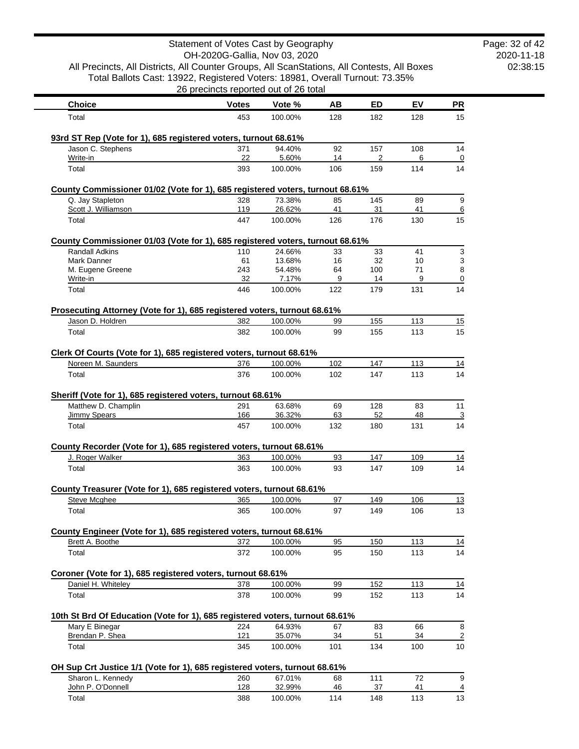|                                                                                                 | Statement of Votes Cast by Geography<br>OH-2020G-Gallia, Nov 03, 2020 |                    |           |            |            |                |
|-------------------------------------------------------------------------------------------------|-----------------------------------------------------------------------|--------------------|-----------|------------|------------|----------------|
| All Precincts, All Districts, All Counter Groups, All ScanStations, All Contests, All Boxes     |                                                                       |                    |           |            |            |                |
| Total Ballots Cast: 13922, Registered Voters: 18981, Overall Turnout: 73.35%                    |                                                                       |                    |           |            |            |                |
|                                                                                                 | 26 precincts reported out of 26 total                                 |                    |           |            |            |                |
| <b>Choice</b>                                                                                   | <b>Votes</b>                                                          | Vote %             | AB        | ED         | EV         | PR             |
| Total                                                                                           | 453                                                                   | 100.00%            | 128       | 182        | 128        | 15             |
| 93rd ST Rep (Vote for 1), 685 registered voters, turnout 68.61%                                 |                                                                       |                    |           |            |            |                |
| Jason C. Stephens                                                                               | 371                                                                   | 94.40%             | 92        | 157        | 108        | 14             |
| Write-in<br>Total                                                                               | 22<br>393                                                             | 5.60%<br>100.00%   | 14<br>106 | 2<br>159   | 6<br>114   | 0<br>14        |
|                                                                                                 |                                                                       |                    |           |            |            |                |
| County Commissioner 01/02 (Vote for 1), 685 registered voters, turnout 68.61%                   |                                                                       |                    |           |            |            |                |
| Q. Jay Stapleton                                                                                | 328<br>119                                                            | 73.38%<br>26.62%   | 85        | 145        | 89         | 9              |
| Scott J. Williamson<br>Total                                                                    | 447                                                                   | 100.00%            | 41<br>126 | 31<br>176  | 41<br>130  | 6<br>15        |
|                                                                                                 |                                                                       |                    |           |            |            |                |
| County Commissioner 01/03 (Vote for 1), 685 registered voters, turnout 68.61%                   |                                                                       |                    |           |            |            |                |
| <b>Randall Adkins</b><br>Mark Danner                                                            | 110<br>61                                                             | 24.66%<br>13.68%   | 33<br>16  | 33<br>32   | 41<br>10   | 3<br>3         |
| M. Eugene Greene                                                                                | 243                                                                   | 54.48%             | 64        | 100        | 71         | 8              |
| Write-in                                                                                        | 32                                                                    | 7.17%              | 9         | 14         | 9          | 0              |
| Total                                                                                           | 446                                                                   | 100.00%            | 122       | 179        | 131        | 14             |
| Prosecuting Attorney (Vote for 1), 685 registered voters, turnout 68.61%                        |                                                                       |                    |           |            |            |                |
| Jason D. Holdren                                                                                | 382                                                                   | 100.00%            | 99        | 155        | 113        | 15             |
| Total                                                                                           | 382                                                                   | 100.00%            | 99        | 155        | 113        | 15             |
| Clerk Of Courts (Vote for 1), 685 registered voters, turnout 68.61%                             |                                                                       |                    |           |            |            |                |
| Noreen M. Saunders                                                                              | 376                                                                   | 100.00%            | 102       | 147        | 113        | 14             |
| Total                                                                                           | 376                                                                   | 100.00%            | 102       | 147        | 113        | 14             |
|                                                                                                 |                                                                       |                    |           |            |            |                |
| Sheriff (Vote for 1), 685 registered voters, turnout 68.61%<br>Matthew D. Champlin              | 291                                                                   | 63.68%             | 69        | 128        | 83         | 11             |
| <b>Jimmy Spears</b>                                                                             | 166                                                                   | 36.32%             | 63        | 52         | 48         | <u>3</u>       |
| Total                                                                                           | 457                                                                   | 100.00%            | 132       | 180        | 131        | 14             |
|                                                                                                 |                                                                       |                    |           |            |            |                |
| County Recorder (Vote for 1), 685 registered voters, turnout 68.61%<br>J. Roger Walker          | 363                                                                   | 100.00%            | 93        | 147        | 109        | 14             |
| Total                                                                                           | 363                                                                   | 100.00%            | 93        | 147        | 109        | 14             |
|                                                                                                 |                                                                       |                    |           |            |            |                |
| County Treasurer (Vote for 1), 685 registered voters, turnout 68.61%                            |                                                                       |                    |           |            |            |                |
| Steve Mcghee<br>Total                                                                           | 365<br>365                                                            | 100.00%<br>100.00% | 97<br>97  | 149<br>149 | 106<br>106 | 13<br>13       |
|                                                                                                 |                                                                       |                    |           |            |            |                |
| County Engineer (Vote for 1), 685 registered voters, turnout 68.61%                             |                                                                       |                    |           |            |            |                |
| Brett A. Boothe                                                                                 | 372                                                                   | 100.00%            | 95        | 150        | 113        | 14             |
| Total                                                                                           | 372                                                                   | 100.00%            | 95        | 150        | 113        | 14             |
| Coroner (Vote for 1), 685 registered voters, turnout 68.61%                                     |                                                                       |                    |           |            |            |                |
| Daniel H. Whiteley                                                                              | 378                                                                   | 100.00%            | 99        | 152        | 113        | 14             |
| Total                                                                                           | 378                                                                   | 100.00%            | 99        | 152        | 113        | 14             |
|                                                                                                 |                                                                       |                    |           |            |            |                |
| 10th St Brd Of Education (Vote for 1), 685 registered voters, turnout 68.61%<br>Mary E Binegar  | 224                                                                   | 64.93%             | 67        | 83         | 66         | 8              |
| Brendan P. Shea                                                                                 | 121                                                                   | 35.07%             | 34        | 51         | 34         | $\overline{2}$ |
| Total                                                                                           | 345                                                                   | 100.00%            | 101       | 134        | 100        | 10             |
|                                                                                                 |                                                                       |                    |           |            |            |                |
| OH Sup Crt Justice 1/1 (Vote for 1), 685 registered voters, turnout 68.61%<br>Sharon L. Kennedy | 260                                                                   | 67.01%             | 68        | 111        | 72         | 9              |
| John P. O'Donnell                                                                               | <u>128</u>                                                            | 32.99%             | 46        | 37         | 41         | $\overline{4}$ |
| Total                                                                                           | 388                                                                   | 100.00%            | 114       | 148        | 113        | 13             |

2020-11-18 02:38:15 Page: 32 of 42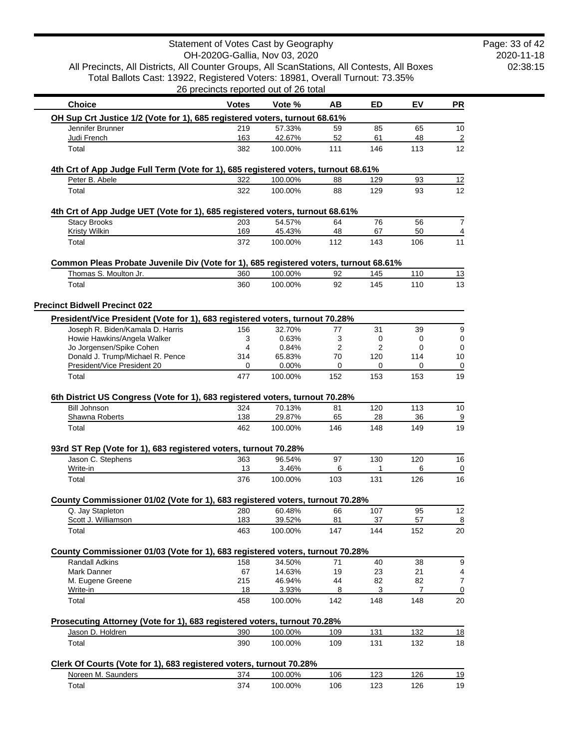|                                                                                                 |              | Statement of Votes Cast by Geography<br>OH-2020G-Gallia, Nov 03, 2020 |           |                |            |                 |
|-------------------------------------------------------------------------------------------------|--------------|-----------------------------------------------------------------------|-----------|----------------|------------|-----------------|
| All Precincts, All Districts, All Counter Groups, All ScanStations, All Contests, All Boxes     |              |                                                                       |           |                |            |                 |
| Total Ballots Cast: 13922, Registered Voters: 18981, Overall Turnout: 73.35%                    |              |                                                                       |           |                |            |                 |
|                                                                                                 |              | 26 precincts reported out of 26 total                                 |           |                |            |                 |
| <b>Choice</b>                                                                                   | <b>Votes</b> | Vote %                                                                | AB        | <b>ED</b>      | EV         | <u>PR</u>       |
| OH Sup Crt Justice 1/2 (Vote for 1), 685 registered voters, turnout 68.61%                      |              |                                                                       |           |                |            |                 |
| Jennifer Brunner                                                                                | 219          | 57.33%                                                                | 59        | 85             | 65         | 10              |
| Judi French                                                                                     | 163          | 42.67%                                                                | 52        | 61             | 48         |                 |
| Total                                                                                           | 382          | 100.00%                                                               | 111       | 146            | 113        | 12              |
| 4th Crt of App Judge Full Term (Vote for 1), 685 registered voters, turnout 68.61%              |              |                                                                       |           |                |            |                 |
| Peter B. Abele                                                                                  | 322          | 100.00%                                                               | 88        | 129            | 93         | 12              |
| Total                                                                                           | 322          | 100.00%                                                               | 88        | 129            | 93         | 12              |
| 4th Crt of App Judge UET (Vote for 1), 685 registered voters, turnout 68.61%                    |              |                                                                       |           |                |            |                 |
| <b>Stacy Brooks</b>                                                                             | 203          | 54.57%                                                                | 64        | 76             | 56         |                 |
| <b>Kristy Wilkin</b>                                                                            | 169          | 45.43%                                                                | 48        | 67             | 50         | 11              |
| Total                                                                                           | 372          | 100.00%                                                               | 112       | 143            | 106        |                 |
| Common Pleas Probate Juvenile Div (Vote for 1), 685 registered voters, turnout 68.61%           |              | 100.00%                                                               | 92        |                |            |                 |
| Thomas S. Moulton Jr.<br>Total                                                                  | 360<br>360   | 100.00%                                                               | 92        | 145<br>145     | 110<br>110 | <u>13</u><br>13 |
|                                                                                                 |              |                                                                       |           |                |            |                 |
| <b>Precinct Bidwell Precinct 022</b>                                                            |              |                                                                       |           |                |            |                 |
| President/Vice President (Vote for 1), 683 registered voters, turnout 70.28%                    |              |                                                                       |           |                |            |                 |
| Joseph R. Biden/Kamala D. Harris<br>Howie Hawkins/Angela Walker                                 | 156<br>3     | 32.70%<br>0.63%                                                       | 77<br>3   | 31<br>0        | 39<br>0    |                 |
| Jo Jorgensen/Spike Cohen                                                                        | 4            | 0.84%                                                                 | 2         | $\overline{2}$ | 0          |                 |
| Donald J. Trump/Michael R. Pence                                                                | 314          | 65.83%                                                                | 70        | 120            | 114        | 10              |
| President/Vice President 20                                                                     | 0            | 0.00%                                                                 | 0         | 0              | 0          |                 |
| Total                                                                                           | 477          | 100.00%                                                               | 152       | 153            | 153        | 19              |
| 6th District US Congress (Vote for 1), 683 registered voters, turnout 70.28%                    |              |                                                                       |           |                |            |                 |
| <b>Bill Johnson</b><br>Shawna Roberts                                                           | 324<br>138   | 70.13%<br>29.87%                                                      | 81<br>65  | 120<br>28      | 113<br>36  | 10              |
| Total                                                                                           | 462          | 100.00%                                                               | 146       | 148            | 149        |                 |
| 93rd ST Rep (Vote for 1), 683 registered voters, turnout 70.28%                                 |              |                                                                       |           |                |            |                 |
| Jason C. Stephens                                                                               | 363          | 96.54%                                                                | 97        | 130            | 120        | 16              |
| Write-in                                                                                        | 13           | 3.46%                                                                 | 6         | 1              | 6          |                 |
| Total                                                                                           | 376          | 100.00%                                                               | 103       | 131            | 126        |                 |
| County Commissioner 01/02 (Vote for 1), 683 registered voters, turnout 70.28%                   |              |                                                                       |           |                |            |                 |
| Q. Jay Stapleton                                                                                | 280          | 60.48%                                                                | 66        | 107            | 95         | 12              |
| Scott J. Williamson<br>Total                                                                    | 183<br>463   | 39.52%<br>100.00%                                                     | 81<br>147 | 37<br>144      | 57<br>152  | 20              |
|                                                                                                 |              |                                                                       |           |                |            |                 |
| County Commissioner 01/03 (Vote for 1), 683 registered voters, turnout 70.28%<br>Randall Adkins | 158          | 34.50%                                                                | 71        | 40             | 38         |                 |
| Mark Danner                                                                                     | 67           | 14.63%                                                                | 19        | 23             | 21         |                 |
| M. Eugene Greene                                                                                | 215          | 46.94%                                                                | 44        | 82             | 82         |                 |
| Write-in<br>Total                                                                               | 18<br>458    | 3.93%<br>100.00%                                                      | 8<br>142  | 3<br>148       | 7<br>148   | 20              |
|                                                                                                 |              |                                                                       |           |                |            |                 |
| Prosecuting Attorney (Vote for 1), 683 registered voters, turnout 70.28%<br>Jason D. Holdren    | 390          | 100.00%                                                               | 109       | 131            | 132        |                 |
| Total                                                                                           | 390          | 100.00%                                                               | 109       | 131            | 132        | 18              |
|                                                                                                 |              |                                                                       |           |                |            | 18              |
| Clerk Of Courts (Vote for 1), 683 registered voters, turnout 70.28%                             |              |                                                                       |           |                |            |                 |
| Noreen M. Saunders                                                                              | 374<br>374   | 100.00%                                                               | 106       | 123            | 126        | <u>19</u><br>19 |
| Total                                                                                           |              | 100.00%                                                               | 106       | 123            | 126        |                 |

Page: 33 of 42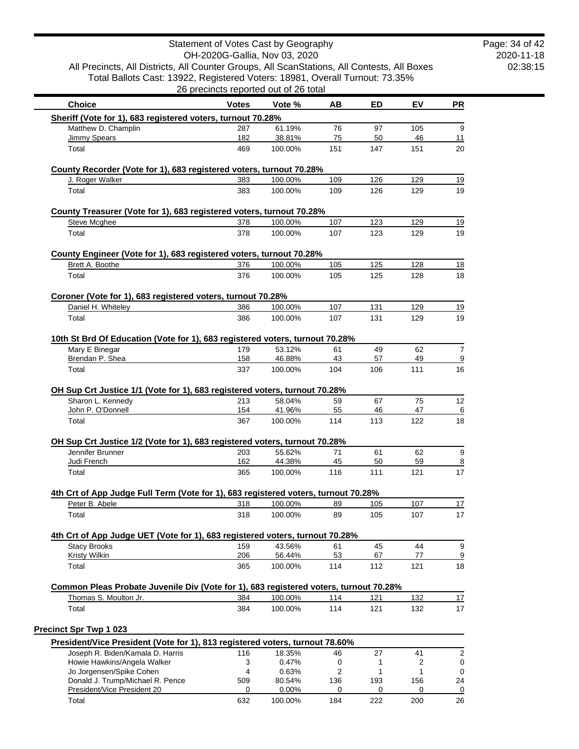| All Precincts, All Districts, All Counter Groups, All ScanStations, All Contests, All Boxes<br>Total Ballots Cast: 13922, Registered Voters: 18981, Overall Turnout: 73.35%                                                                      |              |                                       |           |           |           |                                                    |
|--------------------------------------------------------------------------------------------------------------------------------------------------------------------------------------------------------------------------------------------------|--------------|---------------------------------------|-----------|-----------|-----------|----------------------------------------------------|
|                                                                                                                                                                                                                                                  |              | 26 precincts reported out of 26 total |           |           |           |                                                    |
| <b>Choice</b>                                                                                                                                                                                                                                    | <b>Votes</b> | Vote %                                | AВ        | ED        | EV        | PR                                                 |
| Sheriff (Vote for 1), 683 registered voters, turnout 70.28%                                                                                                                                                                                      |              |                                       |           |           |           |                                                    |
| Matthew D. Champlin                                                                                                                                                                                                                              | 287          | 61.19%                                | 76        | 97        | 105       |                                                    |
| Jimmy Spears<br>Total                                                                                                                                                                                                                            | 182<br>469   | 38.81%<br>100.00%                     | 75<br>151 | 50<br>147 | 46<br>151 | 11<br>20                                           |
|                                                                                                                                                                                                                                                  |              |                                       |           |           |           |                                                    |
| County Recorder (Vote for 1), 683 registered voters, turnout 70.28%                                                                                                                                                                              |              |                                       |           |           |           | <u>19</u>                                          |
| J. Roger Walker                                                                                                                                                                                                                                  | 383          | 100.00%                               | 109       | 126       | 129       |                                                    |
| Total                                                                                                                                                                                                                                            | 383          | 100.00%                               | 109       | 126       | 129       |                                                    |
| County Treasurer (Vote for 1), 683 registered voters, turnout 70.28%                                                                                                                                                                             |              |                                       |           |           |           |                                                    |
| Steve Mcghee                                                                                                                                                                                                                                     | 378          | 100.00%                               | 107       | 123       | 129       |                                                    |
| Total                                                                                                                                                                                                                                            | 378          | 100.00%                               | 107       | 123       | 129       |                                                    |
| County Engineer (Vote for 1), 683 registered voters, turnout 70.28%                                                                                                                                                                              |              |                                       |           |           |           |                                                    |
| Brett A. Boothe                                                                                                                                                                                                                                  | 376          | 100.00%                               | 105       | 125       | 128       |                                                    |
| Total                                                                                                                                                                                                                                            | 376          | 100.00%                               | 105       | 125       | 128       |                                                    |
|                                                                                                                                                                                                                                                  |              |                                       |           |           |           |                                                    |
| Coroner (Vote for 1), 683 registered voters, turnout 70.28%<br>Daniel H. Whiteley                                                                                                                                                                | 386          | 100.00%                               | 107       | 131       | 129       |                                                    |
| Total                                                                                                                                                                                                                                            | 386          | 100.00%                               | 107       | 131       | 129       |                                                    |
|                                                                                                                                                                                                                                                  |              |                                       |           |           |           |                                                    |
| 10th St Brd Of Education (Vote for 1), 683 registered voters, turnout 70.28%                                                                                                                                                                     |              |                                       |           |           |           |                                                    |
| Mary E Binegar<br>Brendan P. Shea                                                                                                                                                                                                                | 179<br>158   | 53.12%<br>46.88%                      | 61<br>43  | 49<br>57  | 62<br>49  |                                                    |
| Total                                                                                                                                                                                                                                            | 337          | 100.00%                               | 104       | 106       | 111       |                                                    |
|                                                                                                                                                                                                                                                  |              |                                       |           |           |           |                                                    |
| OH Sup Crt Justice 1/1 (Vote for 1), 683 registered voters, turnout 70.28%                                                                                                                                                                       |              |                                       |           |           |           |                                                    |
|                                                                                                                                                                                                                                                  |              |                                       |           |           |           |                                                    |
| Sharon L. Kennedy                                                                                                                                                                                                                                | 213          | 58.04%                                | 59        | 67        | 75        |                                                    |
| John P. O'Donnell                                                                                                                                                                                                                                | 154          | 41.96%                                | 55        | 46        | 47        |                                                    |
| Total                                                                                                                                                                                                                                            | 367          | 100.00%                               | 114       | 113       | 122       |                                                    |
|                                                                                                                                                                                                                                                  |              |                                       |           |           |           |                                                    |
| Jennifer Brunner                                                                                                                                                                                                                                 | 203          | 55.62%                                | 71        | 61        | 62        |                                                    |
| Judi French                                                                                                                                                                                                                                      | 162          | 44.38%                                | 45        | 50        | 59        |                                                    |
| Total                                                                                                                                                                                                                                            | 365          | 100.00%                               | 116       | 111       | 121       |                                                    |
|                                                                                                                                                                                                                                                  |              |                                       |           |           |           |                                                    |
| Peter B. Abele                                                                                                                                                                                                                                   | 318          | 100.00%                               | 89        | 105       | 107       |                                                    |
| Total                                                                                                                                                                                                                                            | 318          | 100.00%                               | 89        | 105       | 107       |                                                    |
|                                                                                                                                                                                                                                                  |              |                                       |           |           |           |                                                    |
| <b>Stacy Brooks</b>                                                                                                                                                                                                                              | 159          | 43.56%                                | 61        | 45        | 44        |                                                    |
| <b>Kristy Wilkin</b>                                                                                                                                                                                                                             | 206          | 56.44%                                | 53        | 67        | 77        |                                                    |
| Total                                                                                                                                                                                                                                            | 365          | 100.00%                               | 114       | 112       | 121       |                                                    |
| OH Sup Crt Justice 1/2 (Vote for 1), 683 registered voters, turnout 70.28%<br>4th Crt of App Judge Full Term (Vote for 1), 683 registered voters, turnout 70.28%<br>4th Crt of App Judge UET (Vote for 1), 683 registered voters, turnout 70.28% |              |                                       |           |           |           |                                                    |
| Thomas S. Moulton Jr.                                                                                                                                                                                                                            | 384          | 100.00%                               | 114       | 121       | 132       |                                                    |
| Total                                                                                                                                                                                                                                            | 384          | 100.00%                               | 114       | 121       | 132       |                                                    |
| Common Pleas Probate Juvenile Div (Vote for 1), 683 registered voters, turnout 70.28%                                                                                                                                                            |              |                                       |           |           |           |                                                    |
|                                                                                                                                                                                                                                                  |              |                                       |           |           |           |                                                    |
|                                                                                                                                                                                                                                                  |              |                                       |           |           |           |                                                    |
| Joseph R. Biden/Kamala D. Harris<br>Howie Hawkins/Angela Walker                                                                                                                                                                                  | 116<br>3     | 18.35%<br>0.47%                       | 46<br>0   | 27<br>1   | 41<br>2   |                                                    |
| Jo Jorgensen/Spike Cohen                                                                                                                                                                                                                         | 4            | 0.63%                                 | 2         | 1         | 1         | 12<br>18<br>17<br>17<br>17<br>18<br>17<br>17<br>24 |
| <b>Precinct Spr Twp 1 023</b><br>President/Vice President (Vote for 1), 813 registered voters, turnout 78.60%<br>Donald J. Trump/Michael R. Pence<br>President/Vice President 20                                                                 | 509<br>0     | 80.54%<br>0.00%                       | 136<br>0  | 193<br>0  | 156<br>0  |                                                    |

2020-11-18 02:38:15 Page: 34 of 42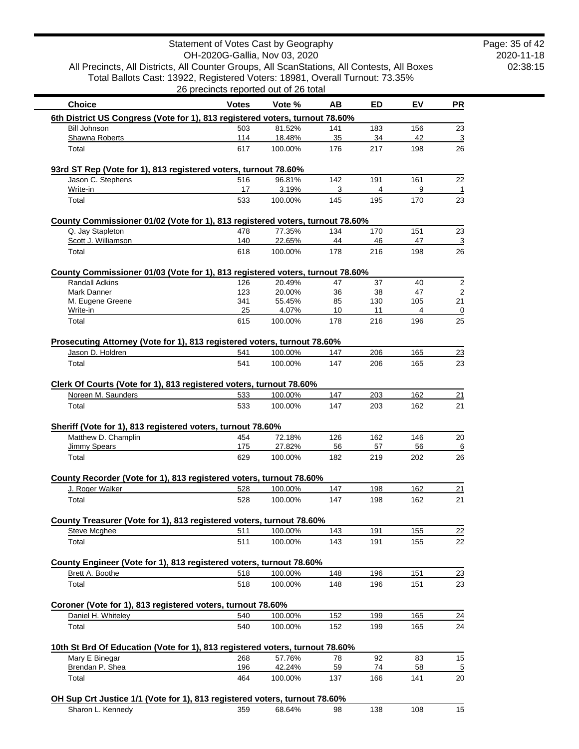2020-11-18 02:38:15 Page: 35 of 42

All Precincts, All Districts, All Counter Groups, All ScanStations, All Contests, All Boxes Total Ballots Cast: 13922, Registered Voters: 18981, Overall Turnout: 73.35% 26 precincts reported out of 26 total

| <b>Choice</b>                                                                        | <b>Votes</b> | Vote %            | AB        | ED        | EV        | <b>PR</b>                    |
|--------------------------------------------------------------------------------------|--------------|-------------------|-----------|-----------|-----------|------------------------------|
| 6th District US Congress (Vote for 1), 813 registered voters, turnout 78.60%         |              |                   |           |           |           |                              |
| <b>Bill Johnson</b>                                                                  | 503          | 81.52%            | 141       | 183       | 156       | 23                           |
| Shawna Roberts<br>Total                                                              | 114<br>617   | 18.48%<br>100.00% | 35<br>176 | 34<br>217 | 42<br>198 | $\overline{3}$<br>26         |
|                                                                                      |              |                   |           |           |           |                              |
| 93rd ST Rep (Vote for 1), 813 registered voters, turnout 78.60%<br>Jason C. Stephens | 516          | 96.81%            | 142       | 191       | 161       |                              |
| Write-in                                                                             | 17           | 3.19%             | 3         | 4         | 9         | 22<br>$\overline{1}$         |
| Total                                                                                | 533          | 100.00%           | 145       | 195       | 170       | 23                           |
| County Commissioner 01/02 (Vote for 1), 813 registered voters, turnout 78.60%        |              |                   |           |           |           |                              |
| Q. Jay Stapleton                                                                     | 478          | 77.35%            | 134       | 170       | 151       | 23                           |
| Scott J. Williamson                                                                  | 140          | 22.65%            | 44        | 46        | 47        | $\overline{3}$               |
| Total                                                                                | 618          | 100.00%           | 178       | 216       | 198       | 26                           |
| County Commissioner 01/03 (Vote for 1), 813 registered voters, turnout 78.60%        |              |                   |           |           |           |                              |
| <b>Randall Adkins</b><br>Mark Danner                                                 | 126<br>123   | 20.49%<br>20.00%  | 47<br>36  | 37<br>38  | 40<br>47  | $\overline{2}$<br>$\sqrt{2}$ |
| M. Eugene Greene                                                                     | 341          | 55.45%            | 85        | 130       | 105       | 21                           |
| Write-in                                                                             | 25           | 4.07%             | 10        | 11        | 4         | $\overline{0}$               |
| Total                                                                                | 615          | 100.00%           | 178       | 216       | 196       | 25                           |
| Prosecuting Attorney (Vote for 1), 813 registered voters, turnout 78.60%             |              |                   |           |           |           |                              |
| Jason D. Holdren                                                                     | 541          | 100.00%           | 147       | 206       | 165       | 23                           |
| Total                                                                                | 541          | 100.00%           | 147       | 206       | 165       | 23                           |
| Clerk Of Courts (Vote for 1), 813 registered voters, turnout 78.60%                  |              |                   |           |           |           |                              |
| Noreen M. Saunders                                                                   | 533          | 100.00%           | 147       | 203       | 162       | 21                           |
| Total                                                                                | 533          | 100.00%           | 147       | 203       | 162       | 21                           |
| Sheriff (Vote for 1), 813 registered voters, turnout 78.60%                          |              |                   |           |           |           |                              |
| Matthew D. Champlin                                                                  | 454          | 72.18%            | 126       | 162       | 146       | 20                           |
| <b>Jimmy Spears</b>                                                                  | 175          | 27.82%            | 56        | 57        | 56        | 6                            |
| Total                                                                                | 629          | 100.00%           | 182       | 219       | 202       | 26                           |
| County Recorder (Vote for 1), 813 registered voters, turnout 78.60%                  |              |                   |           |           |           |                              |
| J. Roger Walker                                                                      | 528          | 100.00%           | 147       | 198       | 162       | 21                           |
| Total                                                                                | 528          | 100.00%           | 147       | 198       | 162       | 21                           |
| County Treasurer (Vote for 1), 813 registered voters, turnout 78.60%                 |              |                   |           |           |           |                              |
| Steve Mcghee                                                                         | 511          | 100.00%           | 143       | 191       | 155       | 22                           |
| Total                                                                                | 511          | 100.00%           | 143       | 191       | 155       | 22                           |
| County Engineer (Vote for 1), 813 registered voters, turnout 78.60%                  |              |                   |           |           |           |                              |
| Brett A. Boothe                                                                      | 518          | 100.00%           | 148       | 196       | 151       | 23                           |
| Total                                                                                | 518          | 100.00%           | 148       | 196       | 151       | 23                           |
| Coroner (Vote for 1), 813 registered voters, turnout 78.60%                          |              |                   |           |           |           |                              |
| Daniel H. Whiteley                                                                   | 540          | 100.00%           | 152       | 199       | 165       | $\overline{24}$              |
| Total                                                                                | 540          | 100.00%           | 152       | 199       | 165       | 24                           |
| 10th St Brd Of Education (Vote for 1), 813 registered voters, turnout 78.60%         |              |                   |           |           |           |                              |
| Mary E Binegar                                                                       | 268          | 57.76%            | 78        | 92        | 83        | 15                           |
| Brendan P. Shea<br>Total                                                             | 196<br>464   | 42.24%<br>100.00% | 59<br>137 | 74<br>166 | 58<br>141 | $\overline{5}$<br>20         |
|                                                                                      |              |                   |           |           |           |                              |
| OH Sup Crt Justice 1/1 (Vote for 1), 813 registered voters, turnout 78.60%           |              |                   |           |           |           |                              |
| Sharon L. Kennedy                                                                    | 359          | 68.64%            | 98        | 138       | 108       | 15                           |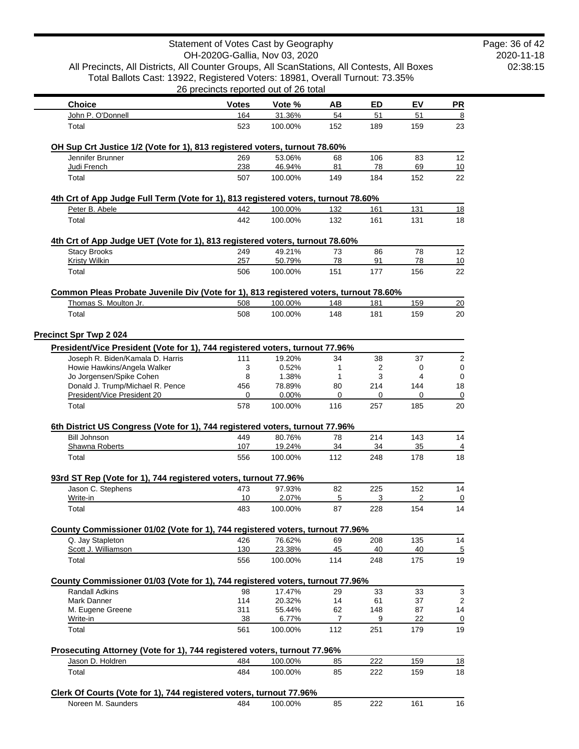|                                                                                                                  | Statement of Votes Cast by Geography<br>OH-2020G-Gallia, Nov 03, 2020 |                    |                      |            |            |           |
|------------------------------------------------------------------------------------------------------------------|-----------------------------------------------------------------------|--------------------|----------------------|------------|------------|-----------|
| All Precincts, All Districts, All Counter Groups, All ScanStations, All Contests, All Boxes                      |                                                                       |                    |                      |            |            |           |
| Total Ballots Cast: 13922, Registered Voters: 18981, Overall Turnout: 73.35%                                     |                                                                       |                    |                      |            |            |           |
|                                                                                                                  | 26 precincts reported out of 26 total                                 |                    |                      |            |            |           |
| <b>Choice</b>                                                                                                    | <b>Votes</b>                                                          | Vote %             | AВ                   | ED         | ΕV         | <b>PR</b> |
| John P. O'Donnell                                                                                                | 164                                                                   | 31.36%             | 54                   | 51         | 51         |           |
| Total                                                                                                            | 523                                                                   | 100.00%            | 152                  | 189        | 159        | 23        |
| OH Sup Crt Justice 1/2 (Vote for 1), 813 registered voters, turnout 78.60%                                       |                                                                       |                    |                      |            |            |           |
| Jennifer Brunner                                                                                                 | 269                                                                   | 53.06%             | 68                   | 106        | 83         | 12        |
| Judi French                                                                                                      | 238                                                                   | 46.94%             | 81                   | 78         | 69         | 10        |
| Total                                                                                                            | 507                                                                   | 100.00%            | 149                  | 184        | 152        | 22        |
| 4th Crt of App Judge Full Term (Vote for 1), 813 registered voters, turnout 78.60%                               |                                                                       |                    |                      |            |            |           |
| Peter B. Abele                                                                                                   | 442                                                                   | 100.00%            | 132                  | 161        | 131        | 18        |
| Total                                                                                                            | 442                                                                   | 100.00%            | 132                  | 161        | 131        | 18        |
| 4th Crt of App Judge UET (Vote for 1), 813 registered voters, turnout 78.60%                                     |                                                                       |                    |                      |            |            |           |
| <b>Stacy Brooks</b>                                                                                              | 249                                                                   | 49.21%             | 73                   | 86         | 78         | 12        |
| <b>Kristy Wilkin</b>                                                                                             | 257                                                                   | 50.79%             | 78                   | 91         | 78         | 10        |
| Total                                                                                                            | 506                                                                   | 100.00%            | 151                  | 177        | 156        | 22        |
| Common Pleas Probate Juvenile Div (Vote for 1), 813 registered voters, turnout 78.60%                            |                                                                       |                    |                      |            |            |           |
| Thomas S. Moulton Jr.                                                                                            | 508                                                                   | 100.00%            | 148                  | 181        | 159        | 20        |
| Total                                                                                                            | 508                                                                   | 100.00%            | 148                  | 181        | 159        | 20        |
|                                                                                                                  |                                                                       |                    |                      |            |            |           |
| <b>Precinct Spr Twp 2 024</b>                                                                                    |                                                                       |                    |                      |            |            |           |
| President/Vice President (Vote for 1), 744 registered voters, turnout 77.96%<br>Joseph R. Biden/Kamala D. Harris | 111                                                                   | 19.20%             | 34                   | 38         | 37         |           |
| Howie Hawkins/Angela Walker                                                                                      | 3                                                                     | 0.52%              | 1                    | 2          | 0          |           |
| Jo Jorgensen/Spike Cohen                                                                                         | 8                                                                     | 1.38%              | 1                    | 3          | 4          |           |
| Donald J. Trump/Michael R. Pence                                                                                 | 456                                                                   | 78.89%             | 80                   | 214        | 144        | 18        |
| President/Vice President 20                                                                                      | 0                                                                     | 0.00%              | 0                    | 0          | 0          |           |
| Total                                                                                                            | 578                                                                   | 100.00%            | 116                  | 257        | 185        | 20        |
| 6th District US Congress (Vote for 1), 744 registered voters, turnout 77.96%                                     |                                                                       |                    |                      |            |            |           |
| <b>Bill Johnson</b>                                                                                              | 449                                                                   | 80.76%             | 78                   | 214        | 143        | 14        |
| Shawna Roberts                                                                                                   | 107                                                                   | 19.24%             | 34                   | 34         | 35         |           |
| Total                                                                                                            | 556                                                                   | 100.00%            | 112                  | 248        | 178        | 18        |
| 93rd ST Rep (Vote for 1), 744 registered voters, turnout 77.96%                                                  |                                                                       |                    |                      |            |            |           |
| Jason C. Stephens                                                                                                | 473                                                                   | 97.93%             | 82                   | 225        | 152        | 14        |
| Write-in                                                                                                         | 10                                                                    | 2.07%              | 5                    | 3          | 2          |           |
| Total                                                                                                            | 483                                                                   | 100.00%            | 87                   | 228        | 154        | 14        |
| County Commissioner 01/02 (Vote for 1), 744 registered voters, turnout 77.96%                                    |                                                                       |                    |                      |            |            |           |
| Q. Jay Stapleton                                                                                                 | 426                                                                   | 76.62%             | 69                   | 208        | 135        | 14        |
| Scott J. Williamson                                                                                              | 130                                                                   | 23.38%             | 45                   | 40         | 40         |           |
| Total                                                                                                            | 556                                                                   | 100.00%            | 114                  | 248        | 175        | 19        |
| County Commissioner 01/03 (Vote for 1), 744 registered voters, turnout 77.96%                                    |                                                                       |                    |                      |            |            |           |
| Randall Adkins                                                                                                   | 98                                                                    | 17.47%             | 29                   | 33         | 33         |           |
| Mark Danner                                                                                                      | 114                                                                   | 20.32%             | 14                   | 61         | 37         |           |
| M. Eugene Greene<br>Write-in                                                                                     | 311<br>38                                                             | 55.44%<br>6.77%    | 62<br>$\overline{7}$ | 148<br>9   | 87<br>22   | 14        |
| Total                                                                                                            | 561                                                                   | 100.00%            | 112                  | 251        | 179        | 19        |
|                                                                                                                  |                                                                       |                    |                      |            |            |           |
| Prosecuting Attorney (Vote for 1), 744 registered voters, turnout 77.96%                                         |                                                                       |                    |                      |            |            |           |
| Jason D. Holdren                                                                                                 | 484<br>484                                                            | 100.00%<br>100.00% | 85<br>85             | 222<br>222 | 159<br>159 | 18        |
|                                                                                                                  |                                                                       |                    |                      |            |            | 18        |
| Total                                                                                                            |                                                                       |                    |                      |            |            |           |
| Clerk Of Courts (Vote for 1), 744 registered voters, turnout 77.96%<br>Noreen M. Saunders                        |                                                                       |                    |                      |            |            |           |

2020-11-18 02:38:15 Page: 36 of 42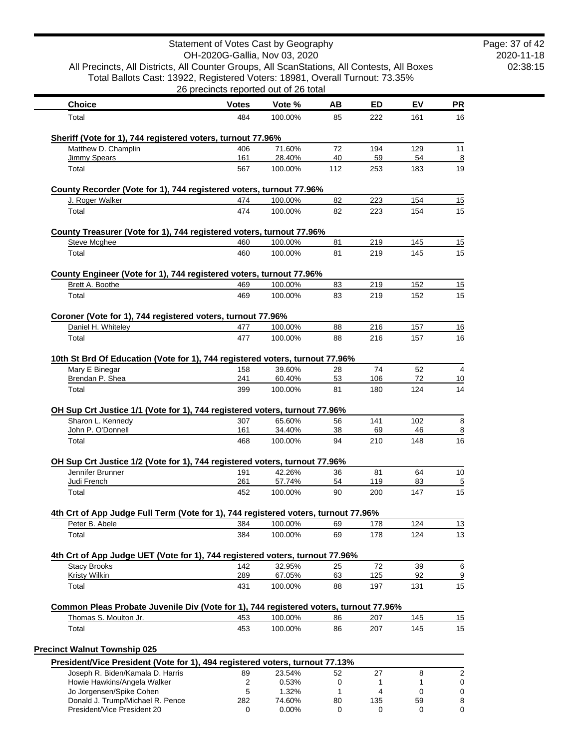|                                                                                                                                                                             | Statement of Votes Cast by Geography  |                   |          |            |           |                          |
|-----------------------------------------------------------------------------------------------------------------------------------------------------------------------------|---------------------------------------|-------------------|----------|------------|-----------|--------------------------|
|                                                                                                                                                                             | OH-2020G-Gallia, Nov 03, 2020         |                   |          |            |           |                          |
| All Precincts, All Districts, All Counter Groups, All ScanStations, All Contests, All Boxes<br>Total Ballots Cast: 13922, Registered Voters: 18981, Overall Turnout: 73.35% |                                       |                   |          |            |           |                          |
|                                                                                                                                                                             | 26 precincts reported out of 26 total |                   |          |            |           |                          |
| <b>Choice</b>                                                                                                                                                               | <b>Votes</b>                          | Vote %            | AВ       | ED         | EV        | $\overline{\mathsf{PR}}$ |
| Total                                                                                                                                                                       | 484                                   | 100.00%           | 85       | 222        | 161       | 16                       |
| Sheriff (Vote for 1), 744 registered voters, turnout 77.96%                                                                                                                 |                                       |                   |          |            |           |                          |
| Matthew D. Champlin                                                                                                                                                         | 406                                   | 71.60%            | 72       | 194        | 129       | 11                       |
| <b>Jimmy Spears</b>                                                                                                                                                         | 161                                   | 28.40%            | 40       | 59         | 54        |                          |
| Total                                                                                                                                                                       | 567                                   | 100.00%           | 112      | 253        | 183       | 19                       |
| County Recorder (Vote for 1), 744 registered voters, turnout 77.96%                                                                                                         |                                       |                   |          |            |           |                          |
| J. Roger Walker                                                                                                                                                             | 474                                   | 100.00%           | 82       | 223        | 154       | 15                       |
| Total                                                                                                                                                                       | 474                                   | 100.00%           | 82       | 223        | 154       | 15                       |
| County Treasurer (Vote for 1), 744 registered voters, turnout 77.96%                                                                                                        |                                       |                   |          |            |           |                          |
| <b>Steve Mcghee</b>                                                                                                                                                         | 460                                   | 100.00%           | 81       | 219        | 145       | 15                       |
| Total                                                                                                                                                                       | 460                                   | 100.00%           | 81       | 219        | 145       | 15                       |
| County Engineer (Vote for 1), 744 registered voters, turnout 77.96%                                                                                                         |                                       |                   |          |            |           |                          |
| Brett A. Boothe                                                                                                                                                             | 469                                   | 100.00%           | 83       | 219        | 152       | 15                       |
| Total                                                                                                                                                                       | 469                                   | 100.00%           | 83       | 219        | 152       |                          |
| Coroner (Vote for 1), 744 registered voters, turnout 77.96%                                                                                                                 |                                       |                   |          |            |           |                          |
| Daniel H. Whiteley                                                                                                                                                          | 477                                   | 100.00%           | 88       | 216        | 157       | 16                       |
| Total                                                                                                                                                                       | 477                                   | 100.00%           | 88       | 216        | 157       | 16                       |
| 10th St Brd Of Education (Vote for 1), 744 registered voters, turnout 77.96%                                                                                                |                                       |                   |          |            |           |                          |
| Mary E Binegar<br>Brendan P. Shea                                                                                                                                           | 158<br>241                            | 39.60%<br>60.40%  | 28<br>53 | 74<br>106  | 52<br>72  |                          |
| Total                                                                                                                                                                       | 399                                   | 100.00%           | 81       | 180        | 124       | 10                       |
|                                                                                                                                                                             |                                       |                   |          |            |           |                          |
| OH Sup Crt Justice 1/1 (Vote for 1), 744 registered voters, turnout 77.96%<br>Sharon L. Kennedy                                                                             | 307                                   | 65.60%            | 56       | 141        | 102       |                          |
| John P. O'Donnell                                                                                                                                                           | 161                                   | 34.40%            | 38       | 69         | 46        |                          |
| Total                                                                                                                                                                       | 468                                   | 100.00%           | 94       | 210        | 148       | 16                       |
| OH Sup Crt Justice 1/2 (Vote for 1), 744 registered voters, turnout 77.96%                                                                                                  |                                       |                   |          |            |           |                          |
| Jennifer Brunner                                                                                                                                                            | 191                                   | 42.26%            | 36       | 81         | 64        | 10                       |
| Judi French                                                                                                                                                                 | 261                                   | 57.74%            | 54       | 119        | 83        |                          |
| Total                                                                                                                                                                       | 452                                   | 100.00%           | 90       | 200        | 147       |                          |
| 4th Crt of App Judge Full Term (Vote for 1), 744 registered voters, turnout 77.96%                                                                                          |                                       |                   |          |            |           |                          |
| Peter B. Abele                                                                                                                                                              | 384                                   | 100.00%           | 69       | 178        | 124       | 13<br>13                 |
| Total                                                                                                                                                                       | 384                                   | 100.00%           | 69       | 178        | 124       |                          |
| 4th Crt of App Judge UET (Vote for 1), 744 registered voters, turnout 77.96%                                                                                                |                                       |                   |          |            |           |                          |
| <b>Stacy Brooks</b>                                                                                                                                                         | 142                                   | 32.95%            | 25       | 72         | 39        |                          |
| Kristy Wilkin<br>Total                                                                                                                                                      | 289<br>431                            | 67.05%<br>100.00% | 63<br>88 | 125<br>197 | 92<br>131 | 15                       |
|                                                                                                                                                                             |                                       |                   |          |            |           |                          |
| Common Pleas Probate Juvenile Div (Vote for 1), 744 registered voters, turnout 77.96%<br>Thomas S. Moulton Jr.                                                              | 453                                   | 100.00%           | 86       | 207        | 145       | 15                       |
| Total                                                                                                                                                                       | 453                                   | 100.00%           | 86       | 207        | 145       | 15                       |
|                                                                                                                                                                             |                                       |                   |          |            |           |                          |
| <b>Precinct Walnut Township 025</b><br>President/Vice President (Vote for 1), 494 registered voters, turnout 77.13%                                                         |                                       |                   |          |            |           |                          |
| Joseph R. Biden/Kamala D. Harris                                                                                                                                            | 89                                    | 23.54%            | 52       | 27         | 8         |                          |
| Howie Hawkins/Angela Walker                                                                                                                                                 | $\boldsymbol{2}$                      | 0.53%             | 0        | 1          | 1         |                          |
| Jo Jorgensen/Spike Cohen                                                                                                                                                    | 5                                     | 1.32%             | 1        | 4          | 0         |                          |
| Donald J. Trump/Michael R. Pence<br>President/Vice President 20                                                                                                             | 282<br>0                              | 74.60%<br>0.00%   | 80<br>0  | 135<br>0   | 59<br>0   |                          |
|                                                                                                                                                                             |                                       |                   |          |            |           |                          |

2020-11-18 02:38:15

Page: 37 of 42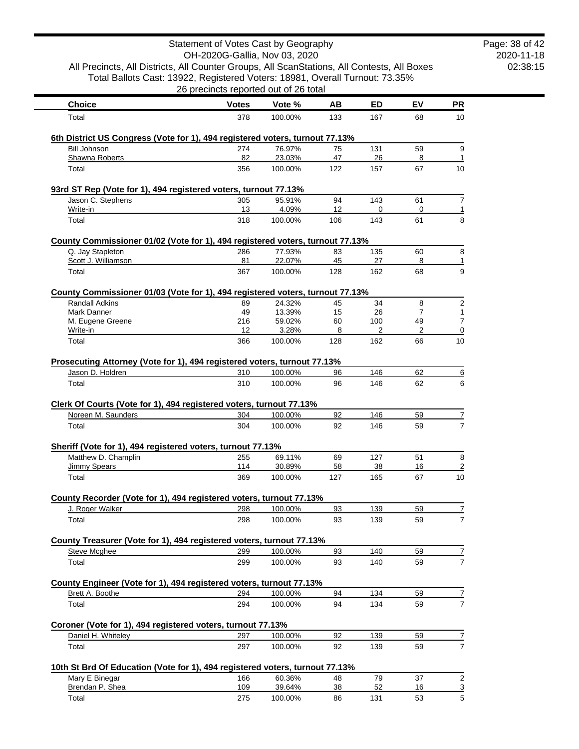|                                                                                                        | Statement of Votes Cast by Geography<br>OH-2020G-Gallia, Nov 03, 2020 |                  |           |           |         |                |
|--------------------------------------------------------------------------------------------------------|-----------------------------------------------------------------------|------------------|-----------|-----------|---------|----------------|
| All Precincts, All Districts, All Counter Groups, All ScanStations, All Contests, All Boxes            |                                                                       |                  |           |           |         |                |
| Total Ballots Cast: 13922, Registered Voters: 18981, Overall Turnout: 73.35%                           |                                                                       |                  |           |           |         |                |
|                                                                                                        | 26 precincts reported out of 26 total                                 |                  |           |           |         |                |
| <b>Choice</b>                                                                                          | <b>Votes</b>                                                          | Vote %           | AB        | <b>ED</b> | EV      | <b>PR</b>      |
| Total                                                                                                  | 378                                                                   | 100.00%          | 133       | 167       | 68      | 10             |
| 6th District US Congress (Vote for 1), 494 registered voters, turnout 77.13%                           |                                                                       |                  |           |           |         |                |
| <b>Bill Johnson</b>                                                                                    | 274                                                                   | 76.97%           | 75        | 131       | 59      | 9              |
| Shawna Roberts                                                                                         | 82                                                                    | 23.03%           | 47        | 26        | 8       | 1              |
| Total                                                                                                  | 356                                                                   | 100.00%          | 122       | 157       | 67      | 10             |
| 93rd ST Rep (Vote for 1), 494 registered voters, turnout 77.13%                                        |                                                                       |                  |           |           |         |                |
| Jason C. Stephens                                                                                      | 305                                                                   | 95.91%           | 94        | 143       | 61      | $\overline{7}$ |
| Write-in<br>Total                                                                                      | 13<br>318                                                             | 4.09%<br>100.00% | 12<br>106 | 0<br>143  | 0<br>61 | 1<br>8         |
|                                                                                                        |                                                                       |                  |           |           |         |                |
| County Commissioner 01/02 (Vote for 1), 494 registered voters, turnout 77.13%                          |                                                                       |                  |           |           |         |                |
| Q. Jay Stapleton<br>Scott J. Williamson                                                                | 286<br>81                                                             | 77.93%<br>22.07% | 83<br>45  | 135<br>27 | 60<br>8 | 8<br>1         |
| Total                                                                                                  | 367                                                                   | 100.00%          | 128       | 162       | 68      | 9              |
|                                                                                                        |                                                                       |                  |           |           |         |                |
| County Commissioner 01/03 (Vote for 1), 494 registered voters, turnout 77.13%<br><b>Randall Adkins</b> | 89                                                                    | 24.32%           | 45        | 34        | 8       | $\overline{2}$ |
| Mark Danner                                                                                            | 49                                                                    | 13.39%           | 15        | 26        | 7       | 1              |
| M. Eugene Greene                                                                                       | 216                                                                   | 59.02%           | 60        | 100       | 49      | $\overline{7}$ |
| Write-in                                                                                               | 12                                                                    | 3.28%            | 8         | 2         | 2       | 0              |
| Total                                                                                                  | 366                                                                   | 100.00%          | 128       | 162       | 66      | 10             |
| Prosecuting Attorney (Vote for 1), 494 registered voters, turnout 77.13%                               |                                                                       |                  |           |           |         |                |
| Jason D. Holdren                                                                                       | 310                                                                   | 100.00%          | 96        | 146       | 62      | <u>6</u>       |
| Total                                                                                                  | 310                                                                   | 100.00%          | 96        | 146       | 62      | 6              |
|                                                                                                        |                                                                       |                  |           |           |         |                |
| Clerk Of Courts (Vote for 1), 494 registered voters, turnout 77.13%<br>Noreen M. Saunders              | 304                                                                   | 100.00%          | 92        | 146       | 59      | 7              |
| Total                                                                                                  | 304                                                                   | 100.00%          | 92        | 146       | 59      | $\overline{7}$ |
|                                                                                                        |                                                                       |                  |           |           |         |                |
| Sheriff (Vote for 1), 494 registered voters, turnout 77.13%<br>Matthew D. Champlin                     | 255                                                                   | 69.11%           | 69        | 127       | 51      | 8              |
| <b>Jimmy Spears</b>                                                                                    | 114                                                                   | 30.89%           | 58        | <u>38</u> | 16      | $\overline{2}$ |
| Total                                                                                                  | 369                                                                   | 100.00%          | 127       | 165       | 67      | 10             |
|                                                                                                        |                                                                       |                  |           |           |         |                |
| County Recorder (Vote for 1), 494 registered voters, turnout 77.13%<br>J. Roger Walker                 | 298                                                                   | 100.00%          | 93        | 139       | 59      |                |
| Total                                                                                                  | 298                                                                   | 100.00%          | 93        | 139       | 59      |                |
|                                                                                                        |                                                                       |                  |           |           |         |                |
| County Treasurer (Vote for 1), 494 registered voters, turnout 77.13%<br>Steve Mcghee                   | 299                                                                   | 100.00%          | 93        | 140       | 59      | 7              |
| Total                                                                                                  | 299                                                                   | 100.00%          | 93        | 140       | 59      | $\overline{7}$ |
|                                                                                                        |                                                                       |                  |           |           |         |                |
| County Engineer (Vote for 1), 494 registered voters, turnout 77.13%                                    |                                                                       |                  |           |           |         |                |
| Brett A. Boothe                                                                                        | 294                                                                   | 100.00%          | 94        | 134       | 59      | 7              |
| Total                                                                                                  | 294                                                                   | 100.00%          | 94        | 134       | 59      | 7              |
| Coroner (Vote for 1), 494 registered voters, turnout 77.13%                                            |                                                                       |                  |           |           |         |                |
| Daniel H. Whiteley                                                                                     | 297                                                                   | 100.00%          | 92        | 139       | 59      | 7              |
| Total                                                                                                  | 297                                                                   | 100.00%          | 92        | 139       | 59      | $\overline{7}$ |
| 10th St Brd Of Education (Vote for 1), 494 registered voters, turnout 77.13%                           |                                                                       |                  |           |           |         |                |
| Mary E Binegar                                                                                         | 166                                                                   | 60.36%           | 48        | 79        | 37      | $\sqrt{2}$     |
| Brendan P. Shea                                                                                        | 109                                                                   | 39.64%           | 38        | 52        | 16      | $\overline{3}$ |
| Total                                                                                                  | 275                                                                   | 100.00%          | 86        | 131       | 53      | 5              |

Page: 38 of 42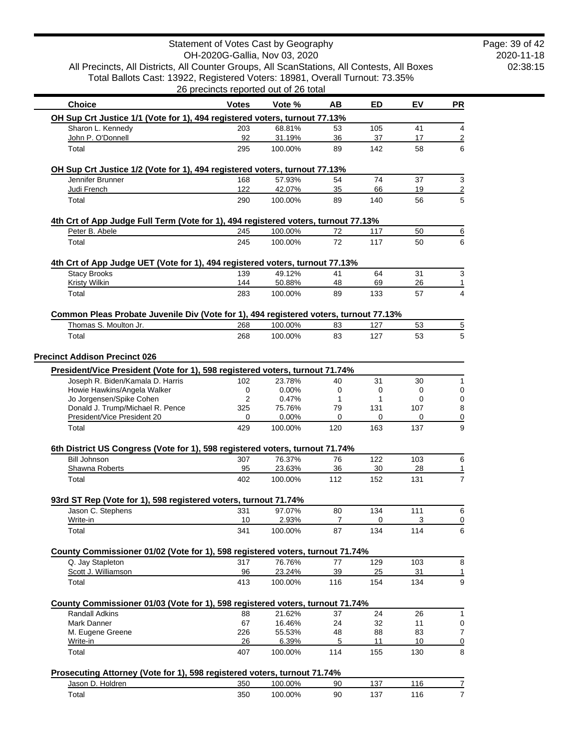|                                                                                                   | 26 precincts reported out of 26 total |                    |          |            |           |           |
|---------------------------------------------------------------------------------------------------|---------------------------------------|--------------------|----------|------------|-----------|-----------|
| <b>Choice</b>                                                                                     | <b>Votes</b>                          | Vote %             | AB       | <b>ED</b>  | EV        | <b>PR</b> |
| OH Sup Crt Justice 1/1 (Vote for 1), 494 registered voters, turnout 77.13%                        |                                       |                    |          |            |           |           |
| Sharon L. Kennedy                                                                                 | 203                                   | 68.81%             | 53       | 105        | 41        |           |
| John P. O'Donnell<br>Total                                                                        | 92<br>295                             | 31.19%<br>100.00%  | 36<br>89 | 37<br>142  | 17<br>58  |           |
| OH Sup Crt Justice 1/2 (Vote for 1), 494 registered voters, turnout 77.13%                        |                                       |                    |          |            |           |           |
| Jennifer Brunner                                                                                  | 168                                   | 57.93%             | 54       | 74         | 37        |           |
| Judi French                                                                                       | 122                                   | 42.07%             | 35       | 66         | 19        |           |
| Total                                                                                             | 290                                   | 100.00%            | 89       | 140        | 56        |           |
| 4th Crt of App Judge Full Term (Vote for 1), 494 registered voters, turnout 77.13%                |                                       |                    |          |            |           |           |
| Peter B. Abele                                                                                    | 245                                   | 100.00%            | 72       | 117        | 50        |           |
| Total                                                                                             | 245                                   | 100.00%            | 72       | 117        | 50        |           |
| 4th Crt of App Judge UET (Vote for 1), 494 registered voters, turnout 77.13%                      |                                       |                    |          |            |           |           |
| <b>Stacy Brooks</b>                                                                               | 139                                   | 49.12%             | 41       | 64         | 31        |           |
| Kristy Wilkin                                                                                     | 144                                   | 50.88%             | 48       | 69         | 26        |           |
| Total                                                                                             | 283                                   | 100.00%            | 89       | 133        | 57        |           |
| Common Pleas Probate Juvenile Div (Vote for 1), 494 registered voters, turnout 77.13%             |                                       |                    |          |            |           |           |
| Thomas S. Moulton Jr.<br>Total                                                                    | 268<br>268                            | 100.00%<br>100.00% | 83<br>83 | 127<br>127 | 53<br>53  |           |
|                                                                                                   |                                       |                    |          |            |           |           |
| <b>Precinct Addison Precinct 026</b>                                                              |                                       |                    |          |            |           |           |
| President/Vice President (Vote for 1), 598 registered voters, turnout 71.74%                      |                                       |                    |          |            |           |           |
| Joseph R. Biden/Kamala D. Harris<br>Howie Hawkins/Angela Walker                                   | 102<br>0                              | 23.78%<br>0.00%    | 40<br>0  | 31<br>0    | 30<br>0   |           |
| Jo Jorgensen/Spike Cohen                                                                          | $\overline{2}$                        | 0.47%              | 1        | 1          | 0         |           |
| Donald J. Trump/Michael R. Pence                                                                  | 325                                   | 75.76%             | 79       | 131        | 107       |           |
| President/Vice President 20                                                                       | 0                                     | 0.00%              | 0        | 0          | 0         |           |
| Total                                                                                             | 429                                   | 100.00%            | 120      | 163        | 137       |           |
| 6th District US Congress (Vote for 1), 598 registered voters, turnout 71.74%                      |                                       |                    |          |            |           |           |
| <b>Bill Johnson</b><br>Shawna Roberts                                                             | 307<br>95                             | 76.37%<br>23.63%   | 76<br>36 | 122<br>30  | 103<br>28 |           |
| Total                                                                                             | 402                                   | 100.00%            | 112      | 152        | 131       |           |
| 93rd ST Rep (Vote for 1), 598 registered voters, turnout 71.74%                                   |                                       |                    |          |            |           |           |
| Jason C. Stephens                                                                                 | 331                                   | 97.07%             | 80       | 134        | 111       |           |
| Write-in<br>Total                                                                                 | 10<br>341                             | 2.93%<br>100.00%   | 7<br>87  | 0<br>134   | 3<br>114  |           |
|                                                                                                   |                                       |                    |          |            |           |           |
| County Commissioner 01/02 (Vote for 1), 598 registered voters, turnout 71.74%<br>Q. Jay Stapleton | 317                                   | 76.76%             | 77       | 129        | 103       |           |
| Scott J. Williamson                                                                               | 96                                    | 23.24%             | 39       | 25         | 31        |           |
| Total                                                                                             | 413                                   | 100.00%            | 116      | 154        | 134       |           |
| County Commissioner 01/03 (Vote for 1), 598 registered voters, turnout 71.74%                     |                                       |                    |          |            |           |           |
| Randall Adkins                                                                                    | 88                                    | 21.62%             | 37       | 24         | 26        |           |
| Mark Danner                                                                                       | 67                                    | 16.46%             | 24       | 32         | 11        |           |
| M. Eugene Greene                                                                                  | 226                                   | 55.53%             | 48       | 88         | 83        |           |
| Write-in                                                                                          | 26                                    | 6.39%              | 5        | 11         | 10        |           |
| Total                                                                                             | 407                                   | 100.00%            | 114      | 155        | 130       |           |
| Prosecuting Attorney (Vote for 1), 598 registered voters, turnout 71.74%                          |                                       |                    |          |            |           |           |
| Jason D. Holdren                                                                                  | 350                                   | 100.00%            | 90       | 137        | 116       |           |

Total 350 100.00% 90 137 116 7

2020-11-18 02:38:15

Page: 39 of 42

OH-2020G-Gallia, Nov 03, 2020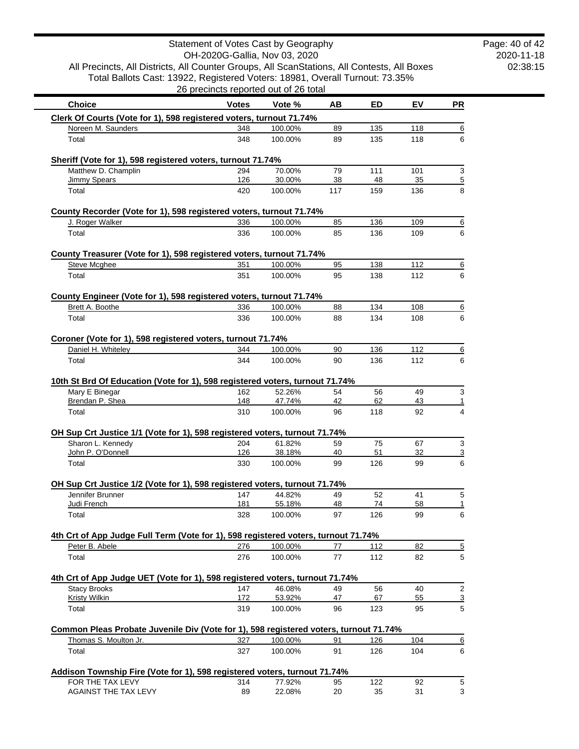|                                                                                                | OH-2020G-Gallia, Nov 03, 2020         |                    |          |            |          |                     |
|------------------------------------------------------------------------------------------------|---------------------------------------|--------------------|----------|------------|----------|---------------------|
| All Precincts, All Districts, All Counter Groups, All ScanStations, All Contests, All Boxes    |                                       |                    |          |            |          |                     |
| Total Ballots Cast: 13922, Registered Voters: 18981, Overall Turnout: 73.35%                   | 26 precincts reported out of 26 total |                    |          |            |          |                     |
|                                                                                                |                                       |                    |          |            |          |                     |
| <b>Choice</b>                                                                                  | <b>Votes</b>                          | Vote %             | ΑВ       | ED         | EV       | <b>PR</b>           |
| Clerk Of Courts (Vote for 1), 598 registered voters, turnout 71.74%                            |                                       |                    |          |            |          |                     |
| Noreen M. Saunders                                                                             | 348                                   | 100.00%            | 89       | 135        | 118      | 6                   |
| Total                                                                                          | 348                                   | 100.00%            | 89       | 135        | 118      | 6                   |
| Sheriff (Vote for 1), 598 registered voters, turnout 71.74%                                    |                                       |                    |          |            |          |                     |
| Matthew D. Champlin                                                                            | 294                                   | 70.00%             | 79       | 111        | 101      | 3                   |
| <b>Jimmy Spears</b>                                                                            | 126                                   | 30.00%             | 38       | 48         | 35       | $\overline{5}$      |
| Total                                                                                          | 420                                   | 100.00%            | 117      | 159        | 136      | 8                   |
| County Recorder (Vote for 1), 598 registered voters, turnout 71.74%                            |                                       |                    |          |            |          |                     |
| J. Roger Walker                                                                                | 336                                   | 100.00%            | 85       | 136        | 109      | 6                   |
| Total                                                                                          | 336                                   | 100.00%            | 85       | 136        | 109      | 6                   |
|                                                                                                |                                       |                    |          |            |          |                     |
| County Treasurer (Vote for 1), 598 registered voters, turnout 71.74%                           |                                       |                    |          |            |          |                     |
| <b>Steve Mcghee</b>                                                                            | 351                                   | 100.00%            | 95       | 138        | 112      | 6                   |
| Total                                                                                          | 351                                   | 100.00%            | 95       | 138        | 112      | 6                   |
| County Engineer (Vote for 1), 598 registered voters, turnout 71.74%                            |                                       |                    |          |            |          |                     |
| Brett A. Boothe                                                                                | 336                                   | 100.00%            | 88       | 134        | 108      | 6                   |
| Total                                                                                          | 336                                   | 100.00%            | 88       | 134        | 108      | 6                   |
|                                                                                                |                                       |                    |          |            |          |                     |
| Coroner (Vote for 1), 598 registered voters, turnout 71.74%                                    |                                       |                    |          |            |          |                     |
| Daniel H. Whiteley                                                                             | 344                                   | 100.00%            | 90       | 136        | 112      | 6                   |
| Total                                                                                          | 344                                   | 100.00%            | 90       | 136        | 112      | 6                   |
| 10th St Brd Of Education (Vote for 1), 598 registered voters, turnout 71.74%                   |                                       |                    |          |            |          |                     |
| Mary E Binegar                                                                                 | 162                                   | 52.26%             | 54       | 56         | 49       | $\mathbf{3}$        |
| Brendan P. Shea                                                                                | 148                                   | 47.74%             | 42       | 62         | 43       | $\mathbf{1}$        |
| Total                                                                                          | 310                                   | 100.00%            | 96       | 118        | 92       | 4                   |
| OH Sup Crt Justice 1/1 (Vote for 1), 598 registered voters, turnout 71.74%                     |                                       |                    |          |            |          |                     |
| Sharon L. Kennedy                                                                              | 204                                   | 61.82%             | 59       | 75         | 67       | 3                   |
| John P. O'Donnell                                                                              | 126                                   | 38.18%             | 40       | 51         | 32       | $\overline{3}$      |
| Total                                                                                          | 330                                   | 100.00%            | 99       | 126        | 99       | 6                   |
|                                                                                                |                                       |                    |          |            |          |                     |
| OH Sup Crt Justice 1/2 (Vote for 1), 598 registered voters, turnout 71.74%<br>Jennifer Brunner | 147                                   | 44.82%             | 49       | 52         | 41       | 5                   |
| Judi French                                                                                    | 181                                   | 55.18%             | 48       | 74         | 58       | <u>1</u>            |
| Total                                                                                          | 328                                   | 100.00%            | 97       | 126        | 99       | 6                   |
|                                                                                                |                                       |                    |          |            |          |                     |
| 4th Crt of App Judge Full Term (Vote for 1), 598 registered voters, turnout 71.74%             |                                       |                    |          |            |          |                     |
| Peter B. Abele<br>Total                                                                        | 276<br>276                            | 100.00%<br>100.00% | 77<br>77 | 112<br>112 | 82<br>82 | $\overline{5}$<br>5 |
|                                                                                                |                                       |                    |          |            |          |                     |
| 4th Crt of App Judge UET (Vote for 1), 598 registered voters, turnout 71.74%                   |                                       |                    |          |            |          |                     |
| <b>Stacy Brooks</b>                                                                            | 147                                   | 46.08%             | 49       | 56         | 40       | $\sqrt{2}$          |
| <b>Kristy Wilkin</b>                                                                           | <u>172</u>                            | 53.92%             | 47       | 67         | 55       | $\overline{3}$      |
| Total                                                                                          | 319                                   | 100.00%            | 96       | 123        | 95       | 5                   |
| Common Pleas Probate Juvenile Div (Vote for 1), 598 registered voters, turnout 71.74%          |                                       |                    |          |            |          |                     |
| Thomas S. Moulton Jr.                                                                          | 327                                   | 100.00%            | 91       | 126        | 104      | 6                   |
| Total                                                                                          | 327                                   | 100.00%            | 91       | 126        | 104      | 6                   |
|                                                                                                |                                       |                    |          |            |          |                     |
| Addison Township Fire (Vote for 1), 598 registered voters, turnout 71.74%                      |                                       |                    |          |            |          |                     |
| FOR THE TAX LEVY<br>AGAINST THE TAX LEVY                                                       | 314<br>89                             | 77.92%<br>22.08%   | 95<br>20 | 122<br>35  | 92<br>31 | 5<br>3              |
|                                                                                                |                                       |                    |          |            |          |                     |

Statement of Votes Cast by Geography

2020-11-18 02:38:15

 $\mathcal{L}_{\text{max}}$  , where  $\mathcal{L}_{\text{max}}$ 

Page: 40 of 42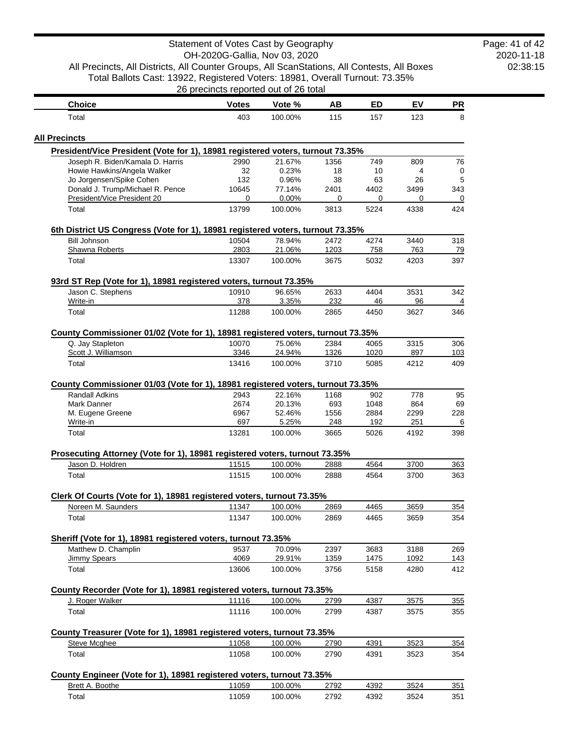| All Precincts, All Districts, All Counter Groups, All ScanStations, All Contests, All Boxes | OH-2020G-Gallia, Nov 03, 2020         |                    |              |              |             |            |
|---------------------------------------------------------------------------------------------|---------------------------------------|--------------------|--------------|--------------|-------------|------------|
| Total Ballots Cast: 13922, Registered Voters: 18981, Overall Turnout: 73.35%                | 26 precincts reported out of 26 total |                    |              |              |             |            |
| <b>Choice</b>                                                                               | <b>Votes</b>                          | Vote %             | AB           | <b>ED</b>    | EV          | PR         |
| Total                                                                                       | 403                                   | 100.00%            | 115          | 157          | 123         | 8          |
| <b>All Precincts</b>                                                                        |                                       |                    |              |              |             |            |
| President/Vice President (Vote for 1), 18981 registered voters, turnout 73.35%              |                                       |                    |              |              |             |            |
| Joseph R. Biden/Kamala D. Harris                                                            | 2990                                  | 21.67%             | 1356         | 749          | 809         | 76         |
| Howie Hawkins/Angela Walker                                                                 | 32                                    | 0.23%              | 18           | 10           | 4           | 0          |
| Jo Jorgensen/Spike Cohen<br>Donald J. Trump/Michael R. Pence                                | 132<br>10645                          | 0.96%<br>77.14%    | 38<br>2401   | 63<br>4402   | 26<br>3499  | 5<br>343   |
| President/Vice President 20                                                                 | 0                                     | 0.00%              | 0            | 0            | 0           | 0          |
| Total                                                                                       | 13799                                 | 100.00%            | 3813         | 5224         | 4338        | 424        |
| 6th District US Congress (Vote for 1), 18981 registered voters, turnout 73.35%              |                                       |                    |              |              |             |            |
| <b>Bill Johnson</b>                                                                         | 10504                                 | 78.94%             | 2472         | 4274         | 3440        | 318        |
| Shawna Roberts                                                                              | 2803                                  | 21.06%             | 1203         | 758          | 763         | 79         |
| Total                                                                                       | 13307                                 | 100.00%            | 3675         | 5032         | 4203        | 397        |
| 93rd ST Rep (Vote for 1), 18981 registered voters, turnout 73.35%                           |                                       |                    |              |              |             |            |
| Jason C. Stephens                                                                           | 10910                                 | 96.65%             | 2633         | 4404         | 3531        | 342        |
| Write-in                                                                                    | 378                                   | 3.35%              | 232          | 46           | 96          | 4          |
| Total                                                                                       | 11288                                 | 100.00%            | 2865         | 4450         | 3627        | 346        |
| County Commissioner 01/02 (Vote for 1), 18981 registered voters, turnout 73.35%             |                                       |                    |              |              |             |            |
| Q. Jay Stapleton<br>Scott J. Williamson                                                     | 10070<br>3346                         | 75.06%<br>24.94%   | 2384<br>1326 | 4065<br>1020 | 3315<br>897 | 306<br>103 |
| Total                                                                                       | 13416                                 | 100.00%            | 3710         | 5085         | 4212        | 409        |
|                                                                                             |                                       |                    |              |              |             |            |
| County Commissioner 01/03 (Vote for 1), 18981 registered voters, turnout 73.35%             |                                       |                    |              |              |             |            |
| <b>Randall Adkins</b>                                                                       | 2943                                  | 22.16%             | 1168         | 902          | 778         | 95         |
| Mark Danner                                                                                 | 2674                                  | 20.13%             | 693          | 1048         | 864         | 69         |
| M. Eugene Greene                                                                            | 6967                                  | 52.46%             | 1556         | 2884         | 2299        | 228        |
| Write-in<br>Total                                                                           | 697<br>13281                          | 5.25%<br>100.00%   | 248<br>3665  | 192<br>5026  | 251<br>4192 | 6<br>398   |
|                                                                                             |                                       |                    |              |              |             |            |
| Prosecuting Attorney (Vote for 1), 18981 registered voters, turnout 73.35%                  |                                       |                    |              | 4564         | 3700        | 363        |
| Jason D. Holdren<br>Total                                                                   | 11515<br>11515                        | 100.00%<br>100.00% | 2888<br>2888 | 4564         | 3700        | 363        |
|                                                                                             |                                       |                    |              |              |             |            |
| Clerk Of Courts (Vote for 1), 18981 registered voters, turnout 73.35%                       |                                       |                    |              |              |             |            |
| Noreen M. Saunders                                                                          | 11347                                 | 100.00%            | 2869         | 4465         | 3659        | 354        |
| Total                                                                                       | 11347                                 | 100.00%            | 2869         | 4465         | 3659        | 354        |
| Sheriff (Vote for 1), 18981 registered voters, turnout 73.35%                               |                                       |                    |              |              |             |            |
| Matthew D. Champlin                                                                         | 9537                                  | 70.09%             | 2397         | 3683         | 3188        | 269        |
| <b>Jimmy Spears</b>                                                                         | 4069                                  | 29.91%             | 1359         | 1475         | 1092        | 143        |
| Total                                                                                       | 13606                                 | 100.00%            | 3756         | 5158         | 4280        | 412        |
| County Recorder (Vote for 1), 18981 registered voters, turnout 73.35%                       |                                       |                    |              |              |             |            |
| J. Roger Walker                                                                             | 11116                                 | 100.00%            | 2799         | 4387         | 3575        | 355        |
| Total                                                                                       | 11116                                 | 100.00%            | 2799         | 4387         | 3575        | 355        |
| County Treasurer (Vote for 1), 18981 registered voters, turnout 73.35%                      |                                       |                    |              |              |             |            |
| Steve Mcghee                                                                                | 11058                                 | 100.00%            | 2790         | 4391         | 3523        | 354        |
| Total                                                                                       | 11058                                 | 100.00%            | 2790         | 4391         | 3523        | 354        |
| County Engineer (Vote for 1), 18981 registered voters, turnout 73.35%                       |                                       |                    |              |              |             |            |
| Brett A. Boothe                                                                             | 11059                                 | 100.00%            | 2792         | 4392         | 3524        | 351        |
| Total                                                                                       | 11059                                 | 100.00%            | 2792         | 4392         | 3524        | 351        |

2020-11-18 02:38:15 Page: 41 of 42